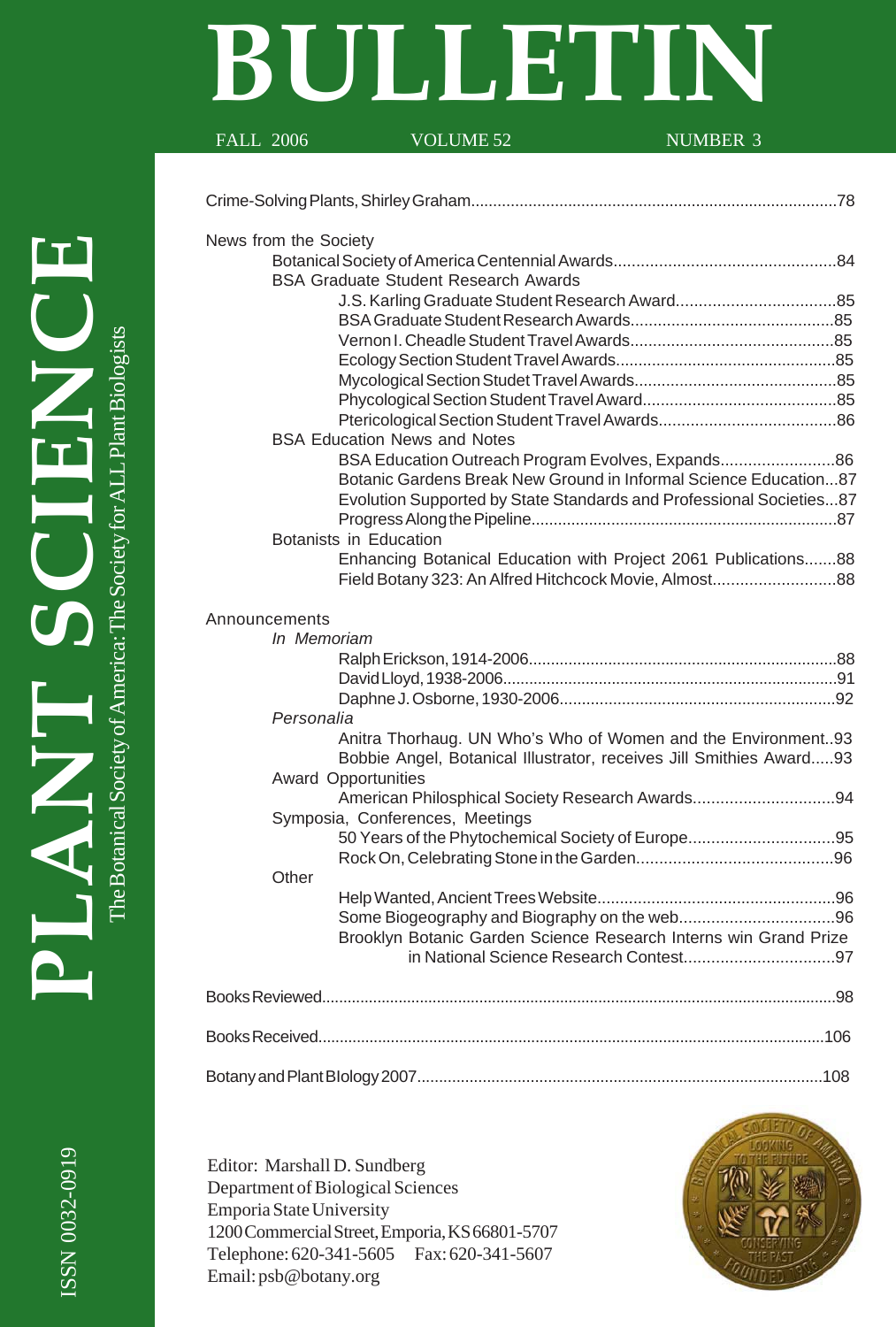# **BULLETIN**

FALL 2006 VOLUME 52 NUMBER 3

# Crime-Solving Plants, Shirley Graham...................................................................................78 News from the Society Botanical Society of America Centennial Awards.................................................84 BSA Graduate Student Research Awards J.S. Karling Graduate Student Research Award...................................85 BSA Graduate Student Research Awards.............................................85 Vernon I. Cheadle Student Travel Awards.............................................85 Ecology Section Student Travel Awards.................................................85 Mycological Section Studet Travel Awards.............................................85 Phycological Section Student Travel Award...........................................85 Ptericological Section Student Travel Awards.......................................86 BSA Education News and Notes BSA Education Outreach Program Evolves, Expands.........................86 Botanic Gardens Break New Ground in Informal Science Education...87 Evolution Supported by State Standards and Professional Societies...87 Progress Along the Pipeline.....................................................................87 Botanists in Education Enhancing Botanical Education with Project 2061 Publications.......88 Field Botany 323: An Alfred Hitchcock Movie, Almost...........................88 Announcements *In Memoriam*

|  | In Memoriam                                                         |  |
|--|---------------------------------------------------------------------|--|
|  |                                                                     |  |
|  |                                                                     |  |
|  |                                                                     |  |
|  | Personalia                                                          |  |
|  | Anitra Thorhaug. UN Who's Who of Women and the Environment93        |  |
|  | Bobbie Angel, Botanical Illustrator, receives Jill Smithies Award93 |  |
|  | <b>Award Opportunities</b>                                          |  |
|  | American Philosphical Society Research Awards94                     |  |
|  | Symposia, Conferences, Meetings                                     |  |
|  | 50 Years of the Phytochemical Society of Europe95                   |  |
|  |                                                                     |  |
|  | Other                                                               |  |
|  |                                                                     |  |
|  |                                                                     |  |
|  | Brooklyn Botanic Garden Science Research Interns win Grand Prize    |  |
|  |                                                                     |  |
|  |                                                                     |  |
|  |                                                                     |  |
|  |                                                                     |  |
|  |                                                                     |  |
|  |                                                                     |  |
|  |                                                                     |  |

Editor: Marshall D. Sundberg Department of Biological Sciences Emporia State University 1200 Commercial Street, Emporia, KS 66801-5707 Telephone: 620-341-5605 Fax: 620-341-5607 Email: psb@botany.org



**PLANT SCIENCE** The Botanical Society of America: The Society for ALL Plant Biologists of America: The Society for AL]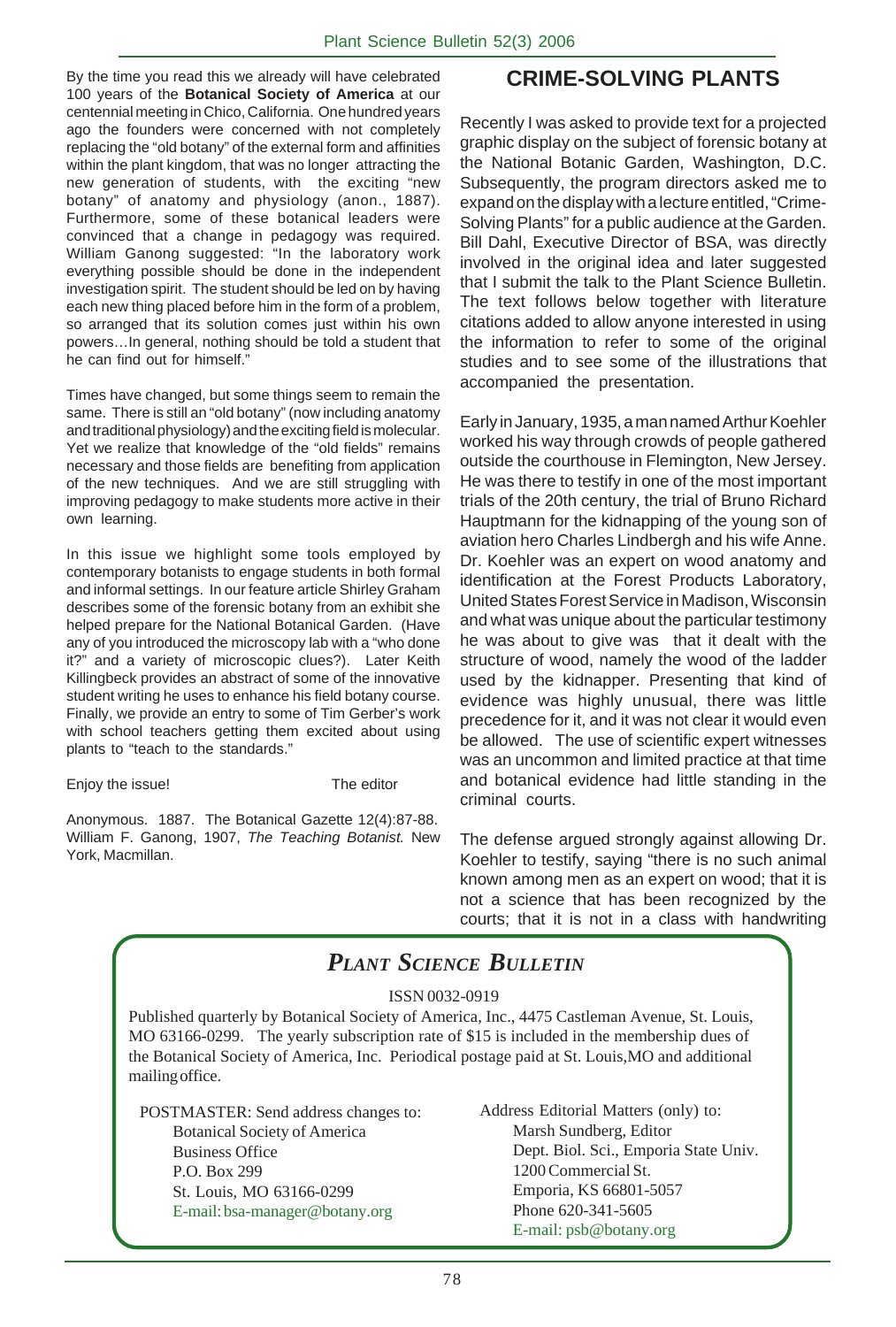By the time you read this we already will have celebrated 100 years of the **Botanical Society of America** at our centennial meeting in Chico, California. One hundred years ago the founders were concerned with not completely replacing the "old botany" of the external form and affinities within the plant kingdom, that was no longer attracting the new generation of students, with the exciting "new botany" of anatomy and physiology (anon., 1887). Furthermore, some of these botanical leaders were convinced that a change in pedagogy was required. William Ganong suggested: "In the laboratory work everything possible should be done in the independent investigation spirit. The student should be led on by having each new thing placed before him in the form of a problem, so arranged that its solution comes just within his own powers…In general, nothing should be told a student that he can find out for himself."

Times have changed, but some things seem to remain the same. There is still an "old botany" (now including anatomy and traditional physiology) and the exciting field is molecular. Yet we realize that knowledge of the "old fields" remains necessary and those fields are benefiting from application of the new techniques. And we are still struggling with improving pedagogy to make students more active in their own learning.

In this issue we highlight some tools employed by contemporary botanists to engage students in both formal and informal settings. In our feature article Shirley Graham describes some of the forensic botany from an exhibit she helped prepare for the National Botanical Garden. (Have any of you introduced the microscopy lab with a "who done it?" and a variety of microscopic clues?). Later Keith Killingbeck provides an abstract of some of the innovative student writing he uses to enhance his field botany course. Finally, we provide an entry to some of Tim Gerber's work with school teachers getting them excited about using plants to "teach to the standards."

Enjoy the issue! The editor

Anonymous. 1887. The Botanical Gazette 12(4):87-88. William F. Ganong, 1907, *The Teaching Botanist.* New York, Macmillan.

# **CRIME-SOLVING PLANTS**

Recently I was asked to provide text for a projected graphic display on the subject of forensic botany at the National Botanic Garden, Washington, D.C. Subsequently, the program directors asked me to expand on the display with a lecture entitled, "Crime-Solving Plants" for a public audience at the Garden. Bill Dahl, Executive Director of BSA, was directly involved in the original idea and later suggested that I submit the talk to the Plant Science Bulletin. The text follows below together with literature citations added to allow anyone interested in using the information to refer to some of the original studies and to see some of the illustrations that accompanied the presentation.

Early in January, 1935, a man named Arthur Koehler worked his way through crowds of people gathered outside the courthouse in Flemington, New Jersey. He was there to testify in one of the most important trials of the 20th century, the trial of Bruno Richard Hauptmann for the kidnapping of the young son of aviation hero Charles Lindbergh and his wife Anne. Dr. Koehler was an expert on wood anatomy and identification at the Forest Products Laboratory, United States Forest Service in Madison, Wisconsin and what was unique about the particular testimony he was about to give was that it dealt with the structure of wood, namely the wood of the ladder used by the kidnapper. Presenting that kind of evidence was highly unusual, there was little precedence for it, and it was not clear it would even be allowed. The use of scientific expert witnesses was an uncommon and limited practice at that time and botanical evidence had little standing in the criminal courts.

The defense argued strongly against allowing Dr. Koehler to testify, saying "there is no such animal known among men as an expert on wood; that it is not a science that has been recognized by the courts; that it is not in a class with handwriting

# *PLANT SCIENCE BULLETIN*

ISSN 0032-0919

Published quarterly by Botanical Society of America, Inc., 4475 Castleman Avenue, St. Louis, MO 63166-0299. The yearly subscription rate of \$15 is included in the membership dues of the Botanical Society of America, Inc. Periodical postage paid at St. Louis,MO and additional mailing office.

POSTMASTER: Send address changes to: Botanical Society of America Business Office P.O. Box 299 St. Louis, MO 63166-0299 E-mail: bsa-manager@botany.org

Address Editorial Matters (only) to: Marsh Sundberg, Editor Dept. Biol. Sci., Emporia State Univ. 1200 Commercial St. Emporia, KS 66801-5057 Phone 620-341-5605 E-mail: psb@botany.org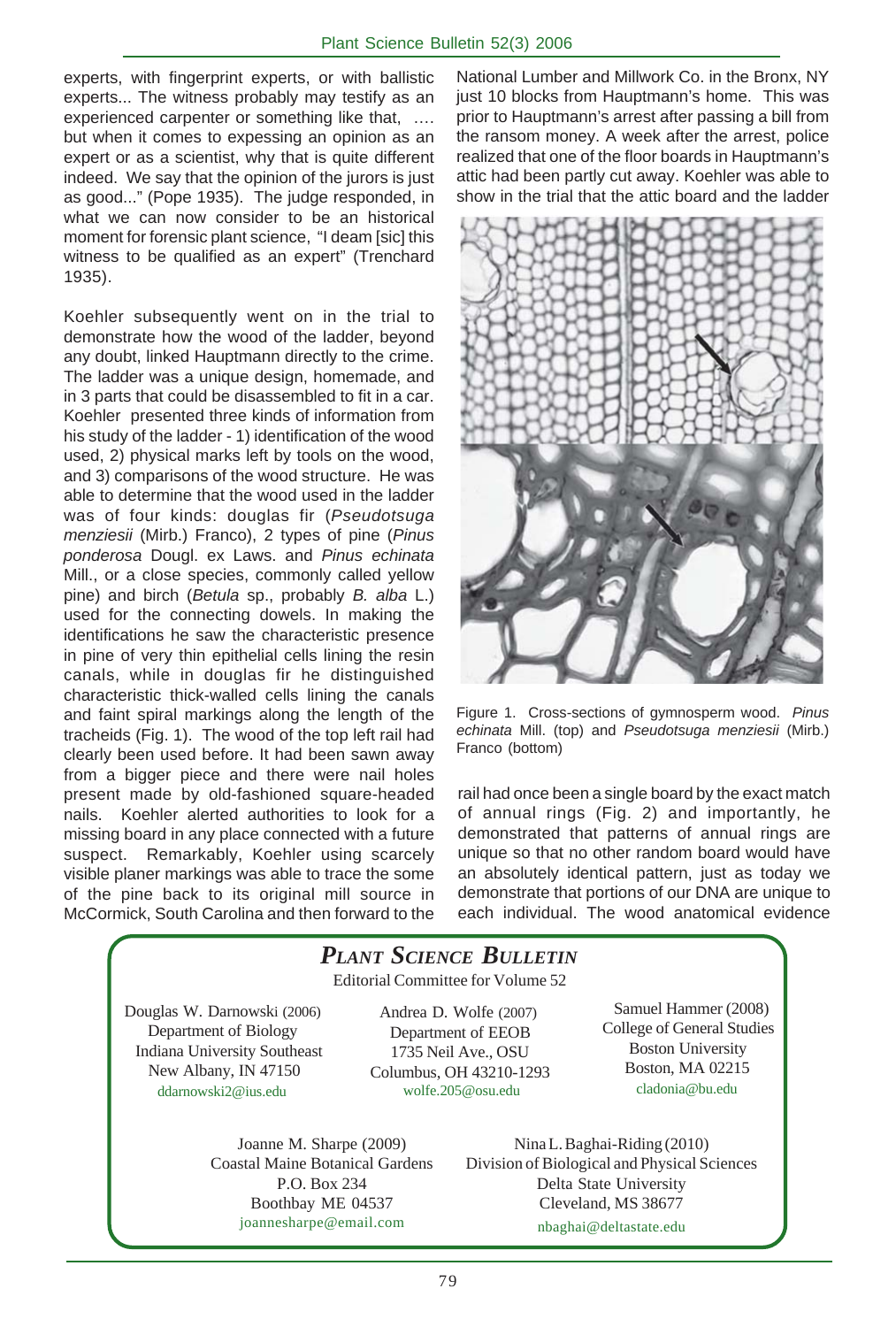experts, with fingerprint experts, or with ballistic experts... The witness probably may testify as an experienced carpenter or something like that, …. but when it comes to expessing an opinion as an expert or as a scientist, why that is quite different indeed. We say that the opinion of the jurors is just as good..." (Pope 1935). The judge responded, in what we can now consider to be an historical moment for forensic plant science, "I deam [sic] this witness to be qualified as an expert" (Trenchard 1935).

Koehler subsequently went on in the trial to demonstrate how the wood of the ladder, beyond any doubt, linked Hauptmann directly to the crime. The ladder was a unique design, homemade, and in 3 parts that could be disassembled to fit in a car. Koehler presented three kinds of information from his study of the ladder - 1) identification of the wood used, 2) physical marks left by tools on the wood, and 3) comparisons of the wood structure. He was able to determine that the wood used in the ladder was of four kinds: douglas fir (*Pseudotsuga menziesii* (Mirb.) Franco), 2 types of pine (*Pinus ponderosa* Dougl. ex Laws. and *Pinus echinata* Mill., or a close species, commonly called yellow pine) and birch (*Betula* sp., probably *B. alba* L.) used for the connecting dowels. In making the identifications he saw the characteristic presence in pine of very thin epithelial cells lining the resin canals, while in douglas fir he distinguished characteristic thick-walled cells lining the canals and faint spiral markings along the length of the tracheids (Fig. 1). The wood of the top left rail had clearly been used before. It had been sawn away from a bigger piece and there were nail holes present made by old-fashioned square-headed nails. Koehler alerted authorities to look for a missing board in any place connected with a future suspect. Remarkably, Koehler using scarcely visible planer markings was able to trace the some of the pine back to its original mill source in McCormick, South Carolina and then forward to the

National Lumber and Millwork Co. in the Bronx, NY just 10 blocks from Hauptmann's home. This was prior to Hauptmann's arrest after passing a bill from the ransom money. A week after the arrest, police realized that one of the floor boards in Hauptmann's attic had been partly cut away. Koehler was able to show in the trial that the attic board and the ladder



Figure 1. Cross-sections of gymnosperm wood. *Pinus echinata* Mill. (top) and *Pseudotsuga menziesii* (Mirb.) Franco (bottom)

rail had once been a single board by the exact match of annual rings (Fig. 2) and importantly, he demonstrated that patterns of annual rings are unique so that no other random board would have an absolutely identical pattern, just as today we demonstrate that portions of our DNA are unique to each individual. The wood anatomical evidence

#### Editorial Committee for Volume 52 Joanne M. Sharpe (2009) Coastal Maine Botanical Gardens P.O. Box 234 Boothbay ME 04537 joannesharpe@email.com Nina L. Baghai-Riding (2010) Division of Biological and Physical Sciences Delta State University Cleveland, MS 38677 nbaghai@deltastate.edu *PLANT SCIENCE BULLETIN* Douglas W. Darnowski (2006) Department of Biology Indiana University Southeast New Albany, IN 47150 ddarnowski2@ius.edu Andrea D. Wolfe (2007) Department of EEOB 1735 Neil Ave., OSU Columbus, OH 43210-1293 wolfe.205@osu.edu Samuel Hammer (2008) College of General Studies Boston University Boston, MA 02215 cladonia@bu.edu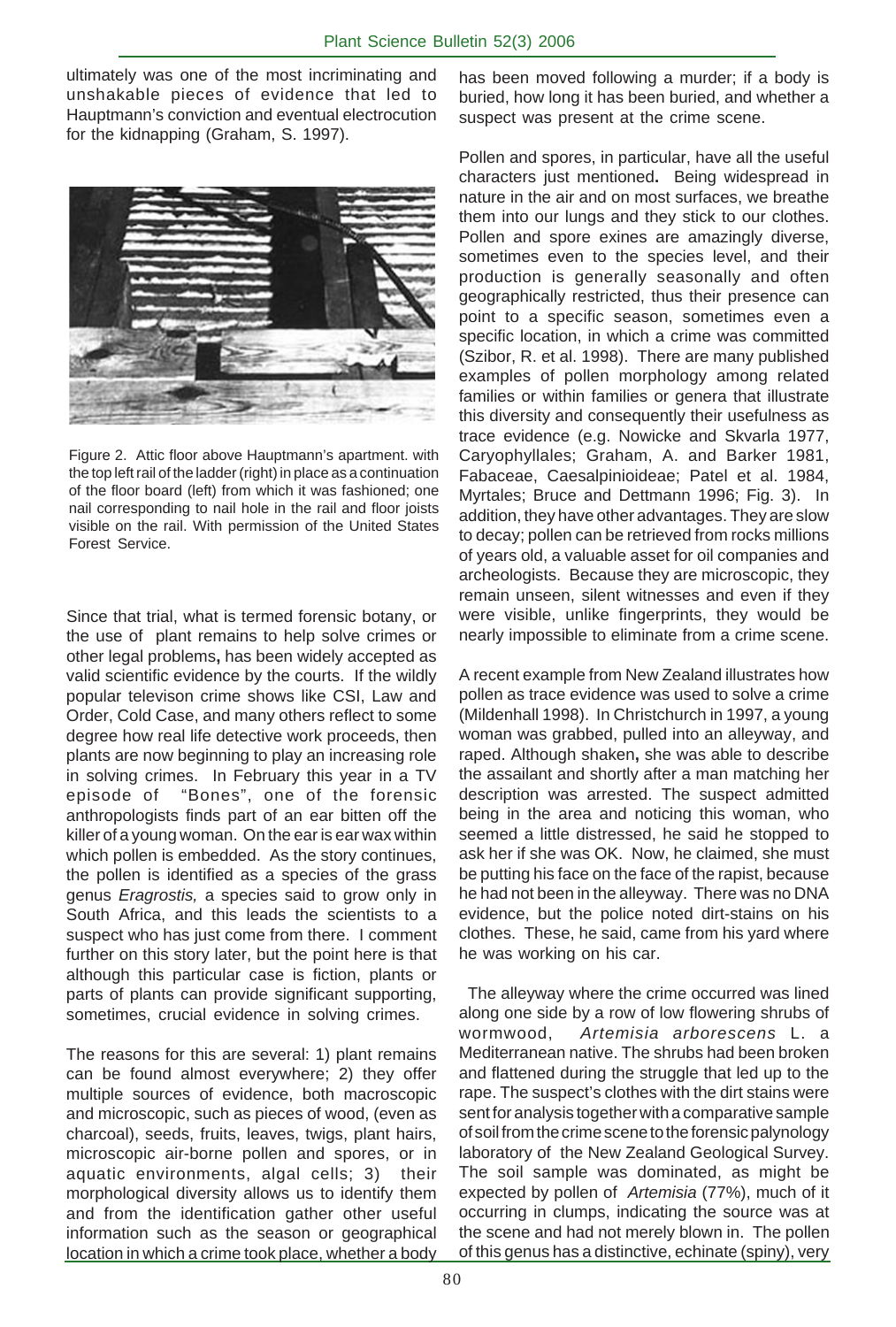ultimately was one of the most incriminating and unshakable pieces of evidence that led to Hauptmann's conviction and eventual electrocution for the kidnapping (Graham, S. 1997).



Figure 2. Attic floor above Hauptmann's apartment. with the top left rail of the ladder (right) in place as a continuation of the floor board (left) from which it was fashioned; one nail corresponding to nail hole in the rail and floor joists visible on the rail. With permission of the United States Forest Service.

Since that trial, what is termed forensic botany, or the use of plant remains to help solve crimes or other legal problems**,** has been widely accepted as valid scientific evidence by the courts. If the wildly popular televison crime shows like CSI, Law and Order, Cold Case, and many others reflect to some degree how real life detective work proceeds, then plants are now beginning to play an increasing role in solving crimes. In February this year in a TV episode of "Bones", one of the forensic anthropologists finds part of an ear bitten off the killer of a young woman. On the ear is ear wax within which pollen is embedded. As the story continues, the pollen is identified as a species of the grass genus *Eragrostis,* a species said to grow only in South Africa, and this leads the scientists to a suspect who has just come from there. I comment further on this story later, but the point here is that although this particular case is fiction, plants or parts of plants can provide significant supporting, sometimes, crucial evidence in solving crimes.

The reasons for this are several: 1) plant remains can be found almost everywhere; 2) they offer multiple sources of evidence, both macroscopic and microscopic, such as pieces of wood, (even as charcoal), seeds, fruits, leaves, twigs, plant hairs, microscopic air-borne pollen and spores, or in aquatic environments, algal cells; 3) their morphological diversity allows us to identify them and from the identification gather other useful information such as the season or geographical location in which a crime took place, whether a body

has been moved following a murder; if a body is buried, how long it has been buried, and whether a suspect was present at the crime scene.

Pollen and spores, in particular, have all the useful characters just mentioned**.** Being widespread in nature in the air and on most surfaces, we breathe them into our lungs and they stick to our clothes. Pollen and spore exines are amazingly diverse, sometimes even to the species level, and their production is generally seasonally and often geographically restricted, thus their presence can point to a specific season, sometimes even a specific location, in which a crime was committed (Szibor, R. et al. 1998). There are many published examples of pollen morphology among related families or within families or genera that illustrate this diversity and consequently their usefulness as trace evidence (e.g. Nowicke and Skvarla 1977, Caryophyllales; Graham, A. and Barker 1981, Fabaceae, Caesalpinioideae; Patel et al. 1984, Myrtales; Bruce and Dettmann 1996; Fig. 3). In addition, they have other advantages. They are slow to decay; pollen can be retrieved from rocks millions of years old, a valuable asset for oil companies and archeologists. Because they are microscopic, they remain unseen, silent witnesses and even if they were visible, unlike fingerprints, they would be nearly impossible to eliminate from a crime scene.

A recent example from New Zealand illustrates how pollen as trace evidence was used to solve a crime (Mildenhall 1998). In Christchurch in 1997, a young woman was grabbed, pulled into an alleyway, and raped. Although shaken**,** she was able to describe the assailant and shortly after a man matching her description was arrested. The suspect admitted being in the area and noticing this woman, who seemed a little distressed, he said he stopped to ask her if she was OK. Now, he claimed, she must be putting his face on the face of the rapist, because he had not been in the alleyway. There was no DNA evidence, but the police noted dirt-stains on his clothes. These, he said, came from his yard where he was working on his car.

 The alleyway where the crime occurred was lined along one side by a row of low flowering shrubs of wormwood, *Artemisia arborescens* L. a Mediterranean native. The shrubs had been broken and flattened during the struggle that led up to the rape. The suspect's clothes with the dirt stains were sent for analysis together with a comparative sample of soil from the crime scene to the forensic palynology laboratory of the New Zealand Geological Survey. The soil sample was dominated, as might be expected by pollen of *Artemisia* (77%), much of it occurring in clumps, indicating the source was at the scene and had not merely blown in. The pollen of this genus has a distinctive, echinate (spiny), very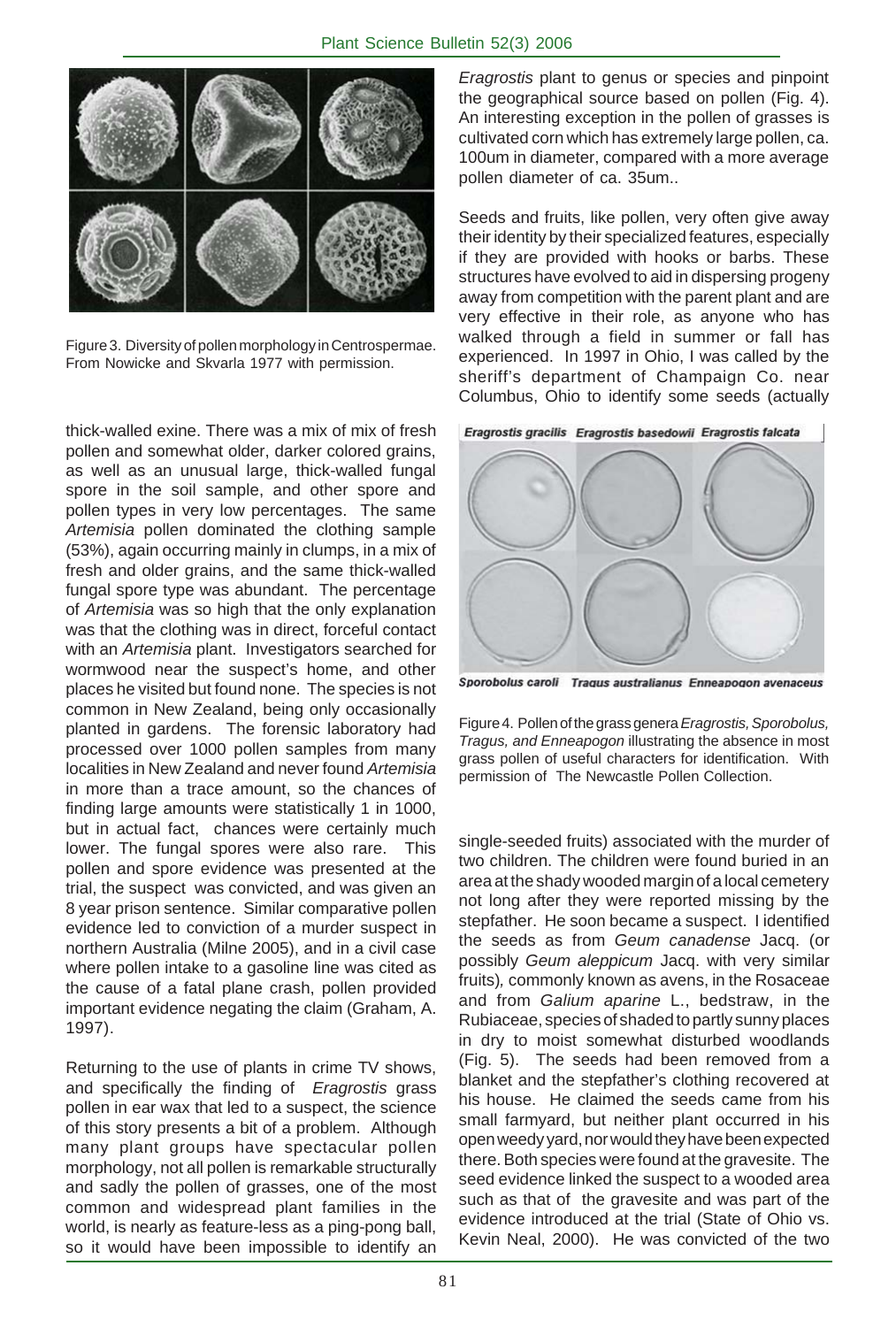

Figure 3. Diversity of pollen morphology in Centrospermae. From Nowicke and Skvarla 1977 with permission.

thick-walled exine. There was a mix of mix of fresh pollen and somewhat older, darker colored grains, as well as an unusual large, thick-walled fungal spore in the soil sample, and other spore and pollen types in very low percentages. The same *Artemisia* pollen dominated the clothing sample (53%), again occurring mainly in clumps, in a mix of fresh and older grains, and the same thick-walled fungal spore type was abundant. The percentage of *Artemisia* was so high that the only explanation was that the clothing was in direct, forceful contact with an *Artemisia* plant. Investigators searched for wormwood near the suspect's home, and other places he visited but found none. The species is not common in New Zealand, being only occasionally planted in gardens. The forensic laboratory had processed over 1000 pollen samples from many localities in New Zealand and never found *Artemisia* in more than a trace amount, so the chances of finding large amounts were statistically 1 in 1000, but in actual fact, chances were certainly much lower. The fungal spores were also rare. This pollen and spore evidence was presented at the trial, the suspect was convicted, and was given an 8 year prison sentence. Similar comparative pollen evidence led to conviction of a murder suspect in northern Australia (Milne 2005), and in a civil case where pollen intake to a gasoline line was cited as the cause of a fatal plane crash, pollen provided important evidence negating the claim (Graham, A. 1997).

Returning to the use of plants in crime TV shows, and specifically the finding of *Eragrostis* grass pollen in ear wax that led to a suspect, the science of this story presents a bit of a problem. Although many plant groups have spectacular pollen morphology, not all pollen is remarkable structurally and sadly the pollen of grasses, one of the most common and widespread plant families in the world, is nearly as feature-less as a ping-pong ball, so it would have been impossible to identify an

*Eragrostis* plant to genus or species and pinpoint the geographical source based on pollen (Fig. 4). An interesting exception in the pollen of grasses is cultivated corn which has extremely large pollen, ca. 100um in diameter, compared with a more average pollen diameter of ca. 35um..

Seeds and fruits, like pollen, very often give away their identity by their specialized features, especially if they are provided with hooks or barbs. These structures have evolved to aid in dispersing progeny away from competition with the parent plant and are very effective in their role, as anyone who has walked through a field in summer or fall has experienced. In 1997 in Ohio, I was called by the sheriff's department of Champaign Co. near Columbus, Ohio to identify some seeds (actually



Sporobolus caroli Tragus australianus Enneapogon avenaceus

Figure 4. Pollen of the grass genera *Eragrostis, Sporobolus, Tragus, and Enneapogon* illustrating the absence in most grass pollen of useful characters for identification. With permission of The Newcastle Pollen Collection.

single-seeded fruits) associated with the murder of two children. The children were found buried in an area at the shady wooded margin of a local cemetery not long after they were reported missing by the stepfather. He soon became a suspect. I identified the seeds as from *Geum canadense* Jacq. (or possibly *Geum aleppicum* Jacq. with very similar fruits)*,* commonly known as avens, in the Rosaceae and from *Galium aparine* L., bedstraw, in the Rubiaceae, species of shaded to partly sunny places in dry to moist somewhat disturbed woodlands (Fig. 5). The seeds had been removed from a blanket and the stepfather's clothing recovered at his house. He claimed the seeds came from his small farmyard, but neither plant occurred in his open weedy yard, nor would they have been expected there. Both species were found at the gravesite. The seed evidence linked the suspect to a wooded area such as that of the gravesite and was part of the evidence introduced at the trial (State of Ohio vs. Kevin Neal, 2000). He was convicted of the two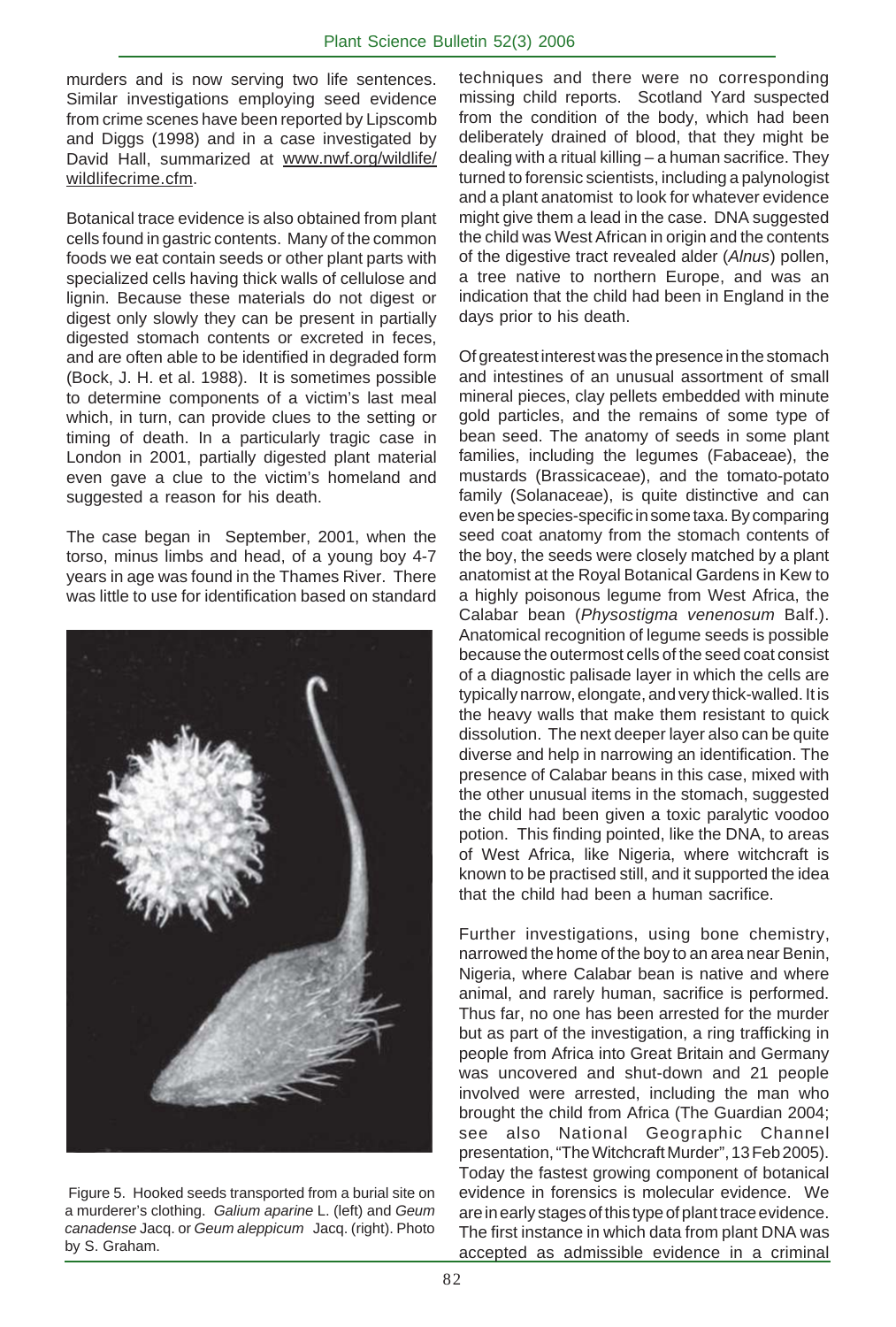murders and is now serving two life sentences. Similar investigations employing seed evidence from crime scenes have been reported by Lipscomb and Diggs (1998) and in a case investigated by David Hall, summarized at www.nwf.org/wildlife/ wildlifecrime.cfm.

Botanical trace evidence is also obtained from plant cells found in gastric contents.Many of the common foods we eat contain seeds or other plant parts with specialized cells having thick walls of cellulose and lignin. Because these materials do not digest or digest only slowly they can be present in partially digested stomach contents or excreted in feces, and are often able to be identified in degraded form (Bock, J. H. et al. 1988). It is sometimes possible to determine components of a victim's last meal which, in turn, can provide clues to the setting or timing of death. In a particularly tragic case in London in 2001, partially digested plant material even gave a clue to the victim's homeland and suggested a reason for his death.

The case began in September, 2001, when the torso, minus limbs and head, of a young boy 4-7 years in age was found in the Thames River. There was little to use for identification based on standard



 Figure 5. Hooked seeds transported from a burial site on a murderer's clothing. *Galium aparine* L. (left) and *Geum canadense* Jacq. or *Geum aleppicum* Jacq. (right). Photo by S. Graham.

techniques and there were no corresponding missing child reports. Scotland Yard suspected from the condition of the body, which had been deliberately drained of blood, that they might be dealing with a ritual killing – a human sacrifice. They turned to forensic scientists, including a palynologist and a plant anatomist to look for whatever evidence might give them a lead in the case. DNA suggested the child was West African in origin and the contents of the digestive tract revealed alder (*Alnus*) pollen, a tree native to northern Europe, and was an indication that the child had been in England in the days prior to his death.

Of greatest interest was the presence in the stomach and intestines of an unusual assortment of small mineral pieces, clay pellets embedded with minute gold particles, and the remains of some type of bean seed. The anatomy of seeds in some plant families, including the legumes (Fabaceae), the mustards (Brassicaceae), and the tomato-potato family (Solanaceae), is quite distinctive and can even be species-specific in some taxa. By comparing seed coat anatomy from the stomach contents of the boy, the seeds were closely matched by a plant anatomist at the Royal Botanical Gardens in Kew to a highly poisonous legume from West Africa, the Calabar bean (*Physostigma venenosum* Balf.). Anatomical recognition of legume seeds is possible because the outermost cells of the seed coat consist of a diagnostic palisade layer in which the cells are typically narrow, elongate, and very thick-walled. It is the heavy walls that make them resistant to quick dissolution. The next deeper layer also can be quite diverse and help in narrowing an identification. The presence of Calabar beans in this case, mixed with the other unusual items in the stomach, suggested the child had been given a toxic paralytic voodoo potion. This finding pointed, like the DNA, to areas of West Africa, like Nigeria, where witchcraft is known to be practised still, and it supported the idea that the child had been a human sacrifice.

Further investigations, using bone chemistry, narrowed the home of the boy to an area near Benin, Nigeria, where Calabar bean is native and where animal, and rarely human, sacrifice is performed. Thus far, no one has been arrested for the murder but as part of the investigation, a ring trafficking in people from Africa into Great Britain and Germany was uncovered and shut-down and 21 people involved were arrested, including the man who brought the child from Africa (The Guardian 2004; see also National Geographic Channel presentation, "The Witchcraft Murder", 13 Feb 2005). Today the fastest growing component of botanical evidence in forensics is molecular evidence. We are in early stages of this type of plant trace evidence. The first instance in which data from plant DNA was accepted as admissible evidence in a criminal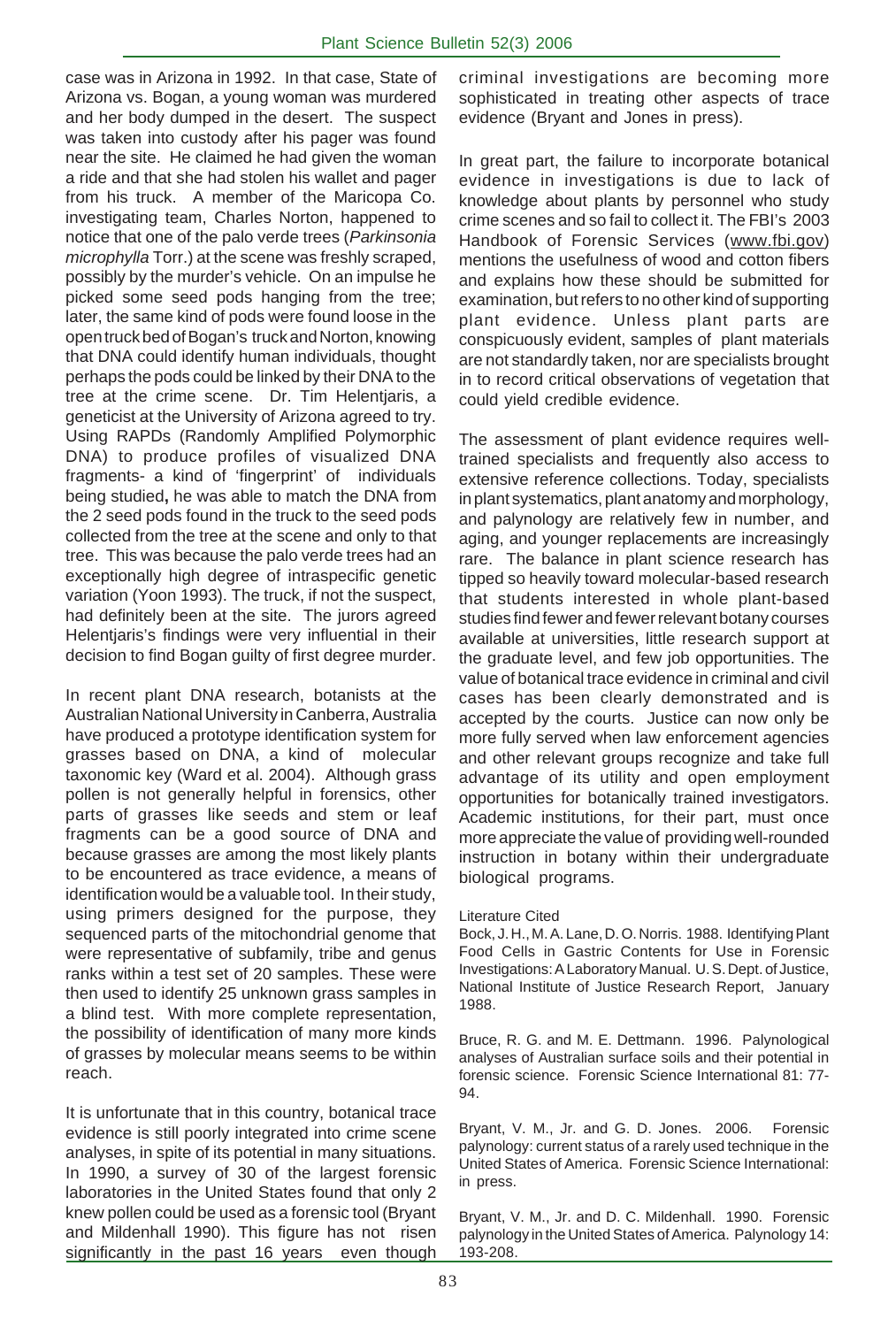case was in Arizona in 1992. In that case, State of Arizona vs. Bogan, a young woman was murdered and her body dumped in the desert. The suspect was taken into custody after his pager was found near the site. He claimed he had given the woman a ride and that she had stolen his wallet and pager from his truck. A member of the Maricopa Co. investigating team, Charles Norton, happened to notice that one of the palo verde trees (*Parkinsonia microphylla* Torr.) at the scene was freshly scraped, possibly by the murder's vehicle. On an impulse he picked some seed pods hanging from the tree; later, the same kind of pods were found loose in the open truck bed of Bogan's truck and Norton, knowing that DNA could identify human individuals, thought perhaps the pods could be linked by their DNA to the tree at the crime scene. Dr. Tim Helentjaris, a geneticist at the University of Arizona agreed to try. Using RAPDs (Randomly Amplified Polymorphic DNA) to produce profiles of visualized DNA fragments- a kind of 'fingerprint' of individuals being studied**,** he was able to match the DNA from the 2 seed pods found in the truck to the seed pods collected from the tree at the scene and only to that tree. This was because the palo verde trees had an exceptionally high degree of intraspecific genetic variation (Yoon 1993). The truck, if not the suspect, had definitely been at the site. The jurors agreed Helentjaris's findings were very influential in their decision to find Bogan guilty of first degree murder.

In recent plant DNA research, botanists at the Australian National University in Canberra, Australia have produced a prototype identification system for grasses based on DNA, a kind of molecular taxonomic key (Ward et al. 2004). Although grass pollen is not generally helpful in forensics, other parts of grasses like seeds and stem or leaf fragments can be a good source of DNA and because grasses are among the most likely plants to be encountered as trace evidence, a means of identification would be a valuable tool. In their study, using primers designed for the purpose, they sequenced parts of the mitochondrial genome that were representative of subfamily, tribe and genus ranks within a test set of 20 samples. These were then used to identify 25 unknown grass samples in a blind test. With more complete representation, the possibility of identification of many more kinds of grasses by molecular means seems to be within reach.

It is unfortunate that in this country, botanical trace evidence is still poorly integrated into crime scene analyses, in spite of its potential in many situations. In 1990, a survey of 30 of the largest forensic laboratories in the United States found that only 2 knew pollen could be used as a forensic tool (Bryant and Mildenhall 1990). This figure has not risen significantly in the past 16 years even though

criminal investigations are becoming more sophisticated in treating other aspects of trace evidence (Bryant and Jones in press).

In great part, the failure to incorporate botanical evidence in investigations is due to lack of knowledge about plants by personnel who study crime scenes and so fail to collect it. The FBI's 2003 Handbook of Forensic Services (www.fbi.gov) mentions the usefulness of wood and cotton fibers and explains how these should be submitted for examination, but refers to no other kind of supporting plant evidence. Unless plant parts are conspicuously evident, samples of plant materials are not standardly taken, nor are specialists brought in to record critical observations of vegetation that could yield credible evidence.

The assessment of plant evidence requires welltrained specialists and frequently also access to extensive reference collections. Today, specialists in plant systematics, plant anatomy and morphology, and palynology are relatively few in number, and aging, and younger replacements are increasingly rare. The balance in plant science research has tipped so heavily toward molecular-based research that students interested in whole plant-based studies find fewer and fewer relevant botany courses available at universities, little research support at the graduate level, and few job opportunities. The value of botanical trace evidence in criminal and civil cases has been clearly demonstrated and is accepted by the courts. Justice can now only be more fully served when law enforcement agencies and other relevant groups recognize and take full advantage of its utility and open employment opportunities for botanically trained investigators. Academic institutions, for their part, must once more appreciate the value of providing well-rounded instruction in botany within their undergraduate biological programs.

## Literature Cited

. Food Cells in Gastric Contents for Use in Forensic Bock, J. H., M. A. Lane, D. O. Norris. 1988. Identifying Plant Investigations: A Laboratory Manual. U. S. Dept. of Justice, National Institute of Justice Research Report, January 1988.

Bruce, R. G. and M. E. Dettmann. 1996. Palynological analyses of Australian surface soils and their potential in forensic science. Forensic Science International 81: 77- 94.

Bryant, V. M., Jr. and G. D. Jones. 2006. Forensic palynology: current status of a rarely used technique in the United States of America. Forensic Science International: in press.

Bryant, V. M., Jr. and D. C. Mildenhall. 1990. Forensic palynology in the United States of America. Palynology 14: 193-208.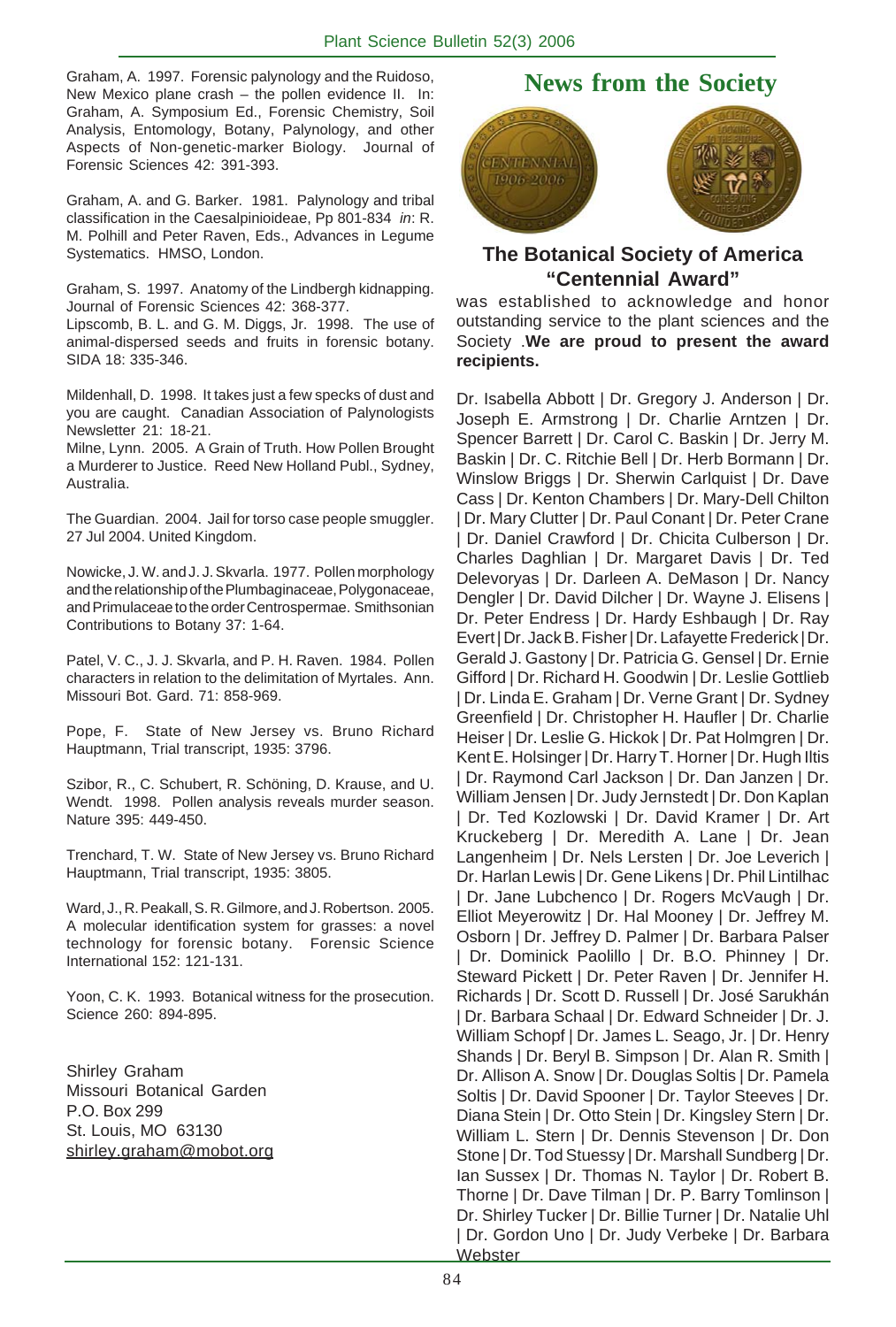Graham, A. 1997. Forensic palynology and the Ruidoso, New Mexico plane crash – the pollen evidence II. In: Graham, A. Symposium Ed., Forensic Chemistry, Soil Analysis, Entomology, Botany, Palynology, and other Aspects of Non-genetic-marker Biology. Journal of Forensic Sciences 42: 391-393.

Graham, A. and G. Barker. 1981. Palynology and tribal classification in the Caesalpinioideae, Pp 801-834 *in*: R. M. Polhill and Peter Raven, Eds., Advances in Legume Systematics. HMSO, London.

Graham, S. 1997. Anatomy of the Lindbergh kidnapping. Journal of Forensic Sciences 42: 368-377.

Lipscomb, B. L. and G. M. Diggs, Jr. 1998. The use of animal-dispersed seeds and fruits in forensic botany. SIDA 18: 335-346.

Mildenhall, D. 1998. It takes just a few specks of dust and you are caught. Canadian Association of Palynologists Newsletter 21: 18-21.

Milne, Lynn. 2005. A Grain of Truth. How Pollen Brought a Murderer to Justice. Reed New Holland Publ., Sydney, Australia.

The Guardian. 2004. Jail for torso case people smuggler. 27 Jul 2004. United Kingdom.

Nowicke, J. W. and J. J. Skvarla. 1977. Pollen morphology and the relationship of the Plumbaginaceae, Polygonaceae, and Primulaceae to the order Centrospermae. Smithsonian Contributions to Botany 37: 1-64.

Patel, V. C., J. J. Skvarla, and P. H. Raven. 1984. Pollen characters in relation to the delimitation of Myrtales. Ann. Missouri Bot. Gard. 71: 858-969.

Pope, F. State of New Jersey vs. Bruno Richard Hauptmann, Trial transcript, 1935: 3796.

Szibor, R., C. Schubert, R. Schöning, D. Krause, and U. Wendt. 1998. Pollen analysis reveals murder season. Nature 395: 449-450.

Trenchard, T. W. State of New Jersey vs. Bruno Richard Hauptmann, Trial transcript, 1935: 3805.

Ward, J., R. Peakall, S. R. Gilmore, and J. Robertson. 2005. A molecular identification system for grasses: a novel technology for forensic botany. Forensic Science International 152: 121-131.

Yoon, C. K. 1993. Botanical witness for the prosecution. Science 260: 894-895.

Shirley Graham Missouri Botanical Garden P.O. Box 299 St. Louis, MO 63130 shirley.graham@mobot.org

# **News from the Society**



# **The Botanical Society of America "Centennial Award"**

was established to acknowledge and honor outstanding service to the plant sciences and the Society .**We are proud to present the award recipients.**

Dr. Isabella Abbott | Dr. Gregory J. Anderson | Dr. Joseph E. Armstrong | Dr. Charlie Arntzen | Dr. Spencer Barrett | Dr. Carol C. Baskin | Dr. Jerry M. Baskin | Dr. C. Ritchie Bell | Dr. Herb Bormann | Dr. Winslow Briggs | Dr. Sherwin Carlquist | Dr. Dave Cass | Dr. Kenton Chambers | Dr. Mary-Dell Chilton | Dr. Mary Clutter | Dr. Paul Conant | Dr. Peter Crane Dr. Daniel Crawford | Dr. Chicita Culberson | Dr. Charles Daghlian | Dr. Margaret Davis | Dr. Ted Delevoryas | Dr. Darleen A. DeMason | Dr. Nancy Dengler | Dr. David Dilcher | Dr. Wayne J. Elisens | Dr. Peter Endress | Dr. Hardy Eshbaugh | Dr. Ray Evert | Dr. Jack B. Fisher | Dr. Lafayette Frederick | Dr. Gerald J. Gastony | Dr. Patricia G. Gensel | Dr. Ernie Gifford | Dr. Richard H. Goodwin | Dr. Leslie Gottlieb | Dr. Linda E. Graham | Dr. Verne Grant | Dr. Sydney Greenfield | Dr. Christopher H. Haufler | Dr. Charlie Heiser | Dr. Leslie G. Hickok | Dr. Pat Holmgren | Dr. Kent E. Holsinger | Dr. Harry T. Horner | Dr. Hugh Iltis | Dr. Raymond Carl Jackson | Dr. Dan Janzen | Dr. William Jensen | Dr. Judy Jernstedt | Dr. Don Kaplan | Dr. Ted Kozlowski | Dr. David Kramer | Dr. Art Kruckeberg | Dr. Meredith A. Lane | Dr. Jean Langenheim | Dr. Nels Lersten | Dr. Joe Leverich | Dr. Harlan Lewis | Dr. Gene Likens | Dr. Phil Lintilhac | Dr. Jane Lubchenco | Dr. Rogers McVaugh | Dr. Elliot Meyerowitz | Dr. Hal Mooney | Dr. Jeffrey M. Osborn | Dr. Jeffrey D. Palmer | Dr. Barbara Palser Dr. Dominick Paolillo | Dr. B.O. Phinney | Dr. Steward Pickett | Dr. Peter Raven | Dr. Jennifer H. Richards | Dr. Scott D. Russell | Dr. José Sarukhán | Dr. Barbara Schaal | Dr. Edward Schneider | Dr. J. William Schopf | Dr. James L. Seago, Jr. | Dr. Henry Shands | Dr. Beryl B. Simpson | Dr. Alan R. Smith | Dr. Allison A. Snow | Dr. Douglas Soltis | Dr. Pamela Soltis | Dr. David Spooner | Dr. Taylor Steeves | Dr. Diana Stein | Dr. Otto Stein | Dr. Kingsley Stern | Dr. William L. Stern | Dr. Dennis Stevenson | Dr. Don Stone | Dr. Tod Stuessy | Dr. Marshall Sundberg | Dr. Ian Sussex | Dr. Thomas N. Taylor | Dr. Robert B. Thorne | Dr. Dave Tilman | Dr. P. Barry Tomlinson | Dr. Shirley Tucker | Dr. Billie Turner | Dr. Natalie Uhl | Dr. Gordon Uno | Dr. Judy Verbeke | Dr. Barbara **Webster**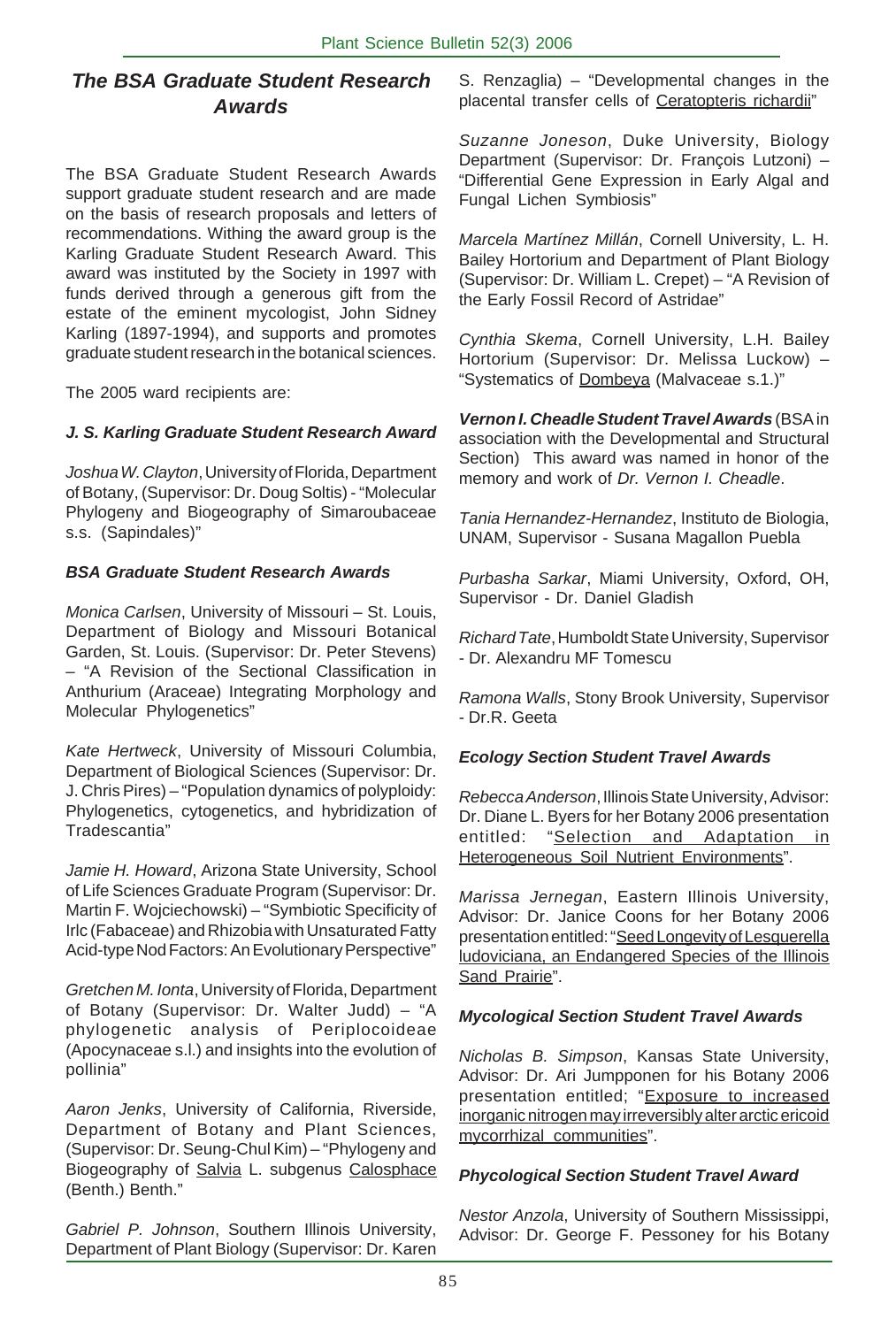# *The BSA Graduate Student Research Awards*

The BSA Graduate Student Research Awards support graduate student research and are made on the basis of research proposals and letters of recommendations. Withing the award group is the Karling Graduate Student Research Award. This award was instituted by the Society in 1997 with funds derived through a generous gift from the estate of the eminent mycologist, John Sidney Karling (1897-1994), and supports and promotes graduate student research in the botanical sciences.

The 2005 ward recipients are:

## *J. S. Karling Graduate Student Research Award*

*Joshua W. Clayton*, University of Florida, Department of Botany, (Supervisor: Dr. Doug Soltis) - "Molecular Phylogeny and Biogeography of Simaroubaceae s.s. (Sapindales)"

## *BSA Graduate Student Research Awards*

*Monica Carlsen*, University of Missouri – St. Louis, Department of Biology and Missouri Botanical Garden, St. Louis. (Supervisor: Dr. Peter Stevens) – "A Revision of the Sectional Classification in Anthurium (Araceae) Integrating Morphology and Molecular Phylogenetics"

*Kate Hertweck*, University of Missouri Columbia, Department of Biological Sciences (Supervisor: Dr. J. Chris Pires) – "Population dynamics of polyploidy: Phylogenetics, cytogenetics, and hybridization of Tradescantia"

*Jamie H. Howard*, Arizona State University, School of Life Sciences Graduate Program (Supervisor: Dr. Martin F. Wojciechowski) – "Symbiotic Specificity of Irlc (Fabaceae) and Rhizobia with Unsaturated Fatty Acid-type Nod Factors: An Evolutionary Perspective"

*Gretchen M. Ionta*, University of Florida, Department of Botany (Supervisor: Dr. Walter Judd) – "A phylogenetic analysis of Periplocoideae (Apocynaceae s.l.) and insights into the evolution of pollinia"

*Aaron Jenks*, University of California, Riverside, Department of Botany and Plant Sciences, (Supervisor: Dr. Seung-Chul Kim) – "Phylogeny and Biogeography of Salvia L. subgenus Calosphace (Benth.) Benth."

*Gabriel P. Johnson*, Southern Illinois University, Department of Plant Biology (Supervisor: Dr. Karen S. Renzaglia) – "Developmental changes in the placental transfer cells of Ceratopteris richardii"

*Suzanne Joneson*, Duke University, Biology Department (Supervisor: Dr. François Lutzoni) – "Differential Gene Expression in Early Algal and Fungal Lichen Symbiosis"

*Marcela Martínez Millán*, Cornell University, L. H. Bailey Hortorium and Department of Plant Biology (Supervisor: Dr. William L. Crepet) – "A Revision of the Early Fossil Record of Astridae"

*Cynthia Skema*, Cornell University, L.H. Bailey Hortorium (Supervisor: Dr. Melissa Luckow) – "Systematics of Dombeya (Malvaceae s.1.)"

*Vernon I. Cheadle Student Travel Awards* (BSA in association with the Developmental and Structural Section) This award was named in honor of the memory and work of *Dr. Vernon I. Cheadle*.

*Tania Hernandez-Hernandez*, Instituto de Biologia, UNAM, Supervisor - Susana Magallon Puebla

*Purbasha Sarkar*, Miami University, Oxford, OH, Supervisor - Dr. Daniel Gladish

*Richard Tate*, Humboldt State University, Supervisor - Dr. Alexandru MF Tomescu

*Ramona Walls*, Stony Brook University, Supervisor - Dr.R. Geeta

## *Ecology Section Student Travel Awards*

*Rebecca Anderson*, Illinois State University, Advisor: Dr. Diane L. Byers for her Botany 2006 presentation entitled: "Selection and Adaptation in Heterogeneous Soil Nutrient Environments".

*Marissa Jernegan*, Eastern Illinois University, Advisor: Dr. Janice Coons for her Botany 2006 presentation entitled: "Seed Longevity of Lesquerella ludoviciana, an Endangered Species of the Illinois Sand Prairie".

## *Mycological Section Student Travel Awards*

*Nicholas B. Simpson*, Kansas State University, Advisor: Dr. Ari Jumpponen for his Botany 2006 presentation entitled; "Exposure to increased inorganic nitrogen may irreversibly alter arctic ericoid mycorrhizal communities".

## *Phycological Section Student Travel Award*

*Nestor Anzola*, University of Southern Mississippi, Advisor: Dr. George F. Pessoney for his Botany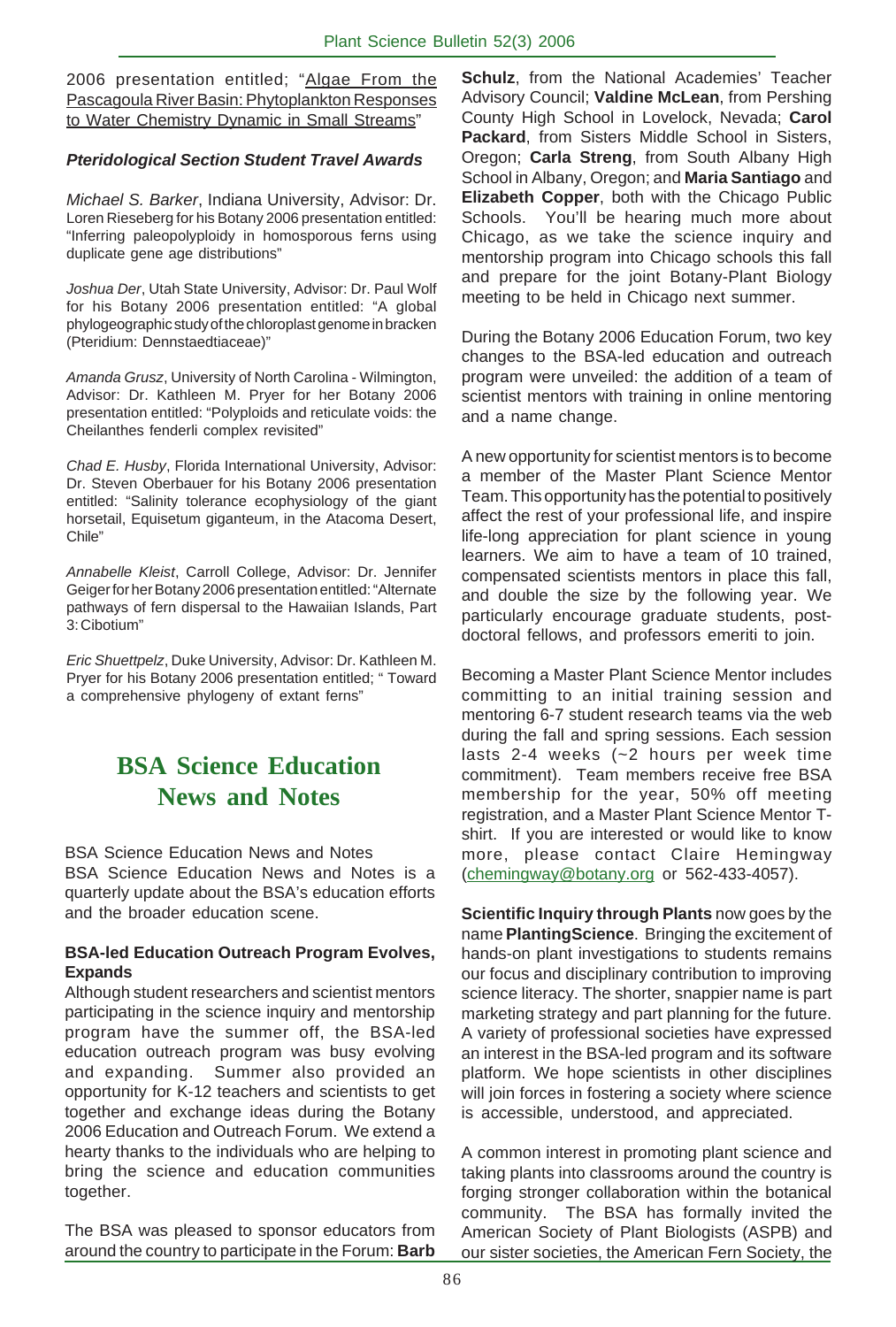2006 presentation entitled; "Algae From the Pascagoula River Basin: Phytoplankton Responses to Water Chemistry Dynamic in Small Streams"

## *Pteridological Section Student Travel Awards*

*Michael S. Barker*, Indiana University, Advisor: Dr. Loren Rieseberg for his Botany 2006 presentation entitled: "Inferring paleopolyploidy in homosporous ferns using duplicate gene age distributions"

*Joshua Der*, Utah State University, Advisor: Dr. Paul Wolf for his Botany 2006 presentation entitled: "A global phylogeographic study of the chloroplast genome in bracken (Pteridium: Dennstaedtiaceae)"

*Amanda Grusz*, University of North Carolina - Wilmington, Advisor: Dr. Kathleen M. Pryer for her Botany 2006 presentation entitled: "Polyploids and reticulate voids: the Cheilanthes fenderli complex revisited"

*Chad E. Husby*, Florida International University, Advisor: Dr. Steven Oberbauer for his Botany 2006 presentation entitled: "Salinity tolerance ecophysiology of the giant horsetail, Equisetum giganteum, in the Atacoma Desert, Chile"

*Annabelle Kleist*, Carroll College, Advisor: Dr. Jennifer Geiger for her Botany 2006 presentation entitled: "Alternate pathways of fern dispersal to the Hawaiian Islands, Part 3: Cibotium"

*Eric Shuettpelz*, Duke University, Advisor: Dr. Kathleen M. Pryer for his Botany 2006 presentation entitled; " Toward a comprehensive phylogeny of extant ferns"

# **BSA Science Education News and Notes**

BSA Science Education News and Notes

BSA Science Education News and Notes is a quarterly update about the BSA's education efforts and the broader education scene.

## **BSA-led Education Outreach Program Evolves, Expands**

Although student researchers and scientist mentors participating in the science inquiry and mentorship program have the summer off, the BSA-led education outreach program was busy evolving and expanding. Summer also provided an opportunity for K-12 teachers and scientists to get together and exchange ideas during the Botany 2006 Education and Outreach Forum. We extend a hearty thanks to the individuals who are helping to bring the science and education communities together.

The BSA was pleased to sponsor educators from around the country to participate in the Forum: **Barb**

**Schulz**, from the National Academies' Teacher Advisory Council; **Valdine McLean**, from Pershing County High School in Lovelock, Nevada; **Carol Packard**, from Sisters Middle School in Sisters, Oregon; **Carla Streng**, from South Albany High School in Albany, Oregon; and **Maria Santiago** and **Elizabeth Copper**, both with the Chicago Public Schools. You'll be hearing much more about Chicago, as we take the science inquiry and mentorship program into Chicago schools this fall and prepare for the joint Botany-Plant Biology meeting to be held in Chicago next summer.

During the Botany 2006 Education Forum, two key changes to the BSA-led education and outreach program were unveiled: the addition of a team of scientist mentors with training in online mentoring and a name change.

A new opportunity for scientist mentors is to become a member of the Master Plant Science Mentor Team. This opportunity has the potential to positively affect the rest of your professional life, and inspire life-long appreciation for plant science in young learners. We aim to have a team of 10 trained, compensated scientists mentors in place this fall, and double the size by the following year. We particularly encourage graduate students, postdoctoral fellows, and professors emeriti to join.

Becoming a Master Plant Science Mentor includes committing to an initial training session and mentoring 6-7 student research teams via the web during the fall and spring sessions. Each session lasts 2-4 weeks (~2 hours per week time commitment). Team members receive free BSA membership for the year, 50% off meeting registration, and a Master Plant Science Mentor Tshirt. If you are interested or would like to know more, please contact Claire Hemingway (chemingway@botany.org or 562-433-4057).

**Scientific Inquiry through Plants** now goes by the name **PlantingScience**. Bringing the excitement of hands-on plant investigations to students remains our focus and disciplinary contribution to improving science literacy. The shorter, snappier name is part marketing strategy and part planning for the future. A variety of professional societies have expressed an interest in the BSA-led program and its software platform. We hope scientists in other disciplines will join forces in fostering a society where science is accessible, understood, and appreciated.

A common interest in promoting plant science and taking plants into classrooms around the country is forging stronger collaboration within the botanical community. The BSA has formally invited the American Society of Plant Biologists (ASPB) and our sister societies, the American Fern Society, the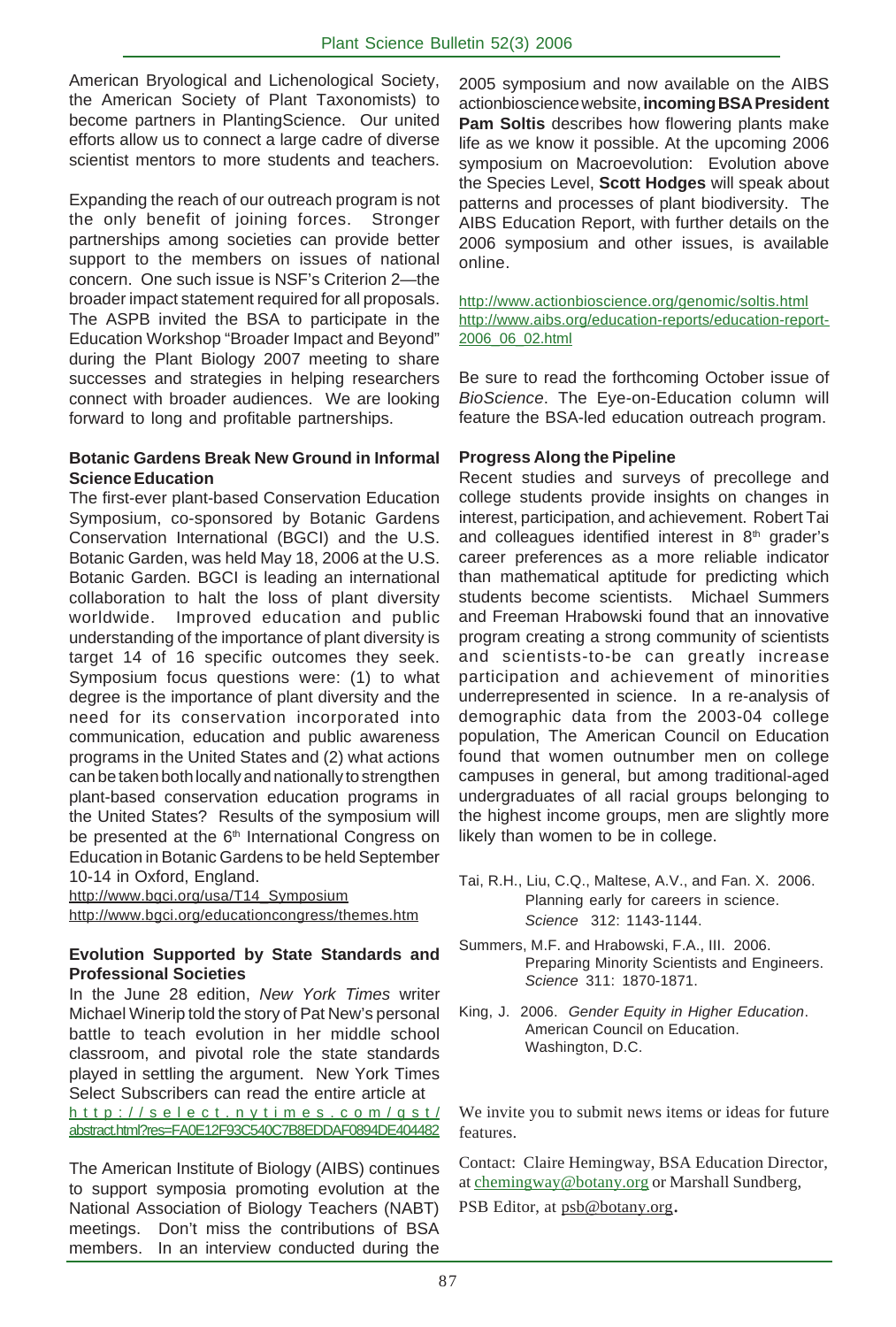American Bryological and Lichenological Society, the American Society of Plant Taxonomists) to become partners in PlantingScience. Our united efforts allow us to connect a large cadre of diverse scientist mentors to more students and teachers.

Expanding the reach of our outreach program is not the only benefit of joining forces. Stronger partnerships among societies can provide better support to the members on issues of national concern. One such issue is NSF's Criterion 2—the broader impact statement required for all proposals. The ASPB invited the BSA to participate in the Education Workshop "Broader Impact and Beyond" during the Plant Biology 2007 meeting to share successes and strategies in helping researchers connect with broader audiences. We are looking forward to long and profitable partnerships.

#### **Botanic Gardens Break New Ground in Informal Science Education**

The first-ever plant-based Conservation Education Symposium, co-sponsored by Botanic Gardens Conservation International (BGCI) and the U.S. Botanic Garden, was held May 18, 2006 at the U.S. Botanic Garden. BGCI is leading an international collaboration to halt the loss of plant diversity worldwide. Improved education and public understanding of the importance of plant diversity is target 14 of 16 specific outcomes they seek. Symposium focus questions were: (1) to what degree is the importance of plant diversity and the need for its conservation incorporated into communication, education and public awareness programs in the United States and (2) what actions can be taken both locally and nationally to strengthen plant-based conservation education programs in the United States? Results of the symposium will be presented at the 6<sup>th</sup> International Congress on Education in Botanic Gardens to be held September 10-14 in Oxford, England.

http://www.bgci.org/usa/T14\_Symposium http://www.bgci.org/educationcongress/themes.htm

## **Evolution Supported by State Standards and Professional Societies**

In the June 28 edition, *New York Times* writer Michael Winerip told the story of Pat New's personal battle to teach evolution in her middle school classroom, and pivotal role the state standards played in settling the argument. New York Times Select Subscribers can read the entire article at http://select.nytimes.com/gst/ abstract.html?res=FA0E12F93C540C7B8EDDAF0894DE404482

The American Institute of Biology (AIBS) continues to support symposia promoting evolution at the National Association of Biology Teachers (NABT) meetings. Don't miss the contributions of BSA members. In an interview conducted during the

2005 symposium and now available on the AIBS actionbioscience website, **incoming BSA President Pam Soltis** describes how flowering plants make life as we know it possible. At the upcoming 2006 symposium on Macroevolution: Evolution above the Species Level, **Scott Hodges** will speak about patterns and processes of plant biodiversity. The AIBS Education Report, with further details on the 2006 symposium and other issues, is available online.

#### http://www.actionbioscience.org/genomic/soltis.html http://www.aibs.org/education-reports/education-report-2006\_06\_02.html

Be sure to read the forthcoming October issue of *BioScience*. The Eye-on-Education column will feature the BSA-led education outreach program.

## **Progress Along the Pipeline**

Recent studies and surveys of precollege and college students provide insights on changes in interest, participation, and achievement. Robert Tai and colleagues identified interest in  $8<sup>th</sup>$  grader's career preferences as a more reliable indicator than mathematical aptitude for predicting which students become scientists. Michael Summers and Freeman Hrabowski found that an innovative program creating a strong community of scientists and scientists-to-be can greatly increase participation and achievement of minorities underrepresented in science. In a re-analysis of demographic data from the 2003-04 college population, The American Council on Education found that women outnumber men on college campuses in general, but among traditional-aged undergraduates of all racial groups belonging to the highest income groups, men are slightly more likely than women to be in college.

- Tai, R.H., Liu, C.Q., Maltese, A.V., and Fan. X. 2006. Planning early for careers in science. *Science* 312: 1143-1144.
- Summers, M.F. and Hrabowski, F.A., III. 2006. Preparing Minority Scientists and Engineers. *Science* 311: 1870-1871.
- King, J. 2006. *Gender Equity in Higher Education*. American Council on Education. Washington, D.C.

We invite you to submit news items or ideas for future features.

Contact: Claire Hemingway, BSA Education Director, at chemingway@botany.org or Marshall Sundberg,

PSB Editor, at psb@botany.org.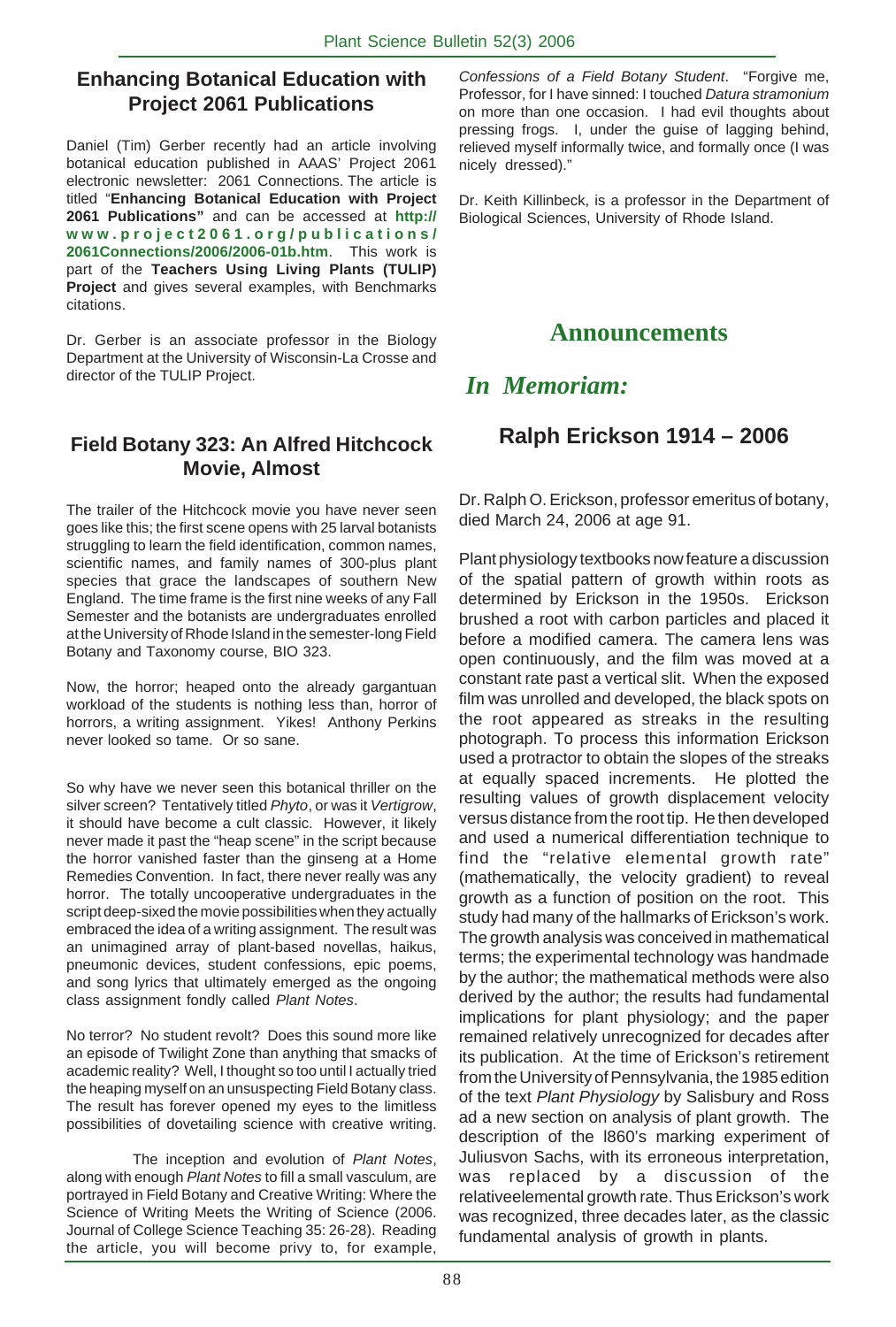## **Enhancing Botanical Education with Project 2061 Publications**

Daniel (Tim) Gerber recently had an article involving botanical education published in AAAS' Project 2061 electronic newsletter: 2061 Connections. The article is titled "**Enhancing Botanical Education with Project 2061 Publications"** and can be accessed at **http:// www.project2061.org/publications/ 2061Connections/2006/2006-01b.htm**. This work is part of the **Teachers Using Living Plants (TULIP) Project** and gives several examples, with Benchmarks citations.

Dr. Gerber is an associate professor in the Biology Department at the University of Wisconsin-La Crosse and director of the TULIP Project.

# **Field Botany 323: An Alfred Hitchcock Movie, Almost**

The trailer of the Hitchcock movie you have never seen goes like this; the first scene opens with 25 larval botanists struggling to learn the field identification, common names, scientific names, and family names of 300-plus plant species that grace the landscapes of southern New England. The time frame is the first nine weeks of any Fall Semester and the botanists are undergraduates enrolled at the University of Rhode Island in the semester-long Field Botany and Taxonomy course, BIO 323.

Now, the horror; heaped onto the already gargantuan workload of the students is nothing less than, horror of horrors, a writing assignment. Yikes! Anthony Perkins never looked so tame. Or so sane.

So why have we never seen this botanical thriller on the silver screen? Tentatively titled *Phyto*, or was it *Vertigrow*, it should have become a cult classic. However, it likely never made it past the "heap scene" in the script because the horror vanished faster than the ginseng at a Home Remedies Convention. In fact, there never really was any horror. The totally uncooperative undergraduates in the script deep-sixed the movie possibilities when they actually embraced the idea of a writing assignment. The result was an unimagined array of plant-based novellas, haikus, pneumonic devices, student confessions, epic poems, and song lyrics that ultimately emerged as the ongoing class assignment fondly called *Plant Notes*.

No terror? No student revolt? Does this sound more like an episode of Twilight Zone than anything that smacks of academic reality? Well, I thought so too until I actually tried the heaping myself on an unsuspecting Field Botany class. The result has forever opened my eyes to the limitless possibilities of dovetailing science with creative writing.

The inception and evolution of *Plant Notes*, along with enough *Plant Notes* to fill a small vasculum, are portrayed in Field Botany and Creative Writing: Where the Science of Writing Meets the Writing of Science (2006. Journal of College Science Teaching 35: 26-28). Reading the article, you will become privy to, for example, *Confessions of a Field Botany Student*. "Forgive me, Professor, for I have sinned: I touched *Datura stramonium* on more than one occasion. I had evil thoughts about pressing frogs. I, under the guise of lagging behind, relieved myself informally twice, and formally once (I was nicely dressed)."

Dr. Keith Killinbeck, is a professor in the Department of Biological Sciences, University of Rhode Island.

# **Announcements**

# *In Memoriam:*

# **Ralph Erickson 1914 – 2006**

Dr. Ralph O. Erickson, professor emeritus of botany, died March 24, 2006 at age 91.

Plant physiology textbooks now feature a discussion of the spatial pattern of growth within roots as determined by Erickson in the 1950s. Erickson brushed a root with carbon particles and placed it before a modified camera. The camera lens was open continuously, and the film was moved at a constant rate past a vertical slit. When the exposed film was unrolled and developed, the black spots on the root appeared as streaks in the resulting photograph. To process this information Erickson used a protractor to obtain the slopes of the streaks at equally spaced increments. He plotted the resulting values of growth displacement velocity versus distance from the root tip. He then developed and used a numerical differentiation technique to find the "relative elemental growth rate" (mathematically, the velocity gradient) to reveal growth as a function of position on the root. This study had many of the hallmarks of Erickson's work. The growth analysis was conceived in mathematical terms; the experimental technology was handmade by the author; the mathematical methods were also derived by the author; the results had fundamental implications for plant physiology; and the paper remained relatively unrecognized for decades after its publication. At the time of Erickson's retirement from the University of Pennsylvania, the 1985 edition of the text *Plant Physiology* by Salisbury and Ross ad a new section on analysis of plant growth. The description of the l860's marking experiment of Juliusvon Sachs, with its erroneous interpretation, was replaced by a discussion of the relativeelemental growth rate. Thus Erickson's work was recognized, three decades later, as the classic fundamental analysis of growth in plants.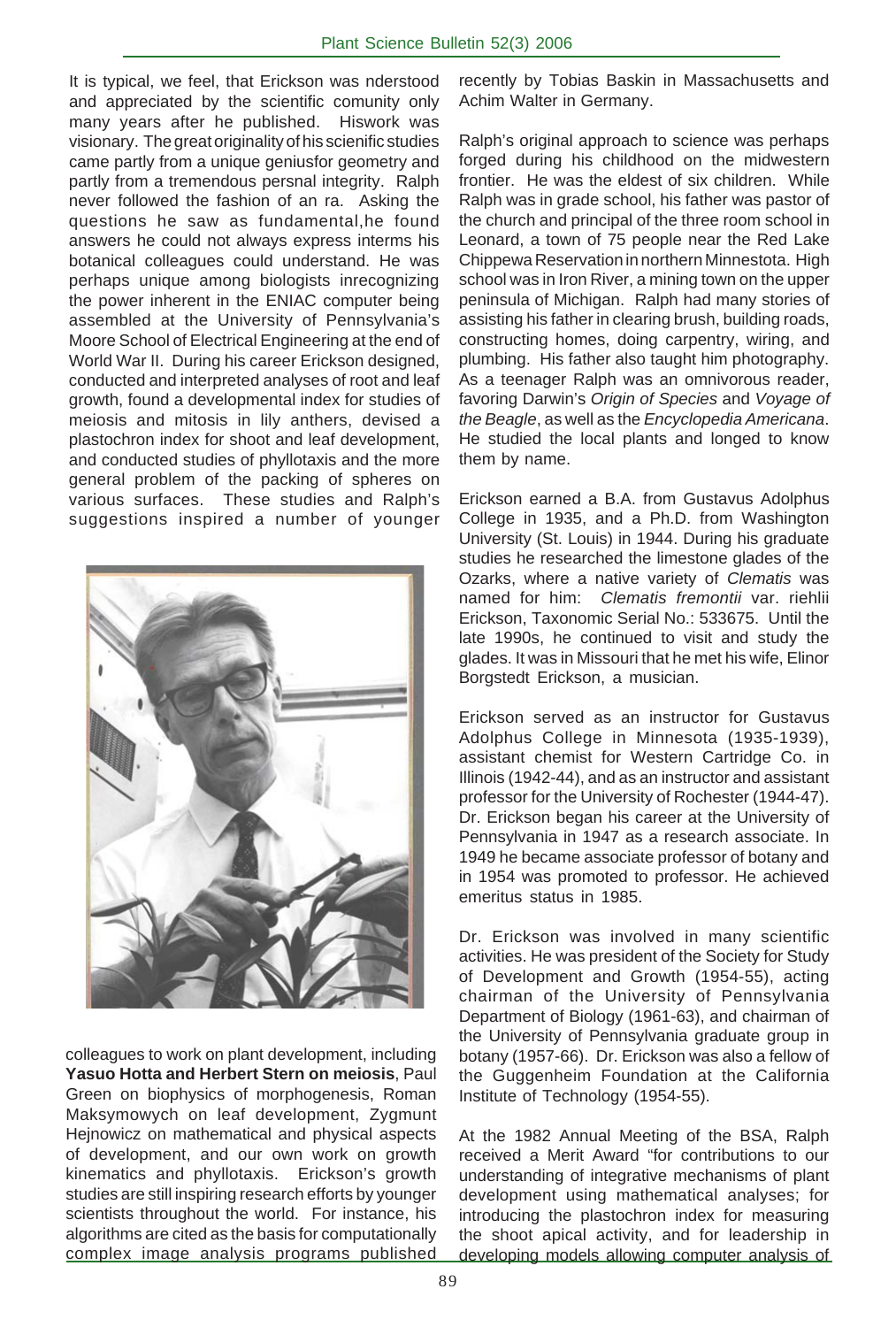It is typical, we feel, that Erickson was nderstood and appreciated by the scientific comunity only many years after he published. Hiswork was visionary. The great originality of his scienific studies came partly from a unique geniusfor geometry and partly from a tremendous persnal integrity. Ralph never followed the fashion of an ra. Asking the questions he saw as fundamental,he found answers he could not always express interms his botanical colleagues could understand. He was perhaps unique among biologists inrecognizing the power inherent in the ENIAC computer being assembled at the University of Pennsylvania's Moore School of Electrical Engineering at the end of World War II. During his career Erickson designed, conducted and interpreted analyses of root and leaf growth, found a developmental index for studies of meiosis and mitosis in lily anthers, devised a plastochron index for shoot and leaf development, and conducted studies of phyllotaxis and the more general problem of the packing of spheres on various surfaces. These studies and Ralph's suggestions inspired a number of younger



colleagues to work on plant development, including **Yasuo Hotta and Herbert Stern on meiosis**, Paul Green on biophysics of morphogenesis, Roman Maksymowych on leaf development, Zygmunt Hejnowicz on mathematical and physical aspects of development, and our own work on growth kinematics and phyllotaxis. Erickson's growth studies are still inspiring research efforts by younger scientists throughout the world. For instance, his algorithms are cited as the basis for computationally complex image analysis programs published recently by Tobias Baskin in Massachusetts and Achim Walter in Germany.

Ralph's original approach to science was perhaps forged during his childhood on the midwestern frontier. He was the eldest of six children. While Ralph was in grade school, his father was pastor of the church and principal of the three room school in Leonard, a town of 75 people near the Red Lake Chippewa Reservation in northern Minnestota. High school was in Iron River, a mining town on the upper peninsula of Michigan. Ralph had many stories of assisting his father in clearing brush, building roads, constructing homes, doing carpentry, wiring, and plumbing. His father also taught him photography. As a teenager Ralph was an omnivorous reader, favoring Darwin's *Origin of Species* and *Voyage of the Beagle*, as well as the *Encyclopedia Americana*. He studied the local plants and longed to know them by name.

Erickson earned a B.A. from Gustavus Adolphus College in 1935, and a Ph.D. from Washington University (St. Louis) in 1944. During his graduate studies he researched the limestone glades of the Ozarks, where a native variety of *Clematis* was named for him: *Clematis fremontii* var. riehlii Erickson, Taxonomic Serial No.: 533675. Until the late 1990s, he continued to visit and study the glades. It was in Missouri that he met his wife, Elinor Borgstedt Erickson, a musician.

Erickson served as an instructor for Gustavus Adolphus College in Minnesota (1935-1939), assistant chemist for Western Cartridge Co. in Illinois (1942-44), and as an instructor and assistant professor for the University of Rochester (1944-47). Dr. Erickson began his career at the University of Pennsylvania in 1947 as a research associate. In 1949 he became associate professor of botany and in 1954 was promoted to professor. He achieved emeritus status in 1985.

Dr. Erickson was involved in many scientific activities. He was president of the Society for Study of Development and Growth (1954-55), acting chairman of the University of Pennsylvania Department of Biology (1961-63), and chairman of the University of Pennsylvania graduate group in botany (1957-66). Dr. Erickson was also a fellow of the Guggenheim Foundation at the California Institute of Technology (1954-55).

At the 1982 Annual Meeting of the BSA, Ralph received a Merit Award "for contributions to our understanding of integrative mechanisms of plant development using mathematical analyses; for introducing the plastochron index for measuring the shoot apical activity, and for leadership in developing models allowing computer analysis of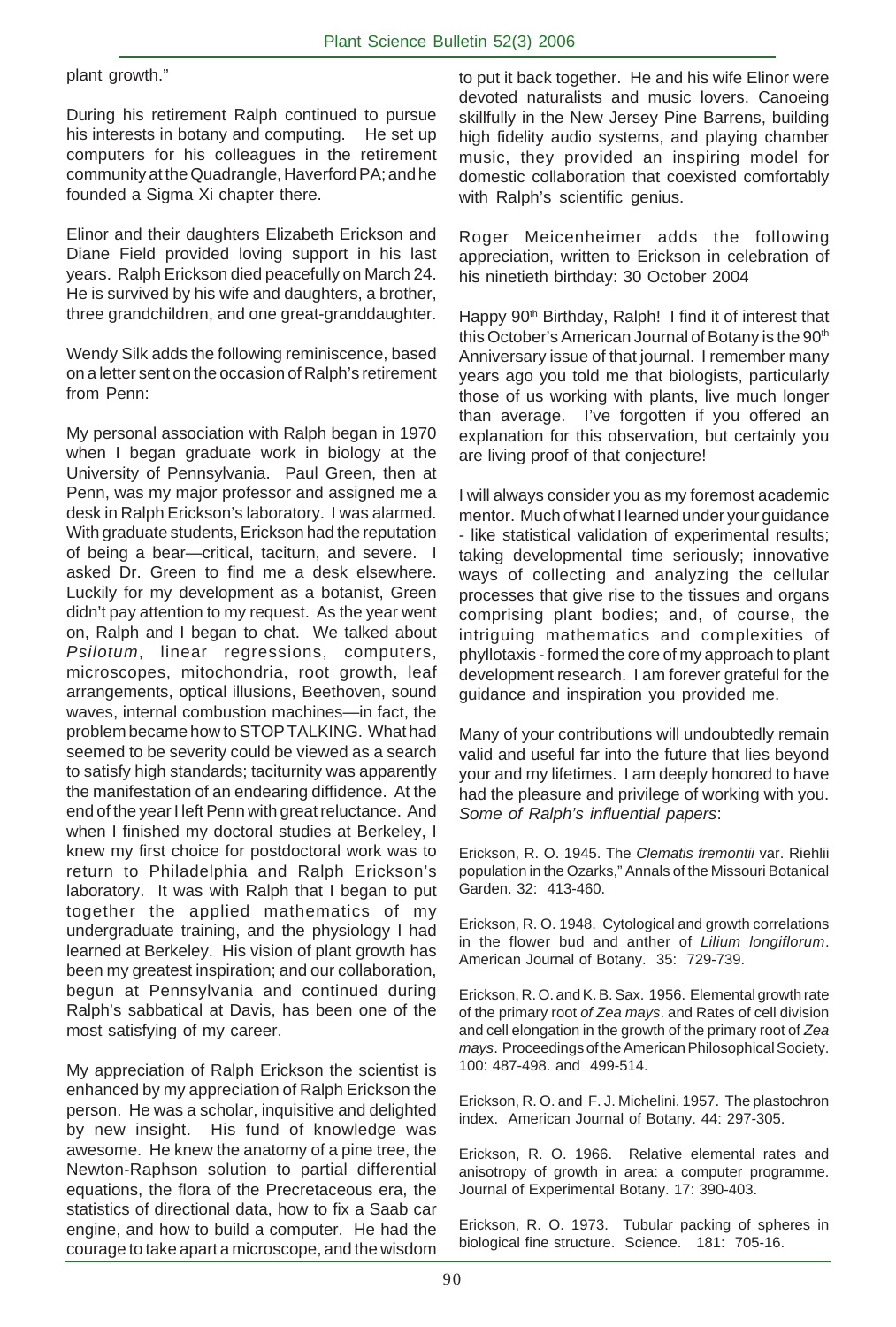plant growth."

During his retirement Ralph continued to pursue his interests in botany and computing. He set up computers for his colleagues in the retirement community at the Quadrangle, Haverford PA; and he founded a Sigma Xi chapter there.

Elinor and their daughters Elizabeth Erickson and Diane Field provided loving support in his last years. Ralph Erickson died peacefully on March 24. He is survived by his wife and daughters, a brother, three grandchildren, and one great-granddaughter.

Wendy Silk adds the following reminiscence, based on a letter sent on the occasion of Ralph's retirement from Penn:

My personal association with Ralph began in 1970 when I began graduate work in biology at the University of Pennsylvania. Paul Green, then at Penn, was my major professor and assigned me a desk in Ralph Erickson's laboratory. I was alarmed. With graduate students, Erickson had the reputation of being a bear—critical, taciturn, and severe. I asked Dr. Green to find me a desk elsewhere. Luckily for my development as a botanist, Green didn't pay attention to my request. As the year went on, Ralph and I began to chat. We talked about *Psilotum*, linear regressions, computers, microscopes, mitochondria, root growth, leaf arrangements, optical illusions, Beethoven, sound waves, internal combustion machines—in fact, the problem became how to STOP TALKING. What had seemed to be severity could be viewed as a search to satisfy high standards; taciturnity was apparently the manifestation of an endearing diffidence. At the end of the year I left Penn with great reluctance. And when I finished my doctoral studies at Berkeley, I knew my first choice for postdoctoral work was to return to Philadelphia and Ralph Erickson's laboratory. It was with Ralph that I began to put together the applied mathematics of my undergraduate training, and the physiology I had learned at Berkeley. His vision of plant growth has been my greatest inspiration; and our collaboration, begun at Pennsylvania and continued during Ralph's sabbatical at Davis, has been one of the most satisfying of my career.

My appreciation of Ralph Erickson the scientist is enhanced by my appreciation of Ralph Erickson the person. He was a scholar, inquisitive and delighted by new insight. His fund of knowledge was awesome. He knew the anatomy of a pine tree, the Newton-Raphson solution to partial differential equations, the flora of the Precretaceous era, the statistics of directional data, how to fix a Saab car engine, and how to build a computer. He had the courage to take apart a microscope, and the wisdom

to put it back together. He and his wife Elinor were devoted naturalists and music lovers. Canoeing skillfully in the New Jersey Pine Barrens, building high fidelity audio systems, and playing chamber music, they provided an inspiring model for domestic collaboration that coexisted comfortably with Ralph's scientific genius.

Roger Meicenheimer adds the following appreciation, written to Erickson in celebration of his ninetieth birthday: 30 October 2004

Happy 90<sup>th</sup> Birthday, Ralph! I find it of interest that this October's American Journal of Botany is the 90<sup>th</sup> Anniversary issue of that journal. I remember many years ago you told me that biologists, particularly those of us working with plants, live much longer than average. I've forgotten if you offered an explanation for this observation, but certainly you are living proof of that conjecture!

I will always consider you as my foremost academic mentor. Much of what I learned under your guidance - like statistical validation of experimental results; taking developmental time seriously; innovative ways of collecting and analyzing the cellular processes that give rise to the tissues and organs comprising plant bodies; and, of course, the intriguing mathematics and complexities of phyllotaxis - formed the core of my approach to plant development research. I am forever grateful for the guidance and inspiration you provided me.

Many of your contributions will undoubtedly remain valid and useful far into the future that lies beyond your and my lifetimes. I am deeply honored to have had the pleasure and privilege of working with you. *Some of Ralph's influential papers*:

Erickson, R. O. 1945. The *Clematis fremontii* var. Riehlii population in the Ozarks," Annals of the Missouri Botanical Garden. 32: 413-460.

Erickson, R. O. 1948. Cytological and growth correlations in the flower bud and anther of *Lilium longiflorum*. American Journal of Botany. 35: 729-739.

Erickson, R. O. and K. B. Sax. 1956. Elemental growth rate of the primary root *of Zea mays*. and Rates of cell division and cell elongation in the growth of the primary root of *Zea mays*. Proceedings of the American Philosophical Society. 100: 487-498. and 499-514.

Erickson, R. O. and F. J. Michelini. 1957. The plastochron index. American Journal of Botany. 44: 297-305.

Erickson, R. O. 1966. Relative elemental rates and anisotropy of growth in area: a computer programme. Journal of Experimental Botany. 17: 390-403.

Erickson, R. O. 1973. Tubular packing of spheres in biological fine structure. Science. 181: 705-16.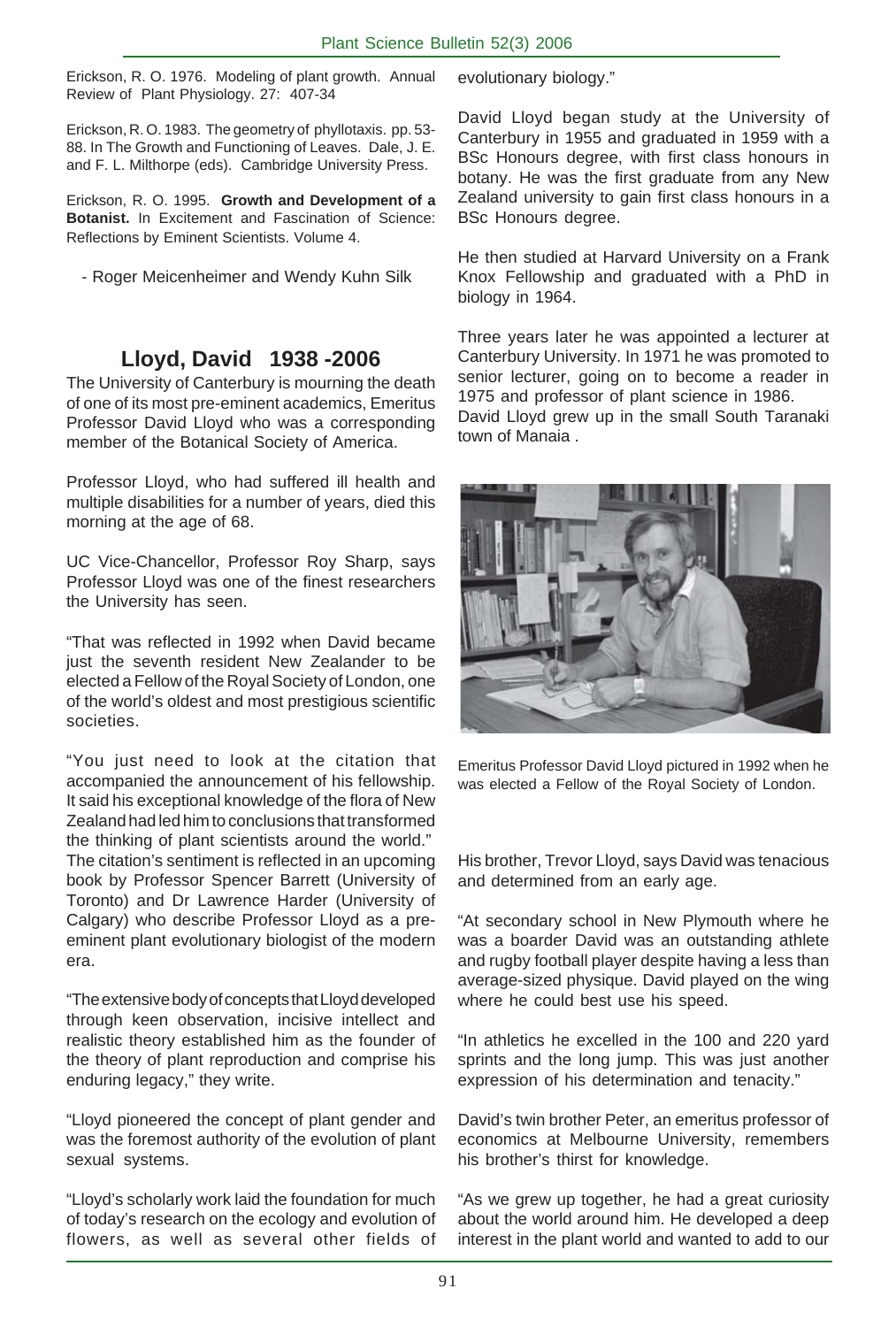Erickson, R. O. 1976. Modeling of plant growth. Annual Review of Plant Physiology. 27: 407-34

Erickson, R. O. 1983. The geometry of phyllotaxis. pp. 53- 88. In The Growth and Functioning of Leaves. Dale, J. E. and F. L. Milthorpe (eds). Cambridge University Press.

Erickson, R. O. 1995. **Growth and Development of a Botanist.** In Excitement and Fascination of Science: Reflections by Eminent Scientists. Volume 4.

- Roger Meicenheimer and Wendy Kuhn Silk

# **Lloyd, David 1938 -2006**

The University of Canterbury is mourning the death of one of its most pre-eminent academics, Emeritus Professor David Lloyd who was a corresponding member of the Botanical Society of America.

Professor Lloyd, who had suffered ill health and multiple disabilities for a number of years, died this morning at the age of 68.

UC Vice-Chancellor, Professor Roy Sharp, says Professor Lloyd was one of the finest researchers the University has seen.

"That was reflected in 1992 when David became just the seventh resident New Zealander to be elected a Fellow of the Royal Society of London, one of the world's oldest and most prestigious scientific societies.

"You just need to look at the citation that accompanied the announcement of his fellowship. It said his exceptional knowledge of the flora of New Zealand had led him to conclusions that transformed the thinking of plant scientists around the world." The citation's sentiment is reflected in an upcoming book by Professor Spencer Barrett (University of Toronto) and Dr Lawrence Harder (University of Calgary) who describe Professor Lloyd as a preeminent plant evolutionary biologist of the modern era.

"The extensive body of concepts that Lloyd developed through keen observation, incisive intellect and realistic theory established him as the founder of the theory of plant reproduction and comprise his enduring legacy," they write.

"Lloyd pioneered the concept of plant gender and was the foremost authority of the evolution of plant sexual systems.

"Lloyd's scholarly work laid the foundation for much of today's research on the ecology and evolution of flowers, as well as several other fields of evolutionary biology."

David Lloyd began study at the University of Canterbury in 1955 and graduated in 1959 with a BSc Honours degree, with first class honours in botany. He was the first graduate from any New Zealand university to gain first class honours in a BSc Honours degree.

He then studied at Harvard University on a Frank Knox Fellowship and graduated with a PhD in biology in 1964.

Three years later he was appointed a lecturer at Canterbury University. In 1971 he was promoted to senior lecturer, going on to become a reader in 1975 and professor of plant science in 1986. David Lloyd grew up in the small South Taranaki town of Manaia .



Emeritus Professor David Lloyd pictured in 1992 when he was elected a Fellow of the Royal Society of London.

His brother, Trevor Lloyd, says David was tenacious and determined from an early age.

"At secondary school in New Plymouth where he was a boarder David was an outstanding athlete and rugby football player despite having a less than average-sized physique. David played on the wing where he could best use his speed.

"In athletics he excelled in the 100 and 220 yard sprints and the long jump. This was just another expression of his determination and tenacity."

David's twin brother Peter, an emeritus professor of economics at Melbourne University, remembers his brother's thirst for knowledge.

"As we grew up together, he had a great curiosity about the world around him. He developed a deep interest in the plant world and wanted to add to our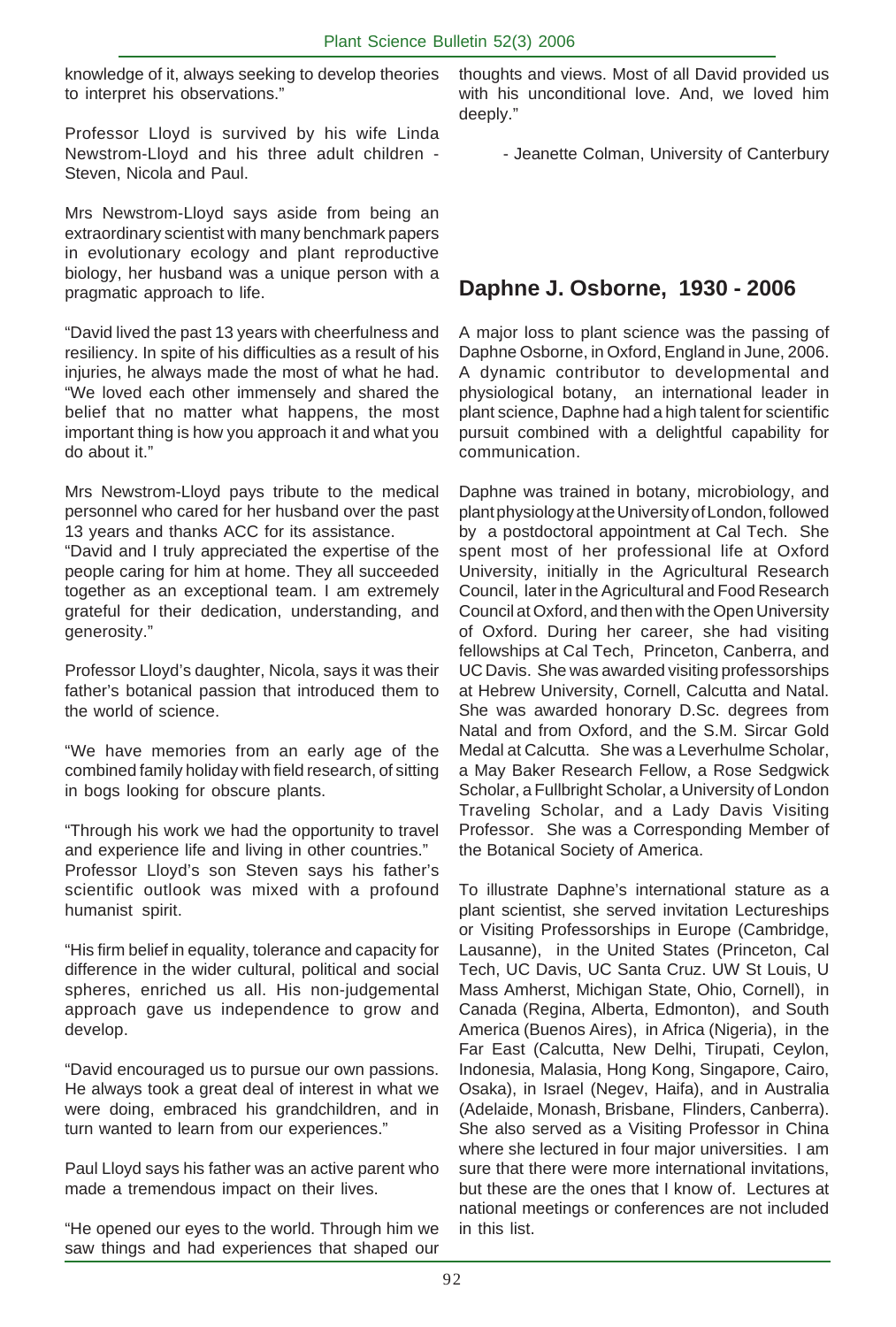knowledge of it, always seeking to develop theories to interpret his observations."

Professor Lloyd is survived by his wife Linda Newstrom-Lloyd and his three adult children - Steven, Nicola and Paul.

Mrs Newstrom-Lloyd says aside from being an extraordinary scientist with many benchmark papers in evolutionary ecology and plant reproductive biology, her husband was a unique person with a pragmatic approach to life.

"David lived the past 13 years with cheerfulness and resiliency. In spite of his difficulties as a result of his injuries, he always made the most of what he had. "We loved each other immensely and shared the belief that no matter what happens, the most important thing is how you approach it and what you do about it."

Mrs Newstrom-Lloyd pays tribute to the medical personnel who cared for her husband over the past 13 years and thanks ACC for its assistance.

"David and I truly appreciated the expertise of the people caring for him at home. They all succeeded together as an exceptional team. I am extremely grateful for their dedication, understanding, and generosity."

Professor Lloyd's daughter, Nicola, says it was their father's botanical passion that introduced them to the world of science.

"We have memories from an early age of the combined family holiday with field research, of sitting in bogs looking for obscure plants.

"Through his work we had the opportunity to travel and experience life and living in other countries." Professor Lloyd's son Steven says his father's scientific outlook was mixed with a profound humanist spirit.

"His firm belief in equality, tolerance and capacity for difference in the wider cultural, political and social spheres, enriched us all. His non-judgemental approach gave us independence to grow and develop.

"David encouraged us to pursue our own passions. He always took a great deal of interest in what we were doing, embraced his grandchildren, and in turn wanted to learn from our experiences."

Paul Lloyd says his father was an active parent who made a tremendous impact on their lives.

"He opened our eyes to the world. Through him we saw things and had experiences that shaped our thoughts and views. Most of all David provided us with his unconditional love. And, we loved him deeply."

- Jeanette Colman, University of Canterbury

# **Daphne J. Osborne, 1930 - 2006**

A major loss to plant science was the passing of Daphne Osborne, in Oxford, England in June, 2006. A dynamic contributor to developmental and physiological botany, an international leader in plant science, Daphne had a high talent for scientific pursuit combined with a delightful capability for communication.

Daphne was trained in botany, microbiology, and plant physiology at the University of London, followed by a postdoctoral appointment at Cal Tech. She spent most of her professional life at Oxford University, initially in the Agricultural Research Council, later in the Agricultural and Food Research Council at Oxford, and then with the Open University of Oxford. During her career, she had visiting fellowships at Cal Tech, Princeton, Canberra, and UC Davis. She was awarded visiting professorships at Hebrew University, Cornell, Calcutta and Natal. She was awarded honorary D.Sc. degrees from Natal and from Oxford, and the S.M. Sircar Gold Medal at Calcutta. She was a Leverhulme Scholar, a May Baker Research Fellow, a Rose Sedgwick Scholar, a Fullbright Scholar, a University of London Traveling Scholar, and a Lady Davis Visiting Professor. She was a Corresponding Member of the Botanical Society of America.

To illustrate Daphne's international stature as a plant scientist, she served invitation Lectureships or Visiting Professorships in Europe (Cambridge, Lausanne), in the United States (Princeton, Cal Tech, UC Davis, UC Santa Cruz. UW St Louis, U Mass Amherst, Michigan State, Ohio, Cornell), in Canada (Regina, Alberta, Edmonton), and South America (Buenos Aires), in Africa (Nigeria), in the Far East (Calcutta, New Delhi, Tirupati, Ceylon, Indonesia, Malasia, Hong Kong, Singapore, Cairo, Osaka), in Israel (Negev, Haifa), and in Australia (Adelaide, Monash, Brisbane, Flinders, Canberra). She also served as a Visiting Professor in China where she lectured in four major universities. I am sure that there were more international invitations. but these are the ones that I know of. Lectures at national meetings or conferences are not included in this list.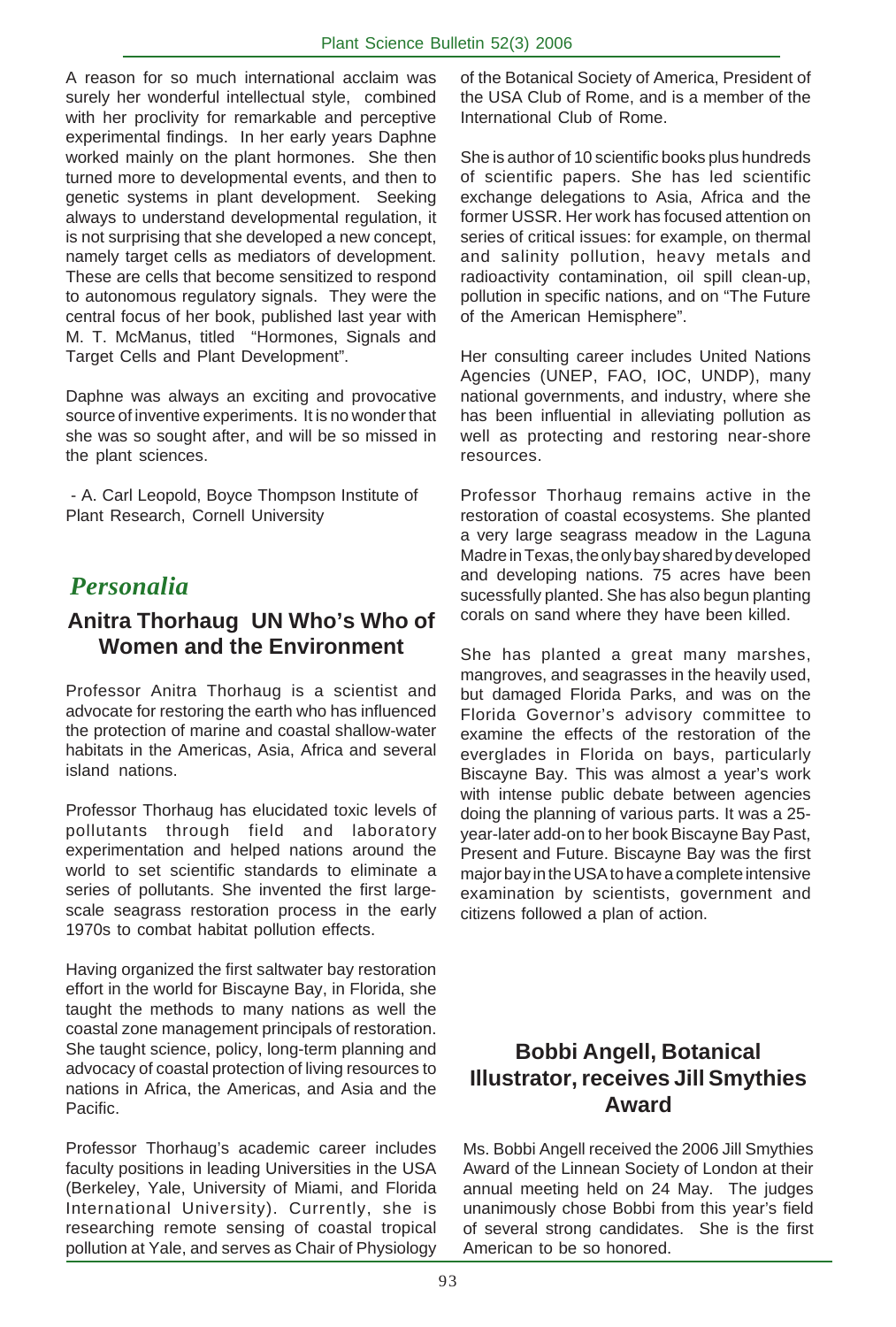A reason for so much international acclaim was surely her wonderful intellectual style, combined with her proclivity for remarkable and perceptive experimental findings. In her early years Daphne worked mainly on the plant hormones. She then turned more to developmental events, and then to genetic systems in plant development. Seeking always to understand developmental regulation, it is not surprising that she developed a new concept, namely target cells as mediators of development. These are cells that become sensitized to respond to autonomous regulatory signals. They were the central focus of her book, published last year with M. T. McManus, titled "Hormones, Signals and Target Cells and Plant Development".

Daphne was always an exciting and provocative source of inventive experiments. It is no wonder that she was so sought after, and will be so missed in the plant sciences.

 - A. Carl Leopold, Boyce Thompson Institute of Plant Research, Cornell University

# *Personalia*

# **Anitra Thorhaug UN Who's Who of Women and the Environment**

Professor Anitra Thorhaug is a scientist and advocate for restoring the earth who has influenced the protection of marine and coastal shallow-water habitats in the Americas, Asia, Africa and several island nations.

Professor Thorhaug has elucidated toxic levels of pollutants through field and laboratory experimentation and helped nations around the world to set scientific standards to eliminate a series of pollutants. She invented the first largescale seagrass restoration process in the early 1970s to combat habitat pollution effects.

Having organized the first saltwater bay restoration effort in the world for Biscayne Bay, in Florida, she taught the methods to many nations as well the coastal zone management principals of restoration. She taught science, policy, long-term planning and advocacy of coastal protection of living resources to nations in Africa, the Americas, and Asia and the Pacific.

Professor Thorhaug's academic career includes faculty positions in leading Universities in the USA (Berkeley, Yale, University of Miami, and Florida International University). Currently, she is researching remote sensing of coastal tropical pollution at Yale, and serves as Chair of Physiology

of the Botanical Society of America, President of the USA Club of Rome, and is a member of the International Club of Rome.

She is author of 10 scientific books plus hundreds of scientific papers. She has led scientific exchange delegations to Asia, Africa and the former USSR. Her work has focused attention on series of critical issues: for example, on thermal and salinity pollution, heavy metals and radioactivity contamination, oil spill clean-up, pollution in specific nations, and on "The Future of the American Hemisphere".

Her consulting career includes United Nations Agencies (UNEP, FAO, IOC, UNDP), many national governments, and industry, where she has been influential in alleviating pollution as well as protecting and restoring near-shore resources.

Professor Thorhaug remains active in the restoration of coastal ecosystems. She planted a very large seagrass meadow in the Laguna Madre in Texas, the only bay shared by developed and developing nations. 75 acres have been sucessfully planted. She has also begun planting corals on sand where they have been killed.

She has planted a great many marshes, mangroves, and seagrasses in the heavily used, but damaged Florida Parks, and was on the Florida Governor's advisory committee to examine the effects of the restoration of the everglades in Florida on bays, particularly Biscayne Bay. This was almost a year's work with intense public debate between agencies doing the planning of various parts. It was a 25 year-later add-on to her book Biscayne Bay Past, Present and Future. Biscayne Bay was the first major bay in the USA to have a complete intensive examination by scientists, government and citizens followed a plan of action.

# **Bobbi Angell, Botanical Illustrator, receives Jill Smythies Award**

Ms. Bobbi Angell received the 2006 Jill Smythies Award of the Linnean Society of London at their annual meeting held on 24 May. The judges unanimously chose Bobbi from this year's field of several strong candidates. She is the first American to be so honored.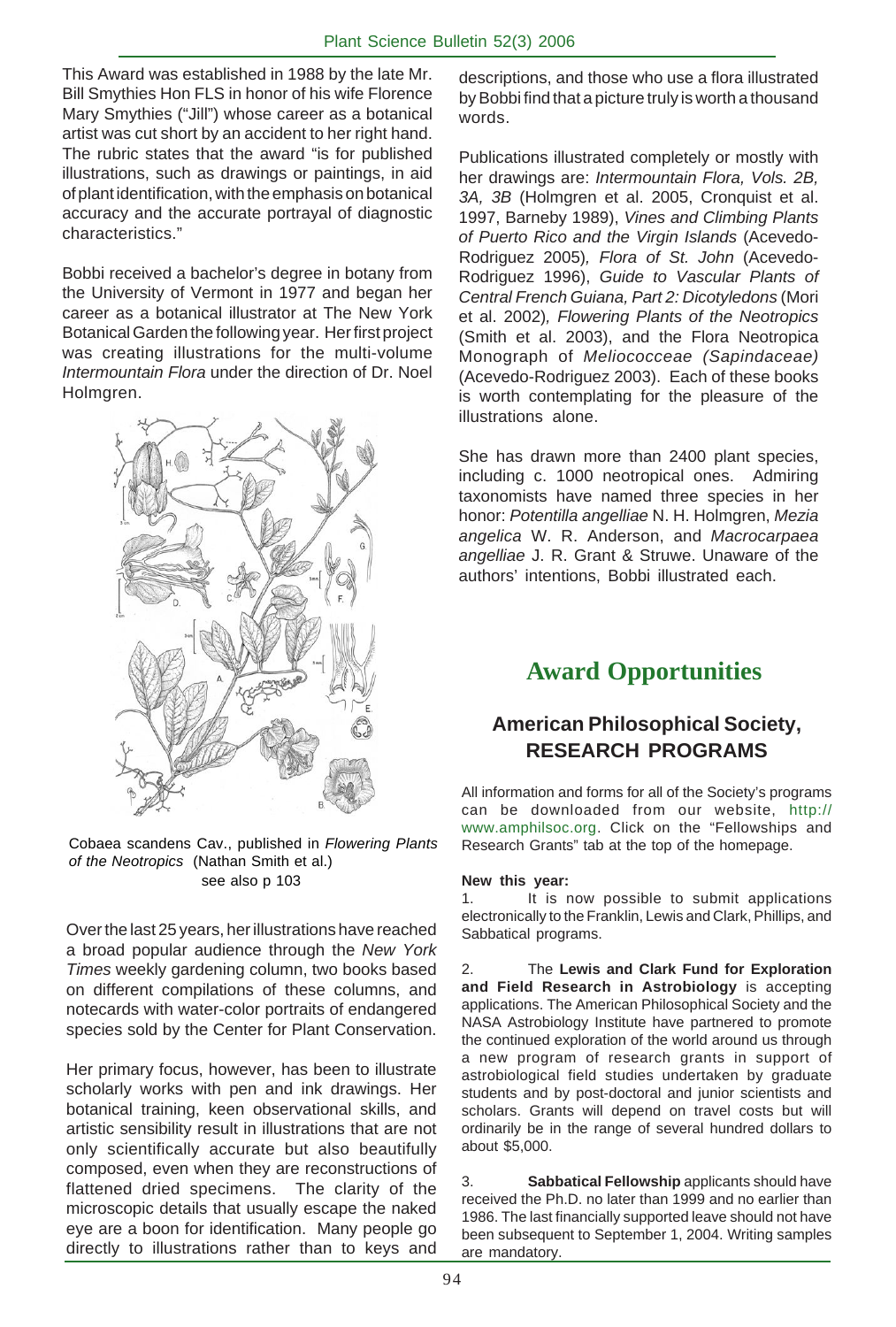This Award was established in 1988 by the late Mr. Bill Smythies Hon FLS in honor of his wife Florence Mary Smythies ("Jill") whose career as a botanical artist was cut short by an accident to her right hand. The rubric states that the award "is for published illustrations, such as drawings or paintings, in aid of plant identification, with the emphasis on botanical accuracy and the accurate portrayal of diagnostic characteristics."

Bobbi received a bachelor's degree in botany from the University of Vermont in 1977 and began her career as a botanical illustrator at The New York Botanical Garden the following year. Her first project was creating illustrations for the multi-volume *Intermountain Flora* under the direction of Dr. Noel Holmgren.



Cobaea scandens Cav., published in *Flowering Plants of the Neotropics* (Nathan Smith et al.) see also p 103

Over the last 25 years, her illustrations have reached a broad popular audience through the *New York Times* weekly gardening column, two books based on different compilations of these columns, and notecards with water-color portraits of endangered species sold by the Center for Plant Conservation.

Her primary focus, however, has been to illustrate scholarly works with pen and ink drawings. Her botanical training, keen observational skills, and artistic sensibility result in illustrations that are not only scientifically accurate but also beautifully composed, even when they are reconstructions of flattened dried specimens. The clarity of the microscopic details that usually escape the naked eye are a boon for identification. Many people go directly to illustrations rather than to keys and

descriptions, and those who use a flora illustrated by Bobbi find that a picture truly is worth a thousand words.

Publications illustrated completely or mostly with her drawings are: *Intermountain Flora, Vols. 2B, 3A, 3B* (Holmgren et al. 2005, Cronquist et al. 1997, Barneby 1989), *Vines and Climbing Plants of Puerto Rico and the Virgin Islands* (Acevedo-Rodriguez 2005)*, Flora of St. John* (Acevedo-Rodriguez 1996), *Guide to Vascular Plants of Central French Guiana, Part 2: Dicotyledons* (Mori et al. 2002)*, Flowering Plants of the Neotropics* (Smith et al. 2003), and the Flora Neotropica Monograph of *Meliococceae (Sapindaceae)* (Acevedo-Rodriguez 2003). Each of these books is worth contemplating for the pleasure of the illustrations alone.

She has drawn more than 2400 plant species, including c. 1000 neotropical ones. Admiring taxonomists have named three species in her honor: *Potentilla angelliae* N. H. Holmgren, *Mezia angelica* W. R. Anderson, and *Macrocarpaea angelliae* J. R. Grant & Struwe. Unaware of the authors' intentions, Bobbi illustrated each.

# **Award Opportunities**

# **American Philosophical Society, RESEARCH PROGRAMS**

All information and forms for all of the Society's programs can be downloaded from our website, http:// www.amphilsoc.org. Click on the "Fellowships and Research Grants" tab at the top of the homepage.

## **New this year:**

1. It is now possible to submit applications electronically to the Franklin, Lewis and Clark, Phillips, and Sabbatical programs.

2. The **Lewis and Clark Fund for Exploration and Field Research in Astrobiology** is accepting applications. The American Philosophical Society and the NASA Astrobiology Institute have partnered to promote the continued exploration of the world around us through a new program of research grants in support of astrobiological field studies undertaken by graduate students and by post-doctoral and junior scientists and scholars. Grants will depend on travel costs but will ordinarily be in the range of several hundred dollars to about \$5,000.

3. **Sabbatical Fellowship** applicants should have received the Ph.D. no later than 1999 and no earlier than 1986. The last financially supported leave should not have been subsequent to September 1, 2004. Writing samples are mandatory.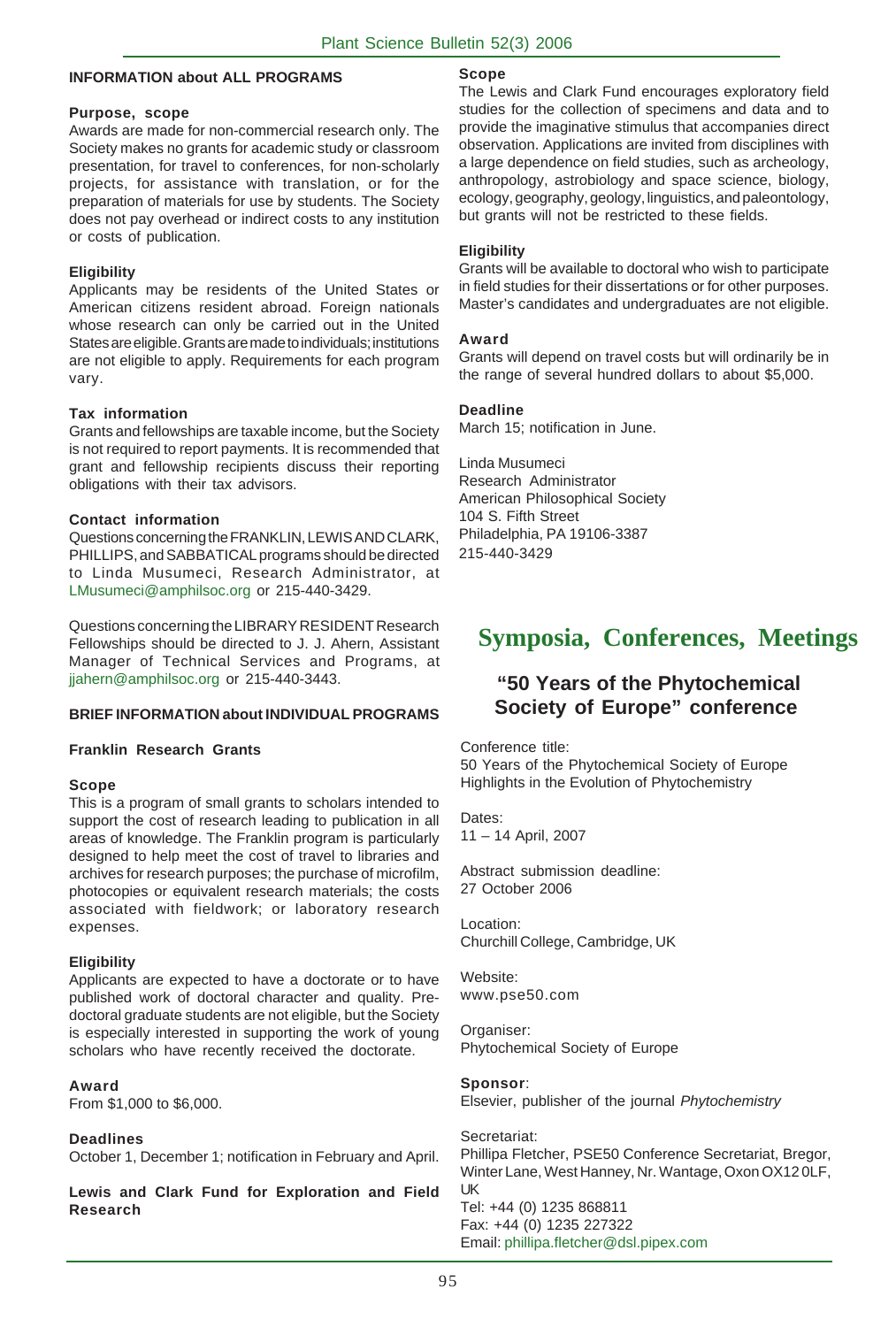## **INFORMATION about ALL PROGRAMS**

#### **Purpose, scope**

Awards are made for non-commercial research only. The Society makes no grants for academic study or classroom presentation, for travel to conferences, for non-scholarly projects, for assistance with translation, or for the preparation of materials for use by students. The Society does not pay overhead or indirect costs to any institution or costs of publication.

#### **Eligibility**

Applicants may be residents of the United States or American citizens resident abroad. Foreign nationals whose research can only be carried out in the United States are eligible. Grants are made to individuals; institutions are not eligible to apply. Requirements for each program vary.

#### **Tax information**

Grants and fellowships are taxable income, but the Society is not required to report payments. It is recommended that grant and fellowship recipients discuss their reporting obligations with their tax advisors.

#### **Contact information**

Questions concerning the FRANKLIN, LEWIS AND CLARK, PHILLIPS, and SABBATICAL programs should be directed to Linda Musumeci, Research Administrator, at LMusumeci@amphilsoc.org or 215-440-3429.

Questions concerning the LIBRARY RESIDENT Research Fellowships should be directed to J. J. Ahern, Assistant Manager of Technical Services and Programs, at jjahern@amphilsoc.org or 215-440-3443.

#### **BRIEF INFORMATION about INDIVIDUAL PROGRAMS**

#### **Franklin Research Grants**

#### **Scope**

This is a program of small grants to scholars intended to support the cost of research leading to publication in all areas of knowledge. The Franklin program is particularly designed to help meet the cost of travel to libraries and archives for research purposes; the purchase of microfilm, photocopies or equivalent research materials; the costs associated with fieldwork; or laboratory research expenses.

#### **Eligibility**

Applicants are expected to have a doctorate or to have published work of doctoral character and quality. Predoctoral graduate students are not eligible, but the Society is especially interested in supporting the work of young scholars who have recently received the doctorate.

#### **Award**

From \$1,000 to \$6,000.

#### **Deadlines**

October 1, December 1; notification in February and April.

**Lewis and Clark Fund for Exploration and Field Research**

#### **Scope**

The Lewis and Clark Fund encourages exploratory field studies for the collection of specimens and data and to provide the imaginative stimulus that accompanies direct observation. Applications are invited from disciplines with a large dependence on field studies, such as archeology, anthropology, astrobiology and space science, biology, ecology, geography, geology, linguistics, and paleontology, but grants will not be restricted to these fields.

#### **Eligibility**

Grants will be available to doctoral who wish to participate in field studies for their dissertations or for other purposes. Master's candidates and undergraduates are not eligible.

#### **Award**

Grants will depend on travel costs but will ordinarily be in the range of several hundred dollars to about \$5,000.

#### **Deadline**

March 15; notification in June.

Linda Musumeci Research Administrator American Philosophical Society 104 S. Fifth Street Philadelphia, PA 19106-3387 215-440-3429

# **Symposia, Conferences, Meetings**

# **"50 Years of the Phytochemical Society of Europe" conference**

Conference title:

50 Years of the Phytochemical Society of Europe Highlights in the Evolution of Phytochemistry

Dates: 11 – 14 April, 2007

Abstract submission deadline: 27 October 2006

Location: Churchill College, Cambridge, UK

Website: www.pse50.com

Organiser: Phytochemical Society of Europe

#### **Sponsor**:

Elsevier, publisher of the journal *Phytochemistry*

Secretariat: Phillipa Fletcher, PSE50 Conference Secretariat, Bregor, Winter Lane, West Hanney, Nr. Wantage, Oxon OX12 0LF, UK Tel: +44 (0) 1235 868811 Fax: +44 (0) 1235 227322 Email: phillipa.fletcher@dsl.pipex.com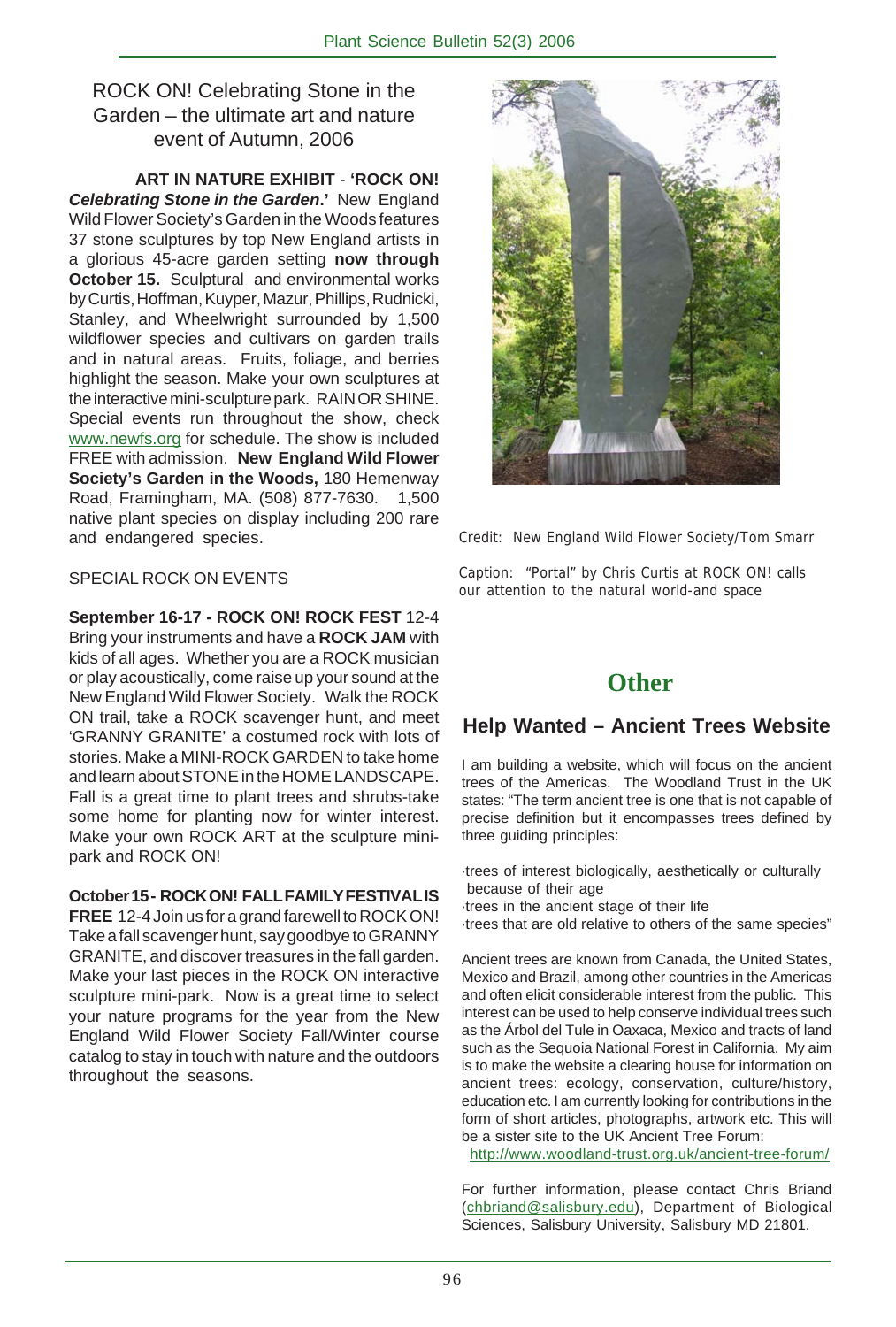# ROCK ON! Celebrating Stone in the Garden – the ultimate art and nature event of Autumn, 2006

**ART IN NATURE EXHIBIT** - **'ROCK ON!** *Celebrating Stone in the Garden***.'** New England Wild Flower Society's Garden in the Woods features 37 stone sculptures by top New England artists in a glorious 45-acre garden setting **now through October 15.** Sculptural and environmental works by Curtis, Hoffman, Kuyper, Mazur, Phillips, Rudnicki, Stanley, and Wheelwright surrounded by 1,500 wildflower species and cultivars on garden trails and in natural areas. Fruits, foliage, and berries highlight the season. Make your own sculptures at the interactive mini-sculpture park. RAIN OR SHINE. Special events run throughout the show, check www.newfs.org for schedule. The show is included FREE with admission. **New England Wild Flower Society's Garden in the Woods,** 180 Hemenway Road, Framingham, MA. (508) 877-7630. 1,500 native plant species on display including 200 rare and endangered species.

## SPECIAL ROCK ON EVENTS

**September 16-17 - ROCK ON! ROCK FEST** 12-4 Bring your instruments and have a **ROCK JAM** with kids of all ages. Whether you are a ROCK musician or play acoustically, come raise up your sound at the New England Wild Flower Society. Walk the ROCK ON trail, take a ROCK scavenger hunt, and meet 'GRANNY GRANITE' a costumed rock with lots of stories. Make a MINI-ROCK GARDEN to take home and learn about STONE in the HOME LANDSCAPE. Fall is a great time to plant trees and shrubs-take some home for planting now for winter interest. Make your own ROCK ART at the sculpture minipark and ROCK ON!

**October 15 - ROCK ON! FALL FAMILY FESTIVAL IS FREE** 12-4 Join us for a grand farewell to ROCK ON! Take a fall scavenger hunt, say goodbye to GRANNY GRANITE, and discover treasures in the fall garden. Make your last pieces in the ROCK ON interactive sculpture mini-park. Now is a great time to select your nature programs for the year from the New England Wild Flower Society Fall/Winter course catalog to stay in touch with nature and the outdoors throughout the seasons.



Credit: New England Wild Flower Society/Tom Smarr

Caption: "Portal" by Chris Curtis at ROCK ON! calls our attention to the natural world-and space

# **Other**

# **Help Wanted – Ancient Trees Website**

I am building a website, which will focus on the ancient trees of the Americas. The Woodland Trust in the UK states: "The term ancient tree is one that is not capable of precise definition but it encompasses trees defined by three guiding principles:

- ·trees of interest biologically, aesthetically or culturally because of their age
- ·trees in the ancient stage of their life

·trees that are old relative to others of the same species"

Ancient trees are known from Canada, the United States, Mexico and Brazil, among other countries in the Americas and often elicit considerable interest from the public. This interest can be used to help conserve individual trees such as the Árbol del Tule in Oaxaca, Mexico and tracts of land such as the Sequoia National Forest in California. My aim is to make the website a clearing house for information on ancient trees: ecology, conservation, culture/history, education etc. I am currently looking for contributions in the form of short articles, photographs, artwork etc. This will be a sister site to the UK Ancient Tree Forum:

http://www.woodland-trust.org.uk/ancient-tree-forum/

For further information, please contact Chris Briand (chbriand@salisbury.edu), Department of Biological Sciences, Salisbury University, Salisbury MD 21801.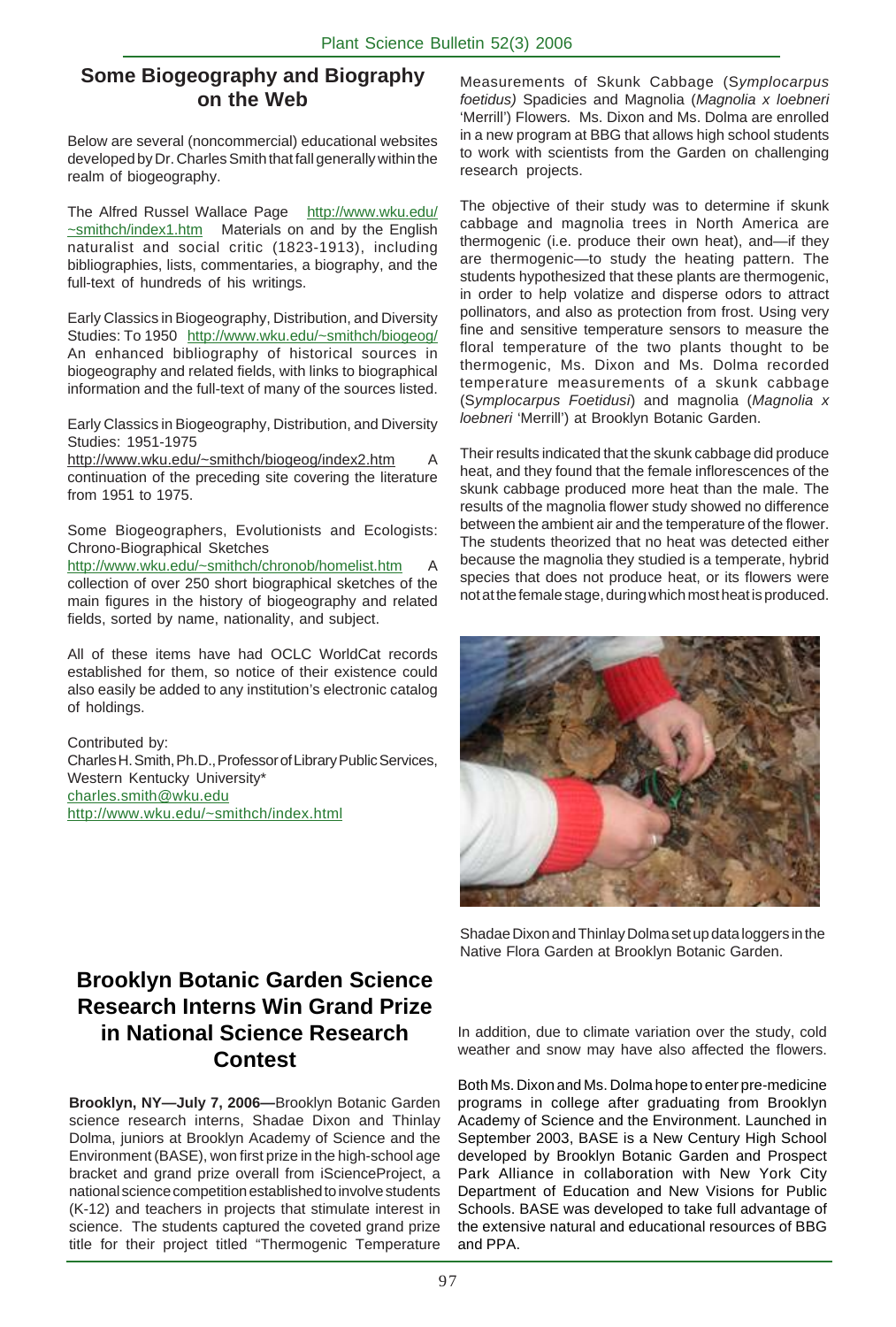## **Some Biogeography and Biography on the Web**

Below are several (noncommercial) educational websites developed by Dr. Charles Smith that fall generally within the realm of biogeography.

The Alfred Russel Wallace Page http://www.wku.edu/ ~smithch/index1.htm Materials on and by the English naturalist and social critic (1823-1913), including bibliographies, lists, commentaries, a biography, and the full-text of hundreds of his writings.

Early Classics in Biogeography, Distribution, and Diversity Studies: To 1950 http://www.wku.edu/~smithch/biogeog/ An enhanced bibliography of historical sources in biogeography and related fields, with links to biographical information and the full-text of many of the sources listed.

Early Classics in Biogeography, Distribution, and Diversity Studies: 1951-1975

http://www.wku.edu/~smithch/biogeog/index2.htm A continuation of the preceding site covering the literature from 1951 to 1975.

Some Biogeographers, Evolutionists and Ecologists: Chrono-Biographical Sketches

http://www.wku.edu/~smithch/chronob/homelist.htm A collection of over 250 short biographical sketches of the main figures in the history of biogeography and related fields, sorted by name, nationality, and subject.

All of these items have had OCLC WorldCat records established for them, so notice of their existence could also easily be added to any institution's electronic catalog of holdings.

Contributed by: Charles H. Smith, Ph.D., Professor of Library Public Services, Western Kentucky University\* charles.smith@wku.edu http://www.wku.edu/~smithch/index.html

Measurements of Skunk Cabbage (S*ymplocarpus foetidus)* Spadicies and Magnolia (*Magnolia x loebneri* 'Merrill') Flowers*.* Ms. Dixon and Ms. Dolma are enrolled in a new program at BBG that allows high school students to work with scientists from the Garden on challenging research projects.

The objective of their study was to determine if skunk cabbage and magnolia trees in North America are thermogenic (i.e. produce their own heat), and—if they are thermogenic—to study the heating pattern. The students hypothesized that these plants are thermogenic, in order to help volatize and disperse odors to attract pollinators, and also as protection from frost. Using very fine and sensitive temperature sensors to measure the floral temperature of the two plants thought to be thermogenic, Ms. Dixon and Ms. Dolma recorded temperature measurements of a skunk cabbage (S*ymplocarpus Foetidusi*) and magnolia (*Magnolia x loebneri* 'Merrill') at Brooklyn Botanic Garden.

Their results indicated that the skunk cabbage did produce heat, and they found that the female inflorescences of the skunk cabbage produced more heat than the male. The results of the magnolia flower study showed no difference between the ambient air and the temperature of the flower. The students theorized that no heat was detected either because the magnolia they studied is a temperate, hybrid species that does not produce heat, or its flowers were not at the female stage, during which most heat is produced.



Shadae Dixon and Thinlay Dolma set up data loggers in the Native Flora Garden at Brooklyn Botanic Garden.

# **Brooklyn Botanic Garden Science Research Interns Win Grand Prize in National Science Research Contest**

**Brooklyn, NY—July 7, 2006—**Brooklyn Botanic Garden science research interns, Shadae Dixon and Thinlay Dolma, juniors at Brooklyn Academy of Science and the Environment (BASE), won first prize in the high-school age bracket and grand prize overall from iScienceProject, a national science competition established to involve students (K-12) and teachers in projects that stimulate interest in science. The students captured the coveted grand prize title for their project titled "Thermogenic Temperature In addition, due to climate variation over the study, cold weather and snow may have also affected the flowers.

Both Ms. Dixon and Ms. Dolma hope to enter pre-medicine programs in college after graduating from Brooklyn Academy of Science and the Environment. Launched in September 2003, BASE is a New Century High School developed by Brooklyn Botanic Garden and Prospect Park Alliance in collaboration with New York City Department of Education and New Visions for Public Schools. BASE was developed to take full advantage of the extensive natural and educational resources of BBG and PPA.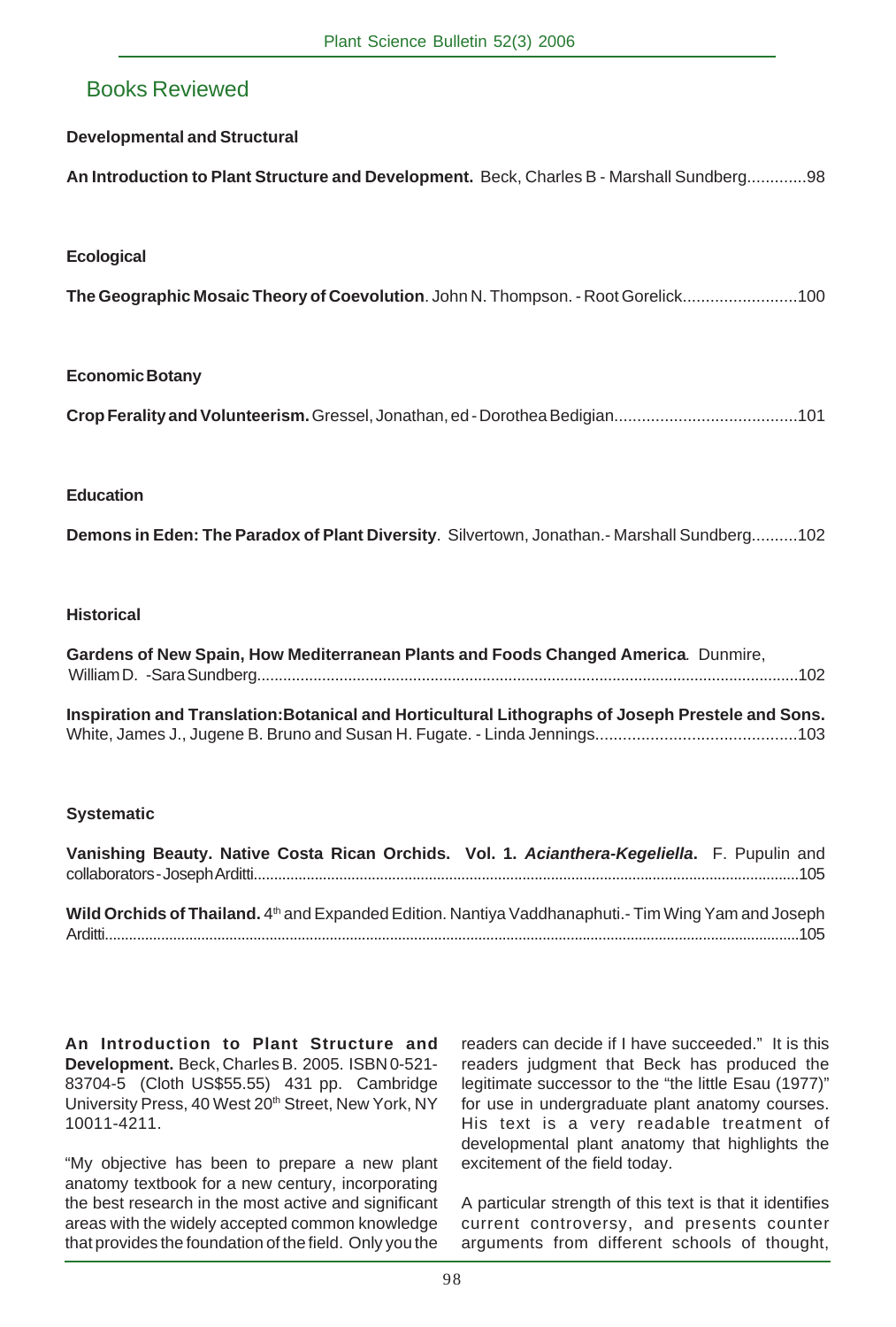# Books Reviewed

## **Developmental and Structural**

**An Introduction to Plant Structure and Development.** Beck, Charles B - Marshall Sundberg.............98

## **Ecological**

**The Geographic Mosaic Theory of Coevolution**. John N. Thompson. - Root Gorelick.........................100

## **Economic Botany**

**Crop Ferality and Volunteerism.** Gressel, Jonathan, ed - Dorothea Bedigian........................................101

## **Education**

**Demons in Eden: The Paradox of Plant Diversity**. Silvertown, Jonathan.- Marshall Sundberg..........102

#### **Historical**

**Gardens of New Spain, How Mediterranean Plants and Foods Changed America***.* Dunmire, William D. -Sara Sundberg.............................................................................................................................102

**Inspiration and Translation:Botanical and Horticultural Lithographs of Joseph Prestele and Sons.** White, James J., Jugene B. Bruno and Susan H. Fugate. - Linda Jennings............................................103

## **Systematic**

**Vanishing Beauty. Native Costa Rican Orchids. Vol. 1.** *Acianthera-Kegeliella***.** F. Pupulin and collaborators - Joseph Arditti......................................................................................................................................105 **Wild Orchids of Thailand.** 4<sup>th</sup> and Expanded Edition. Nantiya Vaddhanaphuti.- Tim Wing Yam and Joseph Arditti.............................................................................................................................................................................105

**An Introduction to Plant Structure and Development.** Beck, Charles B. 2005. ISBN 0-521- 83704-5 (Cloth US\$55.55) 431 pp. Cambridge University Press, 40 West 20<sup>th</sup> Street, New York, NY 10011-4211.

"My objective has been to prepare a new plant anatomy textbook for a new century, incorporating the best research in the most active and significant areas with the widely accepted common knowledge that provides the foundation of the field. Only you the

readers can decide if I have succeeded." It is this readers judgment that Beck has produced the legitimate successor to the "the little Esau (1977)" for use in undergraduate plant anatomy courses. His text is a very readable treatment of developmental plant anatomy that highlights the excitement of the field today.

A particular strength of this text is that it identifies current controversy, and presents counter arguments from different schools of thought,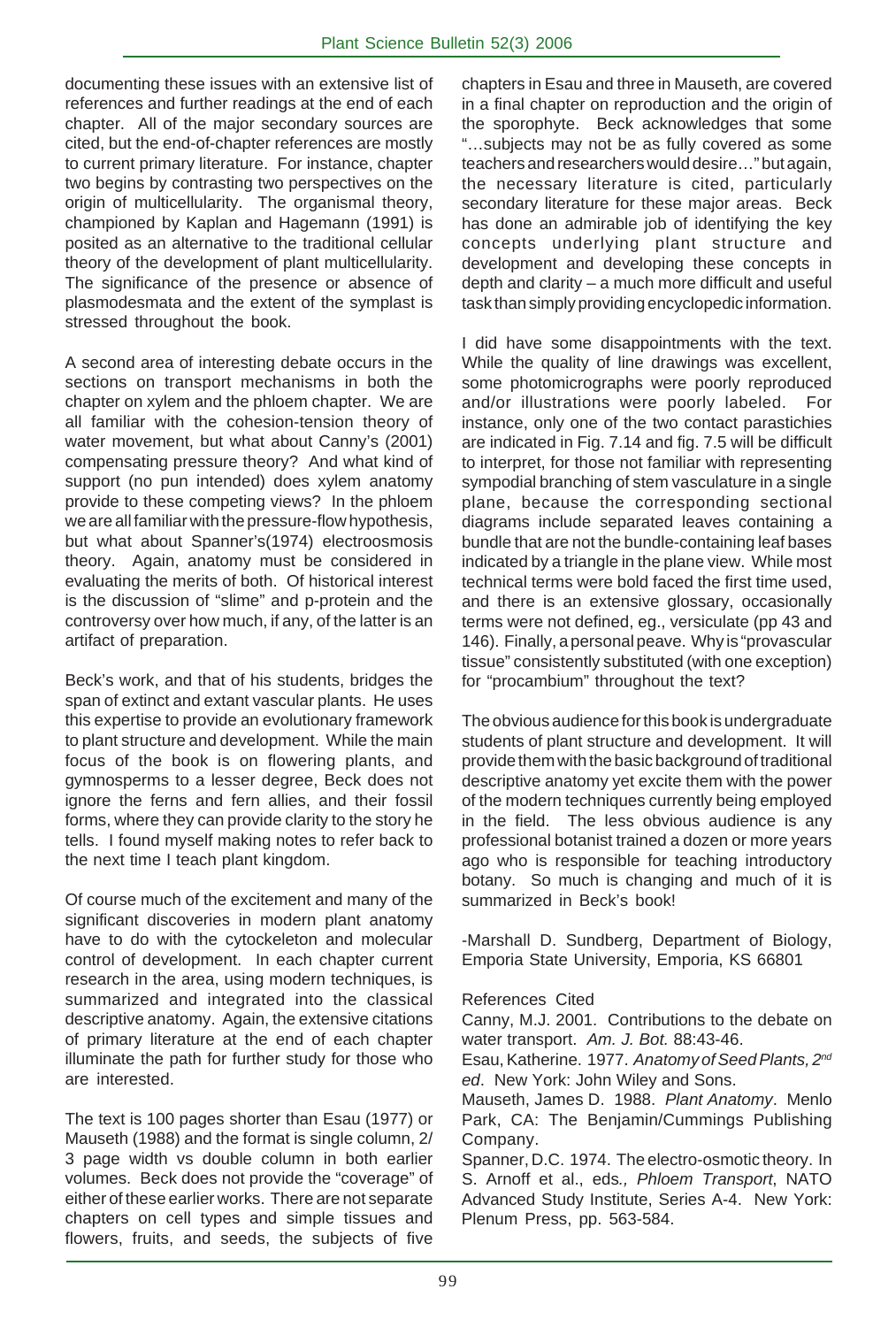documenting these issues with an extensive list of references and further readings at the end of each chapter. All of the major secondary sources are cited, but the end-of-chapter references are mostly to current primary literature. For instance, chapter two begins by contrasting two perspectives on the origin of multicellularity. The organismal theory, championed by Kaplan and Hagemann (1991) is posited as an alternative to the traditional cellular theory of the development of plant multicellularity. The significance of the presence or absence of plasmodesmata and the extent of the symplast is stressed throughout the book.

A second area of interesting debate occurs in the sections on transport mechanisms in both the chapter on xylem and the phloem chapter. We are all familiar with the cohesion-tension theory of water movement, but what about Canny's (2001) compensating pressure theory? And what kind of support (no pun intended) does xylem anatomy provide to these competing views? In the phloem we are all familiar with the pressure-flow hypothesis, but what about Spanner's(1974) electroosmosis theory. Again, anatomy must be considered in evaluating the merits of both. Of historical interest is the discussion of "slime" and p-protein and the controversy over how much, if any, of the latter is an artifact of preparation.

Beck's work, and that of his students, bridges the span of extinct and extant vascular plants. He uses this expertise to provide an evolutionary framework to plant structure and development. While the main focus of the book is on flowering plants, and gymnosperms to a lesser degree, Beck does not ignore the ferns and fern allies, and their fossil forms, where they can provide clarity to the story he tells. I found myself making notes to refer back to the next time I teach plant kingdom.

Of course much of the excitement and many of the significant discoveries in modern plant anatomy have to do with the cytockeleton and molecular control of development. In each chapter current research in the area, using modern techniques, is summarized and integrated into the classical descriptive anatomy. Again, the extensive citations of primary literature at the end of each chapter illuminate the path for further study for those who are interested.

The text is 100 pages shorter than Esau (1977) or Mauseth (1988) and the format is single column, 2/ 3 page width vs double column in both earlier volumes. Beck does not provide the "coverage" of either of these earlier works. There are not separate chapters on cell types and simple tissues and flowers, fruits, and seeds, the subjects of five

chapters in Esau and three in Mauseth, are covered in a final chapter on reproduction and the origin of the sporophyte. Beck acknowledges that some "…subjects may not be as fully covered as some teachers and researchers would desire…" but again, the necessary literature is cited, particularly secondary literature for these major areas. Beck has done an admirable job of identifying the key concepts underlying plant structure and development and developing these concepts in depth and clarity – a much more difficult and useful task than simply providing encyclopedic information.

I did have some disappointments with the text. While the quality of line drawings was excellent, some photomicrographs were poorly reproduced and/or illustrations were poorly labeled. For instance, only one of the two contact parastichies are indicated in Fig. 7.14 and fig. 7.5 will be difficult to interpret, for those not familiar with representing sympodial branching of stem vasculature in a single plane, because the corresponding sectional diagrams include separated leaves containing a bundle that are not the bundle-containing leaf bases indicated by a triangle in the plane view. While most technical terms were bold faced the first time used, and there is an extensive glossary, occasionally terms were not defined, eg., versiculate (pp 43 and 146). Finally, a personal peave. Why is "provascular tissue" consistently substituted (with one exception) for "procambium" throughout the text?

The obvious audience for this book is undergraduate students of plant structure and development. It will provide them with the basic background of traditional descriptive anatomy yet excite them with the power of the modern techniques currently being employed in the field. The less obvious audience is any professional botanist trained a dozen or more years ago who is responsible for teaching introductory botany. So much is changing and much of it is summarized in Beck's book!

-Marshall D. Sundberg, Department of Biology, Emporia State University, Emporia, KS 66801

## References Cited

Canny, M.J. 2001. Contributions to the debate on water transport. *Am. J. Bot.* 88:43-46.

Esau, Katherine. 1977. *Anatomy of Seed Plants, 2nd ed*. New York: John Wiley and Sons.

Mauseth, James D. 1988. *Plant Anatomy*. Menlo Park, CA: The Benjamin/Cummings Publishing Company.

Spanner, D.C. 1974. The electro-osmotic theory. In S. Arnoff et al., eds*., Phloem Transport*, NATO Advanced Study Institute, Series A-4. New York: Plenum Press, pp. 563-584.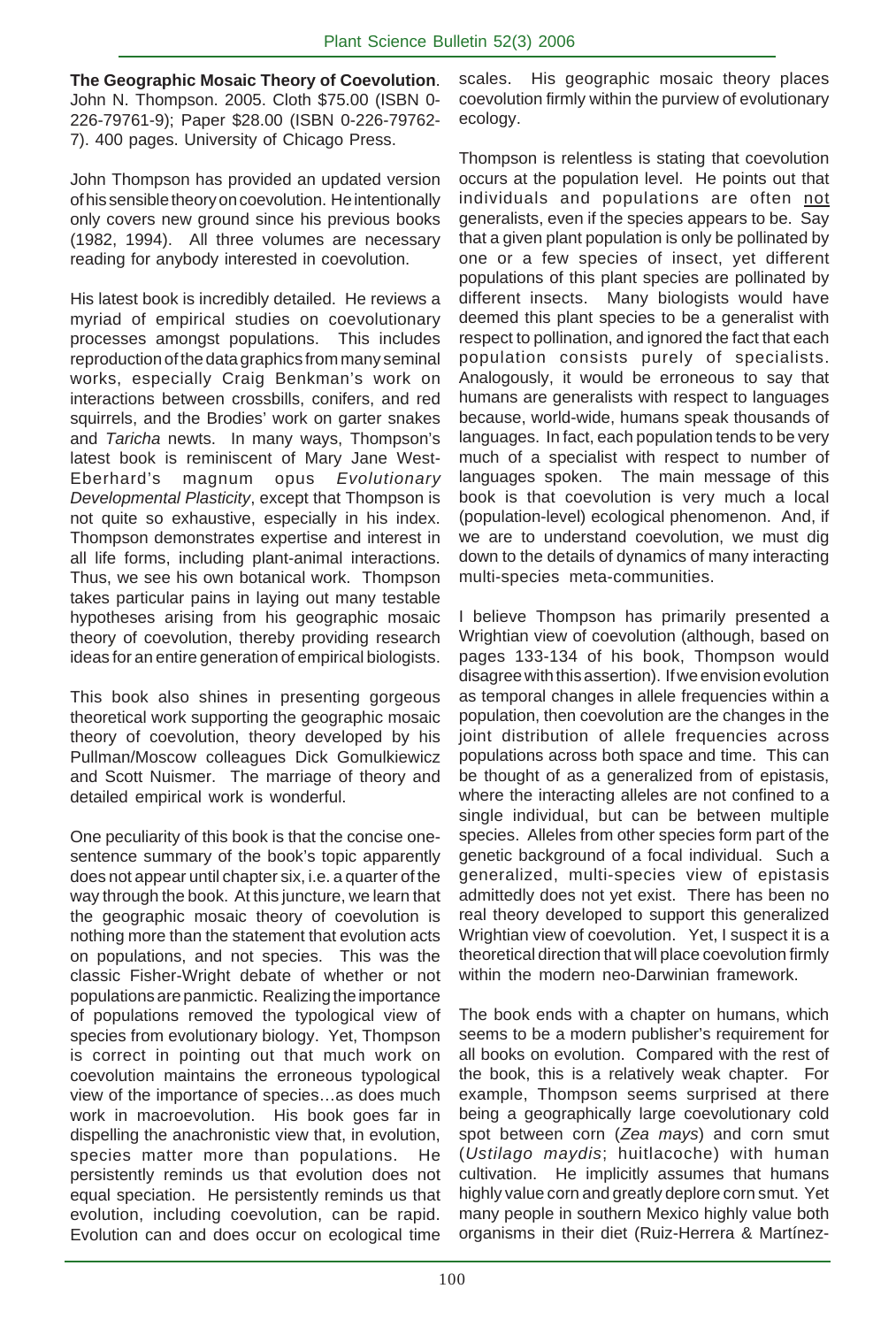**The Geographic Mosaic Theory of Coevolution**. John N. Thompson. 2005. Cloth \$75.00 (ISBN 0- 226-79761-9); Paper \$28.00 (ISBN 0-226-79762- 7). 400 pages. University of Chicago Press.

John Thompson has provided an updated version of his sensible theory on coevolution. He intentionally only covers new ground since his previous books (1982, 1994). All three volumes are necessary reading for anybody interested in coevolution.

His latest book is incredibly detailed. He reviews a myriad of empirical studies on coevolutionary processes amongst populations. This includes reproduction of the data graphics from many seminal works, especially Craig Benkman's work on interactions between crossbills, conifers, and red squirrels, and the Brodies' work on garter snakes and *Taricha* newts. In many ways, Thompson's latest book is reminiscent of Mary Jane West-Eberhard's magnum opus *Evolutionary Developmental Plasticity*, except that Thompson is not quite so exhaustive, especially in his index. Thompson demonstrates expertise and interest in all life forms, including plant-animal interactions. Thus, we see his own botanical work. Thompson takes particular pains in laying out many testable hypotheses arising from his geographic mosaic theory of coevolution, thereby providing research ideas for an entire generation of empirical biologists.

This book also shines in presenting gorgeous theoretical work supporting the geographic mosaic theory of coevolution, theory developed by his Pullman/Moscow colleagues Dick Gomulkiewicz and Scott Nuismer. The marriage of theory and detailed empirical work is wonderful.

One peculiarity of this book is that the concise onesentence summary of the book's topic apparently does not appear until chapter six, i.e. a quarter of the way through the book. At this juncture, we learn that the geographic mosaic theory of coevolution is nothing more than the statement that evolution acts on populations, and not species. This was the classic Fisher-Wright debate of whether or not populations are panmictic. Realizing the importance of populations removed the typological view of species from evolutionary biology. Yet, Thompson is correct in pointing out that much work on coevolution maintains the erroneous typological view of the importance of species…as does much work in macroevolution. His book goes far in dispelling the anachronistic view that, in evolution, species matter more than populations. He persistently reminds us that evolution does not equal speciation. He persistently reminds us that evolution, including coevolution, can be rapid. Evolution can and does occur on ecological time

scales. His geographic mosaic theory places coevolution firmly within the purview of evolutionary ecology.

Thompson is relentless is stating that coevolution occurs at the population level. He points out that individuals and populations are often not generalists, even if the species appears to be. Say that a given plant population is only be pollinated by one or a few species of insect, yet different populations of this plant species are pollinated by different insects. Many biologists would have deemed this plant species to be a generalist with respect to pollination, and ignored the fact that each population consists purely of specialists. Analogously, it would be erroneous to say that humans are generalists with respect to languages because, world-wide, humans speak thousands of languages. In fact, each population tends to be very much of a specialist with respect to number of languages spoken. The main message of this book is that coevolution is very much a local (population-level) ecological phenomenon. And, if we are to understand coevolution, we must dig down to the details of dynamics of many interacting multi-species meta-communities.

I believe Thompson has primarily presented a Wrightian view of coevolution (although, based on pages 133-134 of his book, Thompson would disagree with this assertion). If we envision evolution as temporal changes in allele frequencies within a population, then coevolution are the changes in the joint distribution of allele frequencies across populations across both space and time. This can be thought of as a generalized from of epistasis, where the interacting alleles are not confined to a single individual, but can be between multiple species. Alleles from other species form part of the genetic background of a focal individual. Such a generalized, multi-species view of epistasis admittedly does not yet exist. There has been no real theory developed to support this generalized Wrightian view of coevolution. Yet, I suspect it is a theoretical direction that will place coevolution firmly within the modern neo-Darwinian framework.

The book ends with a chapter on humans, which seems to be a modern publisher's requirement for all books on evolution. Compared with the rest of the book, this is a relatively weak chapter. For example, Thompson seems surprised at there being a geographically large coevolutionary cold spot between corn (*Zea mays*) and corn smut (*Ustilago maydis*; huitlacoche) with human cultivation. He implicitly assumes that humans highly value corn and greatly deplore corn smut. Yet many people in southern Mexico highly value both organisms in their diet (Ruiz-Herrera & Martínez-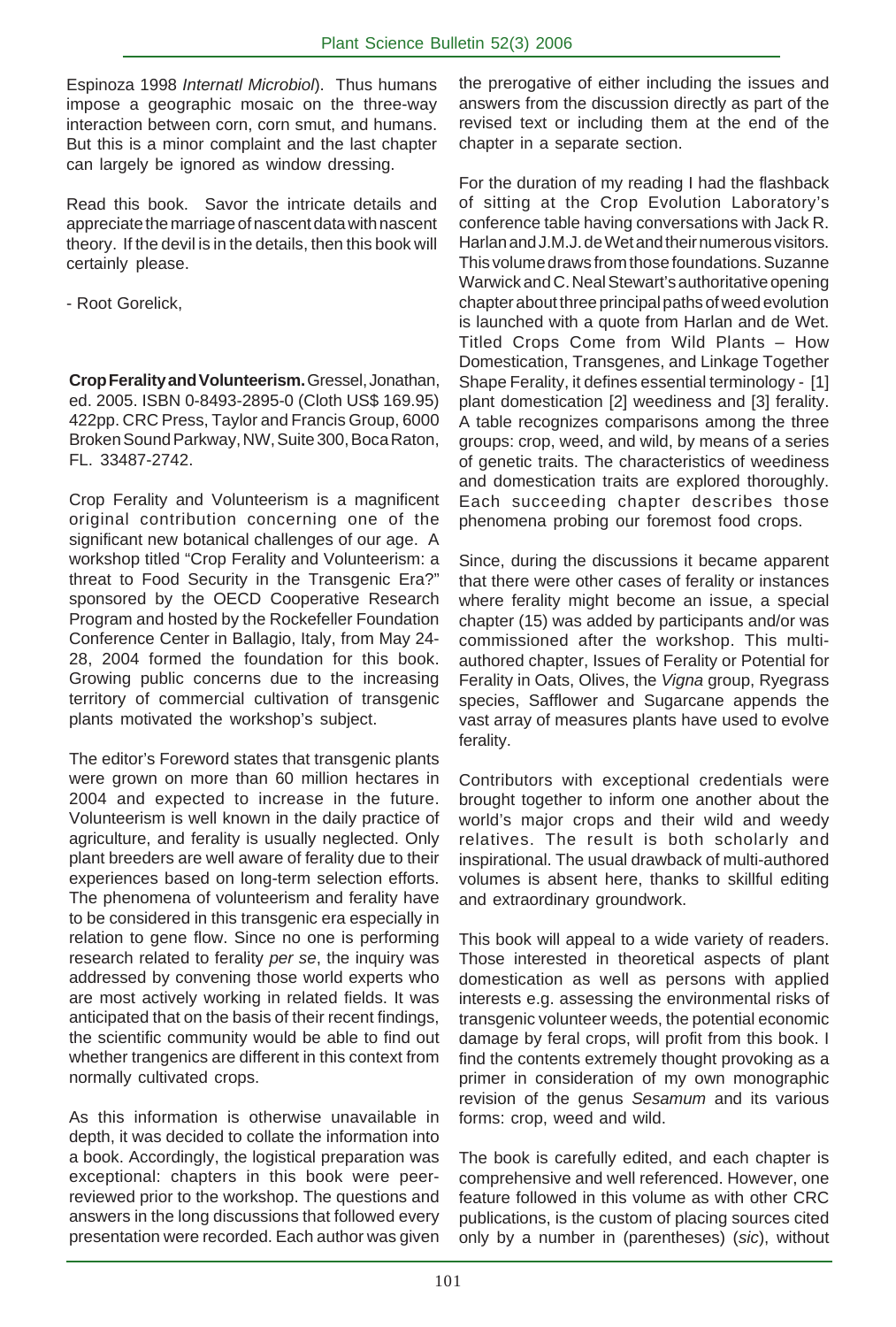Espinoza 1998 *Internatl Microbiol*). Thus humans impose a geographic mosaic on the three-way interaction between corn, corn smut, and humans. But this is a minor complaint and the last chapter can largely be ignored as window dressing.

Read this book. Savor the intricate details and appreciate the marriage of nascent data with nascent theory. If the devil is in the details, then this book will certainly please.

- Root Gorelick,

**Crop Ferality and Volunteerism.** Gressel, Jonathan, ed. 2005. ISBN 0-8493-2895-0 (Cloth US\$ 169.95) 422pp. CRC Press, Taylor and Francis Group, 6000 Broken Sound Parkway, NW, Suite 300, Boca Raton, FL. 33487-2742.

Crop Ferality and Volunteerism is a magnificent original contribution concerning one of the significant new botanical challenges of our age. A workshop titled "Crop Ferality and Volunteerism: a threat to Food Security in the Transgenic Era?" sponsored by the OECD Cooperative Research Program and hosted by the Rockefeller Foundation Conference Center in Ballagio, Italy, from May 24- 28, 2004 formed the foundation for this book. Growing public concerns due to the increasing territory of commercial cultivation of transgenic plants motivated the workshop's subject.

The editor's Foreword states that transgenic plants were grown on more than 60 million hectares in 2004 and expected to increase in the future. Volunteerism is well known in the daily practice of agriculture, and ferality is usually neglected. Only plant breeders are well aware of ferality due to their experiences based on long-term selection efforts. The phenomena of volunteerism and ferality have to be considered in this transgenic era especially in relation to gene flow. Since no one is performing research related to ferality *per se*, the inquiry was addressed by convening those world experts who are most actively working in related fields. It was anticipated that on the basis of their recent findings, the scientific community would be able to find out whether trangenics are different in this context from normally cultivated crops.

As this information is otherwise unavailable in depth, it was decided to collate the information into a book. Accordingly, the logistical preparation was exceptional: chapters in this book were peerreviewed prior to the workshop. The questions and answers in the long discussions that followed every presentation were recorded. Each author was given the prerogative of either including the issues and answers from the discussion directly as part of the revised text or including them at the end of the chapter in a separate section.

For the duration of my reading I had the flashback of sitting at the Crop Evolution Laboratory's conference table having conversations with Jack R. Harlan and J.M.J. de Wet and their numerous visitors. This volume draws from those foundations. Suzanne Warwick and C. Neal Stewart's authoritative opening chapter about three principal paths of weed evolution is launched with a quote from Harlan and de Wet. Titled Crops Come from Wild Plants – How Domestication, Transgenes, and Linkage Together Shape Ferality, it defines essential terminology - [1] plant domestication [2] weediness and [3] ferality. A table recognizes comparisons among the three groups: crop, weed, and wild, by means of a series of genetic traits. The characteristics of weediness and domestication traits are explored thoroughly. Each succeeding chapter describes those phenomena probing our foremost food crops.

Since, during the discussions it became apparent that there were other cases of ferality or instances where ferality might become an issue, a special chapter (15) was added by participants and/or was commissioned after the workshop. This multiauthored chapter, Issues of Ferality or Potential for Ferality in Oats, Olives, the *Vigna* group, Ryegrass species, Safflower and Sugarcane appends the vast array of measures plants have used to evolve ferality.

Contributors with exceptional credentials were brought together to inform one another about the world's major crops and their wild and weedy relatives. The result is both scholarly and inspirational. The usual drawback of multi-authored volumes is absent here, thanks to skillful editing and extraordinary groundwork.

This book will appeal to a wide variety of readers. Those interested in theoretical aspects of plant domestication as well as persons with applied interests e.g. assessing the environmental risks of transgenic volunteer weeds, the potential economic damage by feral crops, will profit from this book. I find the contents extremely thought provoking as a primer in consideration of my own monographic revision of the genus *Sesamum* and its various forms: crop, weed and wild.

The book is carefully edited, and each chapter is comprehensive and well referenced. However, one feature followed in this volume as with other CRC publications, is the custom of placing sources cited only by a number in (parentheses) (*sic*), without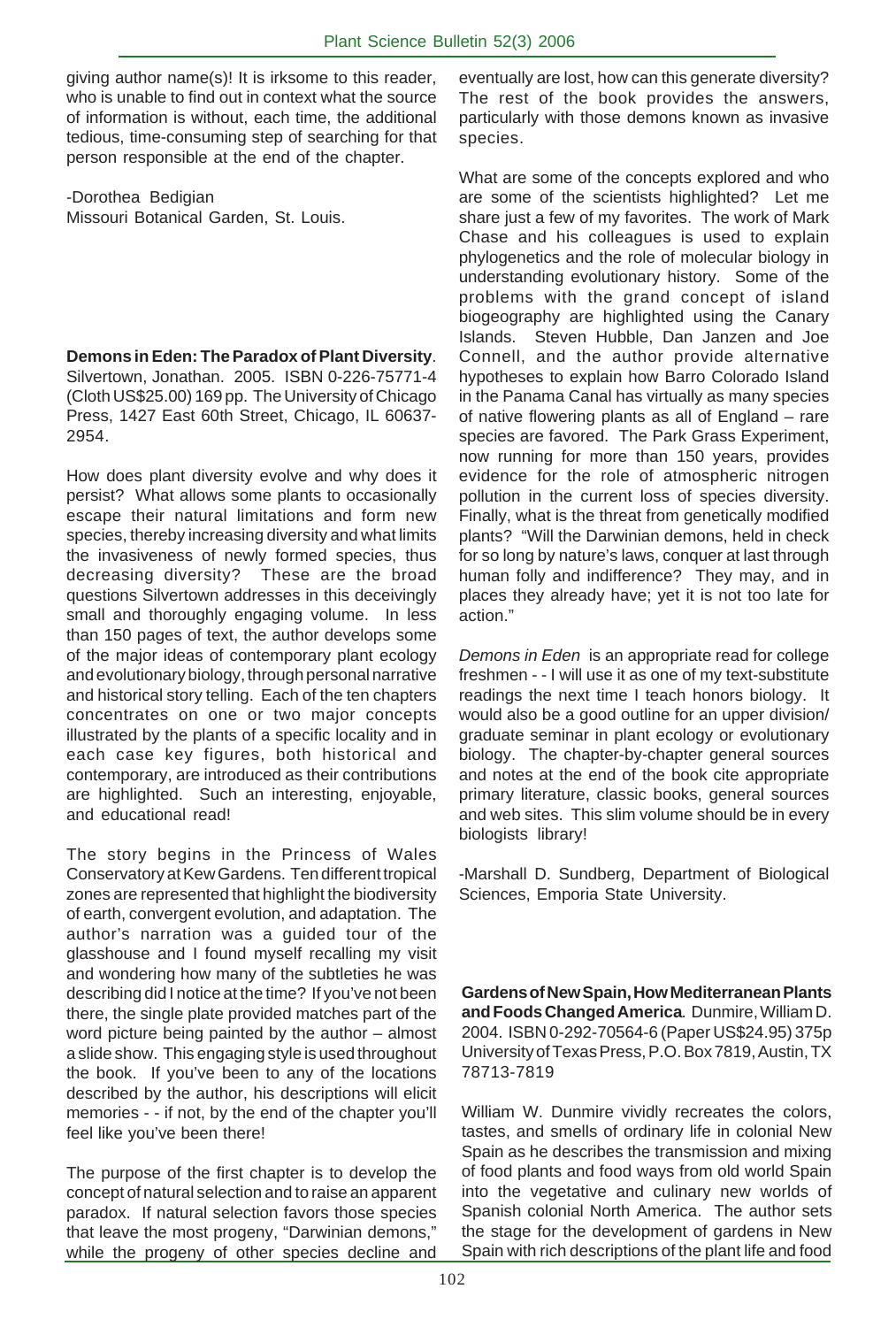giving author name(s)! It is irksome to this reader, who is unable to find out in context what the source of information is without, each time, the additional tedious, time-consuming step of searching for that person responsible at the end of the chapter.

-Dorothea Bedigian Missouri Botanical Garden, St. Louis.

**Demons in Eden: The Paradox of Plant Diversity**. Silvertown, Jonathan. 2005. ISBN 0-226-75771-4 (Cloth US\$25.00) 169 pp. The University of Chicago Press, 1427 East 60th Street, Chicago, IL 60637- 2954.

How does plant diversity evolve and why does it persist? What allows some plants to occasionally escape their natural limitations and form new species, thereby increasing diversity and what limits the invasiveness of newly formed species, thus decreasing diversity? These are the broad questions Silvertown addresses in this deceivingly small and thoroughly engaging volume. In less than 150 pages of text, the author develops some of the major ideas of contemporary plant ecology and evolutionary biology, through personal narrative and historical story telling. Each of the ten chapters concentrates on one or two major concepts illustrated by the plants of a specific locality and in each case key figures, both historical and contemporary, are introduced as their contributions are highlighted. Such an interesting, enjoyable, and educational read!

The story begins in the Princess of Wales Conservatory at Kew Gardens. Ten different tropical zones are represented that highlight the biodiversity of earth, convergent evolution, and adaptation. The author's narration was a guided tour of the glasshouse and I found myself recalling my visit and wondering how many of the subtleties he was describing did I notice at the time? If you've not been there, the single plate provided matches part of the word picture being painted by the author – almost a slide show. This engaging style is used throughout the book. If you've been to any of the locations described by the author, his descriptions will elicit memories - - if not, by the end of the chapter you'll feel like you've been there!

The purpose of the first chapter is to develop the concept of natural selection and to raise an apparent paradox. If natural selection favors those species that leave the most progeny, "Darwinian demons," while the progeny of other species decline and

eventually are lost, how can this generate diversity? The rest of the book provides the answers, particularly with those demons known as invasive species.

What are some of the concepts explored and who are some of the scientists highlighted? Let me share just a few of my favorites. The work of Mark Chase and his colleagues is used to explain phylogenetics and the role of molecular biology in understanding evolutionary history. Some of the problems with the grand concept of island biogeography are highlighted using the Canary Islands. Steven Hubble, Dan Janzen and Joe Connell, and the author provide alternative hypotheses to explain how Barro Colorado Island in the Panama Canal has virtually as many species of native flowering plants as all of England – rare species are favored. The Park Grass Experiment, now running for more than 150 years, provides evidence for the role of atmospheric nitrogen pollution in the current loss of species diversity. Finally, what is the threat from genetically modified plants? "Will the Darwinian demons, held in check for so long by nature's laws, conquer at last through human folly and indifference? They may, and in places they already have; yet it is not too late for action."

*Demons in Eden* is an appropriate read for college freshmen - - I will use it as one of my text-substitute readings the next time I teach honors biology. It would also be a good outline for an upper division/ graduate seminar in plant ecology or evolutionary biology. The chapter-by-chapter general sources and notes at the end of the book cite appropriate primary literature, classic books, general sources and web sites. This slim volume should be in every biologists library!

-Marshall D. Sundberg, Department of Biological Sciences, Emporia State University.

**Gardens of New Spain, How Mediterranean Plants and Foods Changed America***.* Dunmire, William D. 2004. ISBN 0-292-70564-6 (Paper US\$24.95) 375p University of Texas Press, P.O. Box 7819, Austin, TX 78713-7819

William W. Dunmire vividly recreates the colors, tastes, and smells of ordinary life in colonial New Spain as he describes the transmission and mixing of food plants and food ways from old world Spain into the vegetative and culinary new worlds of Spanish colonial North America. The author sets the stage for the development of gardens in New Spain with rich descriptions of the plant life and food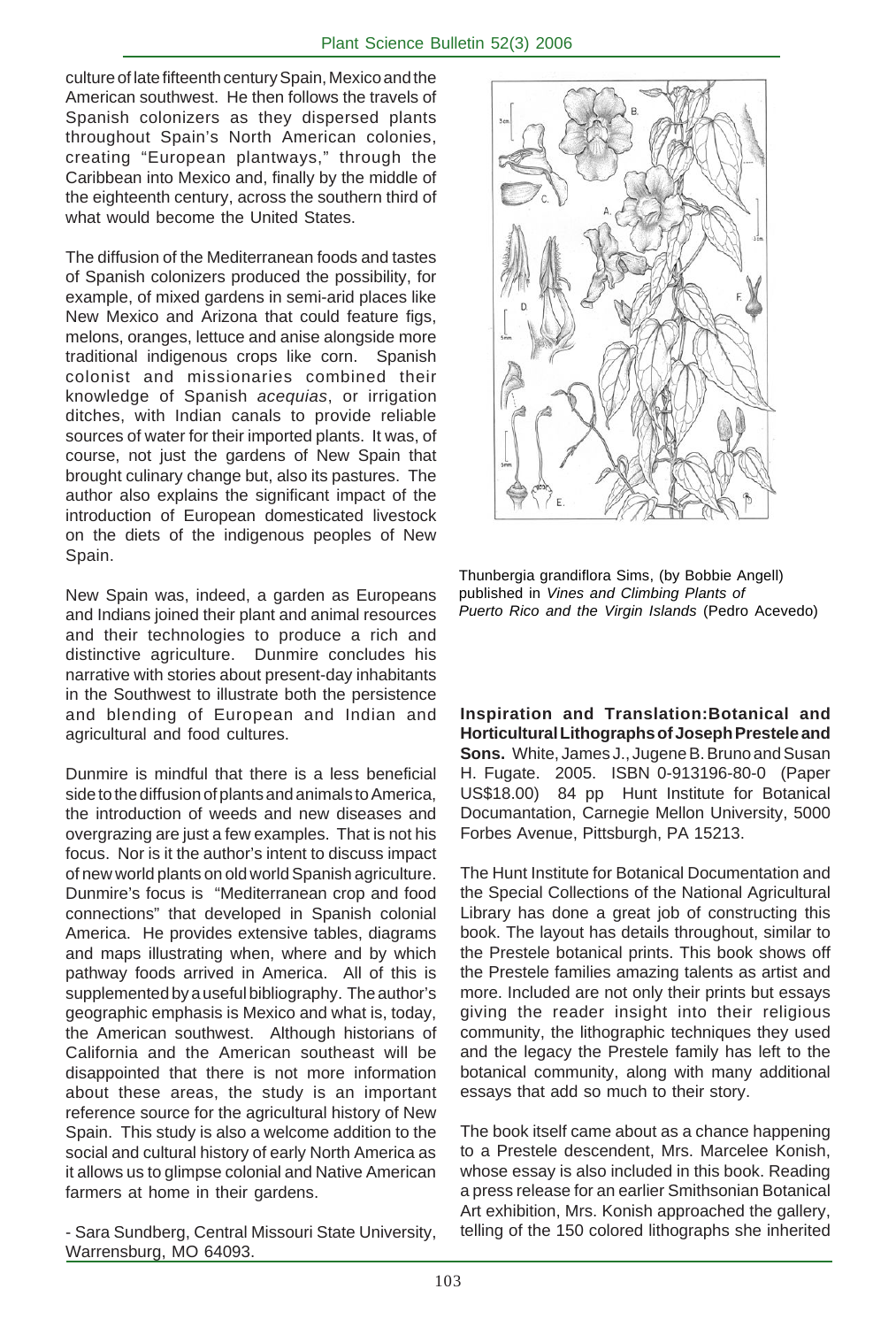culture of late fifteenth century Spain, Mexico and the American southwest. He then follows the travels of Spanish colonizers as they dispersed plants throughout Spain's North American colonies, creating "European plantways," through the Caribbean into Mexico and, finally by the middle of the eighteenth century, across the southern third of what would become the United States.

The diffusion of the Mediterranean foods and tastes of Spanish colonizers produced the possibility, for example, of mixed gardens in semi-arid places like New Mexico and Arizona that could feature figs, melons, oranges, lettuce and anise alongside more traditional indigenous crops like corn. Spanish colonist and missionaries combined their knowledge of Spanish *acequias*, or irrigation ditches, with Indian canals to provide reliable sources of water for their imported plants. It was, of course, not just the gardens of New Spain that brought culinary change but, also its pastures. The author also explains the significant impact of the introduction of European domesticated livestock on the diets of the indigenous peoples of New Spain.

New Spain was, indeed, a garden as Europeans and Indians joined their plant and animal resources and their technologies to produce a rich and distinctive agriculture. Dunmire concludes his narrative with stories about present-day inhabitants in the Southwest to illustrate both the persistence and blending of European and Indian and agricultural and food cultures.

Dunmire is mindful that there is a less beneficial side to the diffusion of plants and animals to America, the introduction of weeds and new diseases and overgrazing are just a few examples. That is not his focus. Nor is it the author's intent to discuss impact of new world plants on old world Spanish agriculture. Dunmire's focus is "Mediterranean crop and food connections" that developed in Spanish colonial America. He provides extensive tables, diagrams and maps illustrating when, where and by which pathway foods arrived in America. All of this is supplemented by a useful bibliography. The author's geographic emphasis is Mexico and what is, today, the American southwest. Although historians of California and the American southeast will be disappointed that there is not more information about these areas, the study is an important reference source for the agricultural history of New Spain. This study is also a welcome addition to the social and cultural history of early North America as it allows us to glimpse colonial and Native American farmers at home in their gardens.

- Sara Sundberg, Central Missouri State University, Warrensburg, MO 64093.



Thunbergia grandiflora Sims, (by Bobbie Angell) published in *Vines and Climbing Plants of Puerto Rico and the Virgin Islands* (Pedro Acevedo)

**Inspiration and Translation:Botanical and Horticultural Lithographs of Joseph Prestele and Sons.** White, James J., Jugene B. Bruno and Susan H. Fugate. 2005. ISBN 0-913196-80-0 (Paper US\$18.00) 84 pp Hunt Institute for Botanical Documantation, Carnegie Mellon University, 5000 Forbes Avenue, Pittsburgh, PA 15213.

The Hunt Institute for Botanical Documentation and the Special Collections of the National Agricultural Library has done a great job of constructing this book. The layout has details throughout, similar to the Prestele botanical prints. This book shows off the Prestele families amazing talents as artist and more. Included are not only their prints but essays giving the reader insight into their religious community, the lithographic techniques they used and the legacy the Prestele family has left to the botanical community, along with many additional essays that add so much to their story.

The book itself came about as a chance happening to a Prestele descendent, Mrs. Marcelee Konish, whose essay is also included in this book. Reading a press release for an earlier Smithsonian Botanical Art exhibition, Mrs. Konish approached the gallery, telling of the 150 colored lithographs she inherited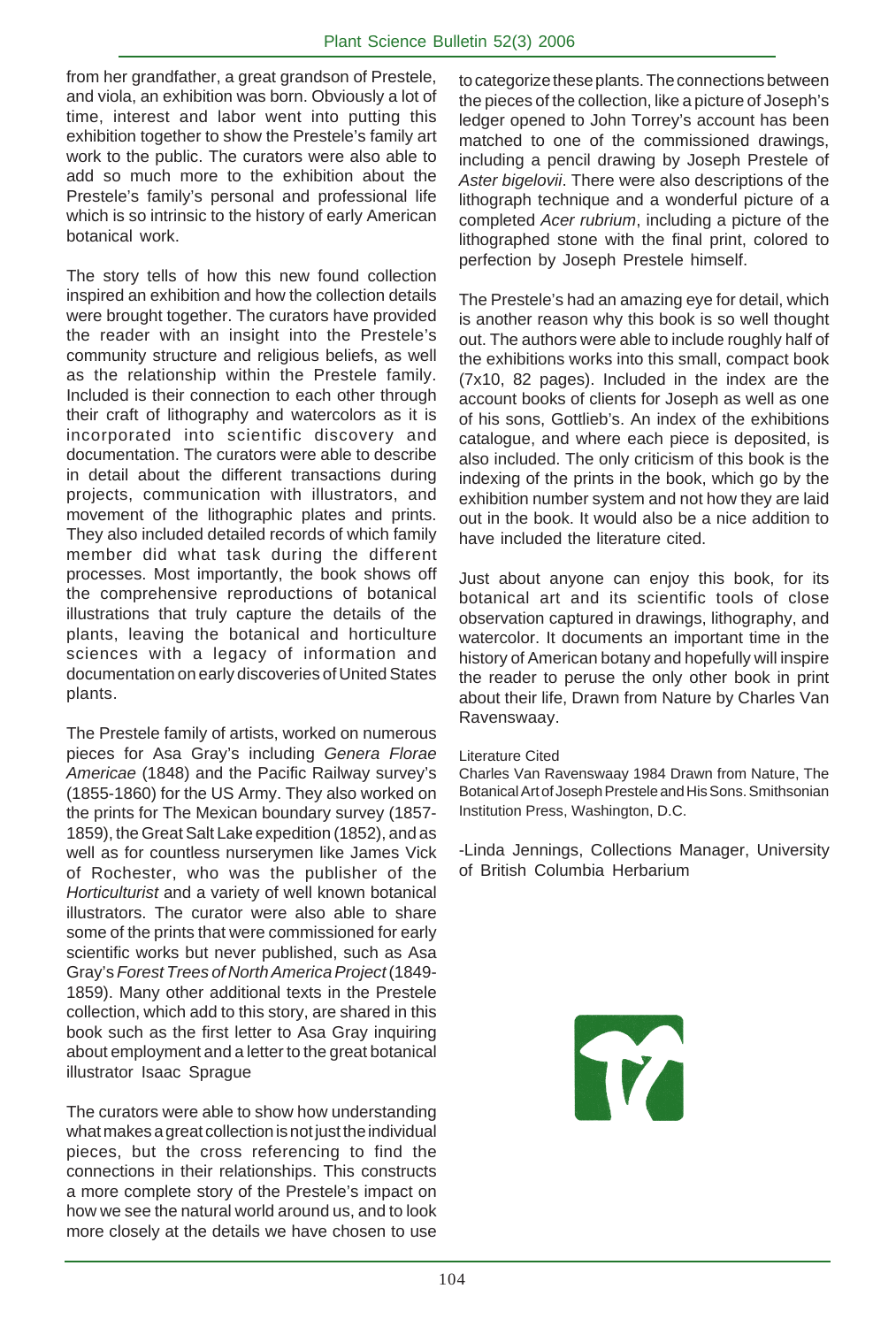from her grandfather, a great grandson of Prestele, and viola, an exhibition was born. Obviously a lot of time, interest and labor went into putting this exhibition together to show the Prestele's family art work to the public. The curators were also able to add so much more to the exhibition about the Prestele's family's personal and professional life which is so intrinsic to the history of early American botanical work.

The story tells of how this new found collection inspired an exhibition and how the collection details were brought together. The curators have provided the reader with an insight into the Prestele's community structure and religious beliefs, as well as the relationship within the Prestele family. Included is their connection to each other through their craft of lithography and watercolors as it is incorporated into scientific discovery and documentation. The curators were able to describe in detail about the different transactions during projects, communication with illustrators, and movement of the lithographic plates and prints. They also included detailed records of which family member did what task during the different processes. Most importantly, the book shows off the comprehensive reproductions of botanical illustrations that truly capture the details of the plants, leaving the botanical and horticulture sciences with a legacy of information and documentation on early discoveries of United States plants.

The Prestele family of artists, worked on numerous pieces for Asa Gray's including *Genera Florae Americae* (1848) and the Pacific Railway survey's (1855-1860) for the US Army. They also worked on the prints for The Mexican boundary survey (1857- 1859), the Great Salt Lake expedition (1852), and as well as for countless nurserymen like James Vick of Rochester, who was the publisher of the *Horticulturist* and a variety of well known botanical illustrators. The curator were also able to share some of the prints that were commissioned for early scientific works but never published, such as Asa Gray's *Forest Trees of North America Project* (1849- 1859). Many other additional texts in the Prestele collection, which add to this story, are shared in this book such as the first letter to Asa Gray inquiring about employment and a letter to the great botanical illustrator Isaac Sprague

The curators were able to show how understanding what makes a great collection is not just the individual pieces, but the cross referencing to find the connections in their relationships. This constructs a more complete story of the Prestele's impact on how we see the natural world around us, and to look more closely at the details we have chosen to use to categorize these plants. The connections between the pieces of the collection, like a picture of Joseph's ledger opened to John Torrey's account has been matched to one of the commissioned drawings, including a pencil drawing by Joseph Prestele of *Aster bigelovii*. There were also descriptions of the lithograph technique and a wonderful picture of a completed *Acer rubrium*, including a picture of the lithographed stone with the final print, colored to perfection by Joseph Prestele himself.

The Prestele's had an amazing eye for detail, which is another reason why this book is so well thought out. The authors were able to include roughly half of the exhibitions works into this small, compact book (7x10, 82 pages). Included in the index are the account books of clients for Joseph as well as one of his sons, Gottlieb's. An index of the exhibitions catalogue, and where each piece is deposited, is also included. The only criticism of this book is the indexing of the prints in the book, which go by the exhibition number system and not how they are laid out in the book. It would also be a nice addition to have included the literature cited.

Just about anyone can enjoy this book, for its botanical art and its scientific tools of close observation captured in drawings, lithography, and watercolor. It documents an important time in the history of American botany and hopefully will inspire the reader to peruse the only other book in print about their life, Drawn from Nature by Charles Van Ravenswaay.

#### Literature Cited

Charles Van Ravenswaay 1984 Drawn from Nature, The Botanical Art of Joseph Prestele and His Sons. Smithsonian Institution Press, Washington, D.C.

-Linda Jennings, Collections Manager, University of British Columbia Herbarium

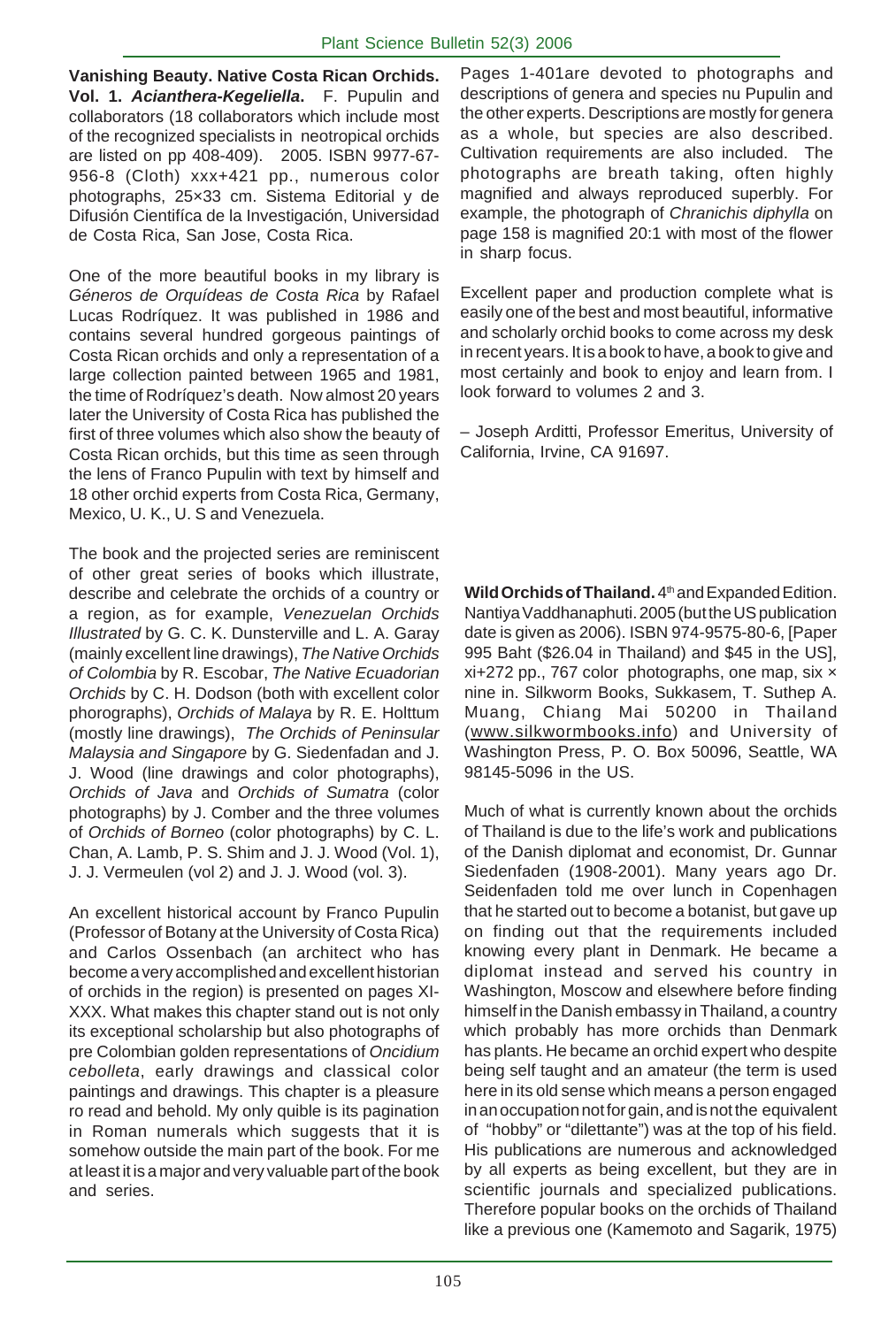**Vanishing Beauty. Native Costa Rican Orchids. Vol. 1.** *Acianthera-Kegeliella***.** F. Pupulin and collaborators (18 collaborators which include most of the recognized specialists in neotropical orchids are listed on pp 408-409). 2005. ISBN 9977-67- 956-8 (Cloth) xxx+421 pp., numerous color photographs, 25×33 cm. Sistema Editorial y de Difusión Cientifíca de la Investigación, Universidad de Costa Rica, San Jose, Costa Rica.

One of the more beautiful books in my library is *Géneros de Orquídeas de Costa Rica* by Rafael Lucas Rodríquez. It was published in 1986 and contains several hundred gorgeous paintings of Costa Rican orchids and only a representation of a large collection painted between 1965 and 1981, the time of Rodríquez's death. Now almost 20 years later the University of Costa Rica has published the first of three volumes which also show the beauty of Costa Rican orchids, but this time as seen through the lens of Franco Pupulin with text by himself and 18 other orchid experts from Costa Rica, Germany, Mexico, U. K., U. S and Venezuela.

The book and the projected series are reminiscent of other great series of books which illustrate, describe and celebrate the orchids of a country or a region, as for example, *Venezuelan Orchids Illustrated* by G. C. K. Dunsterville and L. A. Garay (mainly excellent line drawings), *The Native Orchids of Colombia* by R. Escobar, *The Native Ecuadorian Orchids* by C. H. Dodson (both with excellent color phorographs), *Orchids of Malaya* by R. E. Holttum (mostly line drawings), *The Orchids of Peninsular Malaysia and Singapore* by G. Siedenfadan and J. J. Wood (line drawings and color photographs), *Orchids of Java* and *Orchids of Sumatra* (color photographs) by J. Comber and the three volumes of *Orchids of Borneo* (color photographs) by C. L. Chan, A. Lamb, P. S. Shim and J. J. Wood (Vol. 1), J. J. Vermeulen (vol 2) and J. J. Wood (vol. 3).

An excellent historical account by Franco Pupulin (Professor of Botany at the University of Costa Rica) and Carlos Ossenbach (an architect who has become a very accomplished and excellent historian of orchids in the region) is presented on pages XI-XXX. What makes this chapter stand out is not only its exceptional scholarship but also photographs of pre Colombian golden representations of *Oncidium cebolleta*, early drawings and classical color paintings and drawings. This chapter is a pleasure ro read and behold. My only quible is its pagination in Roman numerals which suggests that it is somehow outside the main part of the book. For me at least it is a major and very valuable part of the book and series.

Pages 1-401are devoted to photographs and descriptions of genera and species nu Pupulin and the other experts. Descriptions are mostly for genera as a whole, but species are also described. Cultivation requirements are also included. The photographs are breath taking, often highly magnified and always reproduced superbly. For example, the photograph of *Chranichis diphylla* on page 158 is magnified 20:1 with most of the flower in sharp focus.

Excellent paper and production complete what is easily one of the best and most beautiful, informative and scholarly orchid books to come across my desk in recent years. It is a book to have, a book to give and most certainly and book to enjoy and learn from. I look forward to volumes 2 and 3.

– Joseph Arditti, Professor Emeritus, University of California, Irvine, CA 91697.

Wild Orchids of Thailand. 4<sup>th</sup> and Expanded Edition. Nantiya Vaddhanaphuti. 2005 (but the US publication date is given as 2006). ISBN 974-9575-80-6, [Paper 995 Baht (\$26.04 in Thailand) and \$45 in the US],  $xi+272$  pp., 767 color photographs, one map, six  $\times$ nine in. Silkworm Books, Sukkasem, T. Suthep A. Muang, Chiang Mai 50200 in Thailand (www.silkwormbooks.info) and University of Washington Press, P. O. Box 50096, Seattle, WA 98145-5096 in the US.

Much of what is currently known about the orchids of Thailand is due to the life's work and publications of the Danish diplomat and economist, Dr. Gunnar Siedenfaden (1908-2001). Many years ago Dr. Seidenfaden told me over lunch in Copenhagen that he started out to become a botanist, but gave up on finding out that the requirements included knowing every plant in Denmark. He became a diplomat instead and served his country in Washington, Moscow and elsewhere before finding himself in the Danish embassy in Thailand, a country which probably has more orchids than Denmark has plants. He became an orchid expert who despite being self taught and an amateur (the term is used here in its old sense which means a person engaged in an occupation not for gain, and is not the equivalent of "hobby" or "dilettante") was at the top of his field. His publications are numerous and acknowledged by all experts as being excellent, but they are in scientific journals and specialized publications. Therefore popular books on the orchids of Thailand like a previous one (Kamemoto and Sagarik, 1975)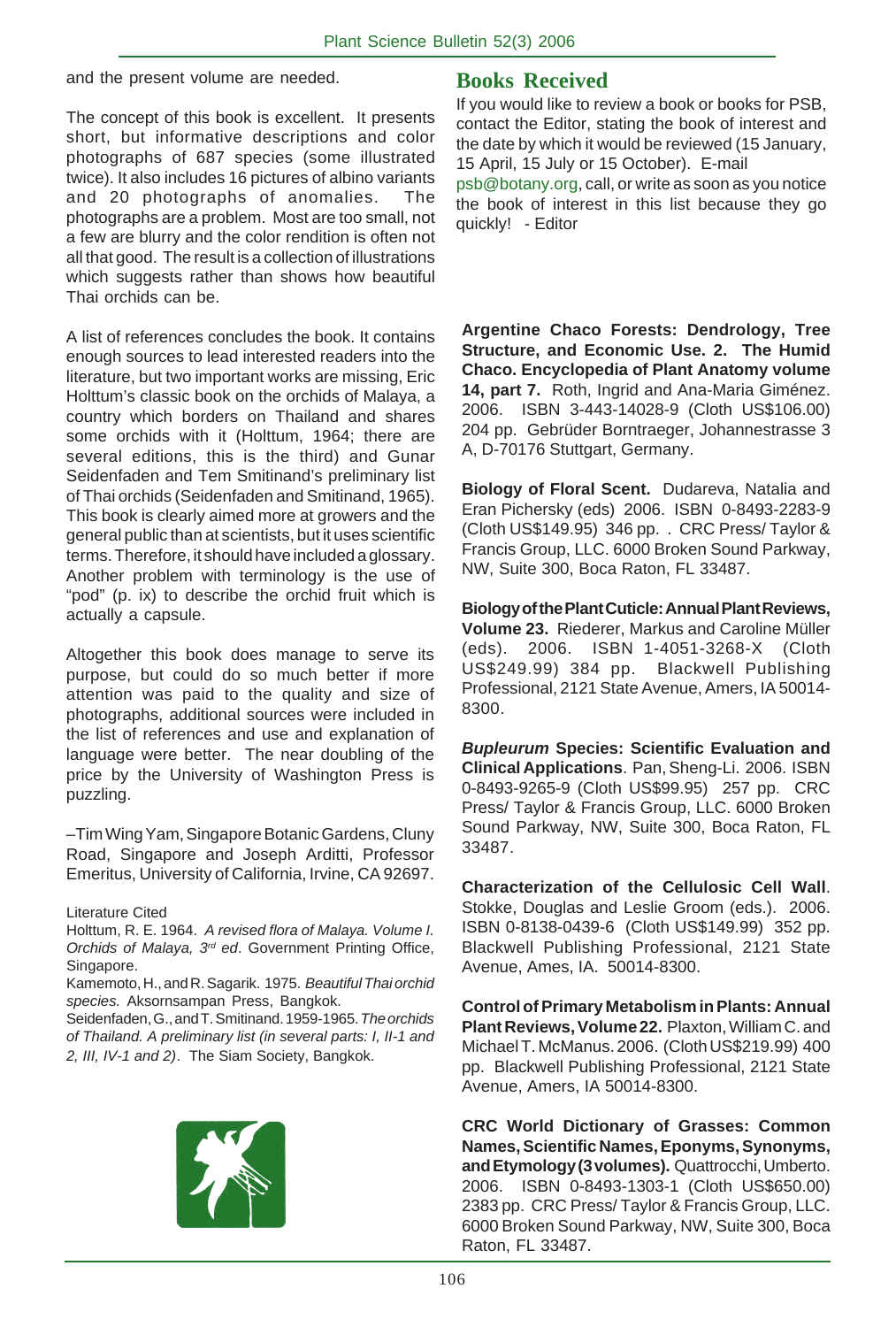and the present volume are needed.

The concept of this book is excellent. It presents short, but informative descriptions and color photographs of 687 species (some illustrated twice). It also includes 16 pictures of albino variants and 20 photographs of anomalies. The photographs are a problem. Most are too small, not a few are blurry and the color rendition is often not all that good. The result is a collection of illustrations which suggests rather than shows how beautiful Thai orchids can be.

A list of references concludes the book. It contains enough sources to lead interested readers into the literature, but two important works are missing, Eric Holttum's classic book on the orchids of Malaya, a country which borders on Thailand and shares some orchids with it (Holttum, 1964; there are several editions, this is the third) and Gunar Seidenfaden and Tem Smitinand's preliminary list of Thai orchids (Seidenfaden and Smitinand, 1965). This book is clearly aimed more at growers and the general public than at scientists, but it uses scientific terms. Therefore, it should have included a glossary. Another problem with terminology is the use of "pod" (p. ix) to describe the orchid fruit which is actually a capsule.

Altogether this book does manage to serve its purpose, but could do so much better if more attention was paid to the quality and size of photographs, additional sources were included in the list of references and use and explanation of language were better. The near doubling of the price by the University of Washington Press is puzzling.

–Tim Wing Yam, Singapore Botanic Gardens, Cluny Road, Singapore and Joseph Arditti, Professor Emeritus, University of California, Irvine, CA 92697.

Literature Cited

Holttum, R. E. 1964. *A revised flora of Malaya. Volume I. Orchids of Malaya, 3rd ed*. Government Printing Office, Singapore.

Kamemoto, H., and R. Sagarik. 1975. *Beautiful Thai orchid species.* Aksornsampan Press, Bangkok.

Seidenfaden, G., and T. Smitinand. 1959-1965. *The orchids of Thailand. A preliminary list (in several parts: I, II-1 and 2, III, IV-1 and 2)*. The Siam Society, Bangkok.



# **Books Received**

If you would like to review a book or books for PSB, contact the Editor, stating the book of interest and the date by which it would be reviewed (15 January, 15 April, 15 July or 15 October). E-mail

psb@botany.org, call, or write as soon as you notice the book of interest in this list because they go quickly! - Editor

**Argentine Chaco Forests: Dendrology, Tree Structure, and Economic Use. 2. The Humid Chaco. Encyclopedia of Plant Anatomy volume 14, part 7.** Roth, Ingrid and Ana-Maria Giménez. 2006. ISBN 3-443-14028-9 (Cloth US\$106.00) 204 pp. Gebrüder Borntraeger, Johannestrasse 3 A, D-70176 Stuttgart, Germany.

**Biology of Floral Scent.** Dudareva, Natalia and Eran Pichersky (eds) 2006. ISBN 0-8493-2283-9 (Cloth US\$149.95) 346 pp. . CRC Press/ Taylor & Francis Group, LLC. 6000 Broken Sound Parkway, NW, Suite 300, Boca Raton, FL 33487.

**Biology of the Plant Cuticle: Annual Plant Reviews, Volume 23.** Riederer, Markus and Caroline Müller (eds). 2006. ISBN 1-4051-3268-X (Cloth US\$249.99) 384 pp. Blackwell Publishing Professional, 2121 State Avenue, Amers, IA 50014- 8300.

*Bupleurum* **Species: Scientific Evaluation and Clinical Applications**. Pan, Sheng-Li. 2006. ISBN 0-8493-9265-9 (Cloth US\$99.95) 257 pp. CRC Press/ Taylor & Francis Group, LLC. 6000 Broken Sound Parkway, NW, Suite 300, Boca Raton, FL 33487.

**Characterization of the Cellulosic Cell Wall**. Stokke, Douglas and Leslie Groom (eds.). 2006. ISBN 0-8138-0439-6 (Cloth US\$149.99) 352 pp. Blackwell Publishing Professional, 2121 State Avenue, Ames, IA. 50014-8300.

**Control of Primary Metabolism in Plants: Annual Plant Reviews, Volume 22.** Plaxton, William C. and Michael T. McManus. 2006. (Cloth US\$219.99) 400 pp. Blackwell Publishing Professional, 2121 State Avenue, Amers, IA 50014-8300.

**CRC World Dictionary of Grasses: Common Names, Scientific Names, Eponyms, Synonyms, and Etymology (3 volumes).** Quattrocchi, Umberto. 2006. ISBN 0-8493-1303-1 (Cloth US\$650.00) 2383 pp. CRC Press/ Taylor & Francis Group, LLC. 6000 Broken Sound Parkway, NW, Suite 300, Boca Raton, FL 33487.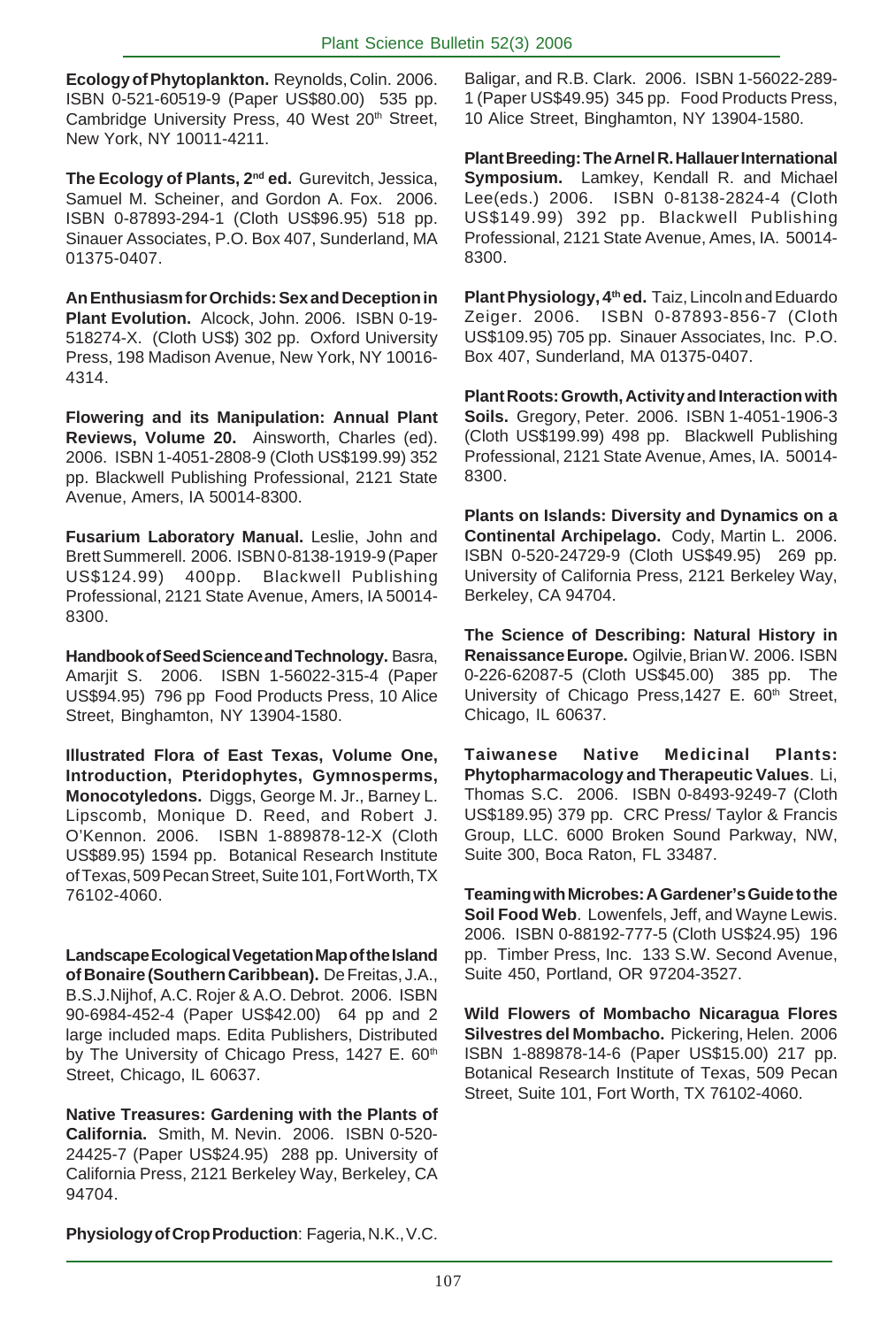**Ecology of Phytoplankton.** Reynolds, Colin. 2006. ISBN 0-521-60519-9 (Paper US\$80.00) 535 pp. Cambridge University Press, 40 West 20<sup>th</sup> Street, New York, NY 10011-4211.

**The Ecology of Plants, 2nd ed.** Gurevitch, Jessica, Samuel M. Scheiner, and Gordon A. Fox. 2006. ISBN 0-87893-294-1 (Cloth US\$96.95) 518 pp. Sinauer Associates, P.O. Box 407, Sunderland, MA 01375-0407.

**An Enthusiasm for Orchids: Sex and Deception in Plant Evolution.** Alcock, John. 2006. ISBN 0-19- 518274-X. (Cloth US\$) 302 pp. Oxford University Press, 198 Madison Avenue, New York, NY 10016- 4314.

**Flowering and its Manipulation: Annual Plant Reviews, Volume 20.** Ainsworth, Charles (ed). 2006. ISBN 1-4051-2808-9 (Cloth US\$199.99) 352 pp. Blackwell Publishing Professional, 2121 State Avenue, Amers, IA 50014-8300.

**Fusarium Laboratory Manual.** Leslie, John and Brett Summerell. 2006. ISBN 0-8138-1919-9 (Paper US\$124.99) 400pp. Blackwell Publishing Professional, 2121 State Avenue, Amers, IA 50014- 8300.

**Handbook of Seed Science and Technology.** Basra, Amarjit S. 2006. ISBN 1-56022-315-4 (Paper US\$94.95) 796 pp Food Products Press, 10 Alice Street, Binghamton, NY 13904-1580.

**Illustrated Flora of East Texas, Volume One, Introduction, Pteridophytes, Gymnosperms, Monocotyledons.** Diggs, George M. Jr., Barney L. Lipscomb, Monique D. Reed, and Robert J. O'Kennon. 2006. ISBN 1-889878-12-X (Cloth US\$89.95) 1594 pp. Botanical Research Institute of Texas, 509 Pecan Street, Suite 101, Fort Worth, TX 76102-4060.

**Landscape Ecological Vegetation Map of the Island of Bonaire (Southern Caribbean).** De Freitas, J.A., B.S.J.Nijhof, A.C. Rojer & A.O. Debrot. 2006. ISBN 90-6984-452-4 (Paper US\$42.00) 64 pp and 2 large included maps. Edita Publishers, Distributed by The University of Chicago Press, 1427 E. 60<sup>th</sup> Street, Chicago, IL 60637.

**Native Treasures: Gardening with the Plants of California.** Smith, M. Nevin. 2006. ISBN 0-520- 24425-7 (Paper US\$24.95) 288 pp. University of California Press, 2121 Berkeley Way, Berkeley, CA 94704.

Baligar, and R.B. Clark. 2006. ISBN 1-56022-289- 1 (Paper US\$49.95) 345 pp. Food Products Press, 10 Alice Street, Binghamton, NY 13904-1580.

**Plant Breeding: The Arnel R. Hallauer International Symposium.** Lamkey, Kendall R. and Michael Lee(eds.) 2006. ISBN 0-8138-2824-4 (Cloth US\$149.99) 392 pp. Blackwell Publishing Professional, 2121 State Avenue, Ames, IA. 50014- 8300.

**Plant Physiology, 4th ed.** Taiz, Lincoln and Eduardo Zeiger. 2006. ISBN 0-87893-856-7 (Cloth US\$109.95) 705 pp. Sinauer Associates, Inc. P.O. Box 407, Sunderland, MA 01375-0407.

**Plant Roots: Growth, Activity and Interaction with Soils.** Gregory, Peter. 2006. ISBN 1-4051-1906-3 (Cloth US\$199.99) 498 pp. Blackwell Publishing Professional, 2121 State Avenue, Ames, IA. 50014- 8300.

**Plants on Islands: Diversity and Dynamics on a Continental Archipelago.** Cody, Martin L. 2006. ISBN 0-520-24729-9 (Cloth US\$49.95) 269 pp. University of California Press, 2121 Berkeley Way, Berkeley, CA 94704.

**The Science of Describing: Natural History in Renaissance Europe.** Ogilvie, Brian W. 2006. ISBN 0-226-62087-5 (Cloth US\$45.00) 385 pp. The University of Chicago Press, 1427 E. 60<sup>th</sup> Street, Chicago, IL 60637.

**Taiwanese Native Medicinal Plants: Phytopharmacology and Therapeutic Values**. Li, Thomas S.C. 2006. ISBN 0-8493-9249-7 (Cloth US\$189.95) 379 pp. CRC Press/ Taylor & Francis Group, LLC. 6000 Broken Sound Parkway, NW, Suite 300, Boca Raton, FL 33487.

**Teaming with Microbes: A Gardener's Guide to the Soil Food Web**. Lowenfels, Jeff, and Wayne Lewis. 2006. ISBN 0-88192-777-5 (Cloth US\$24.95) 196 pp. Timber Press, Inc. 133 S.W. Second Avenue, Suite 450, Portland, OR 97204-3527.

**Wild Flowers of Mombacho Nicaragua Flores Silvestres del Mombacho.** Pickering, Helen. 2006 ISBN 1-889878-14-6 (Paper US\$15.00) 217 pp. Botanical Research Institute of Texas, 509 Pecan Street, Suite 101, Fort Worth, TX 76102-4060.

**Physiology of Crop Production**: Fageria, N.K., V.C.